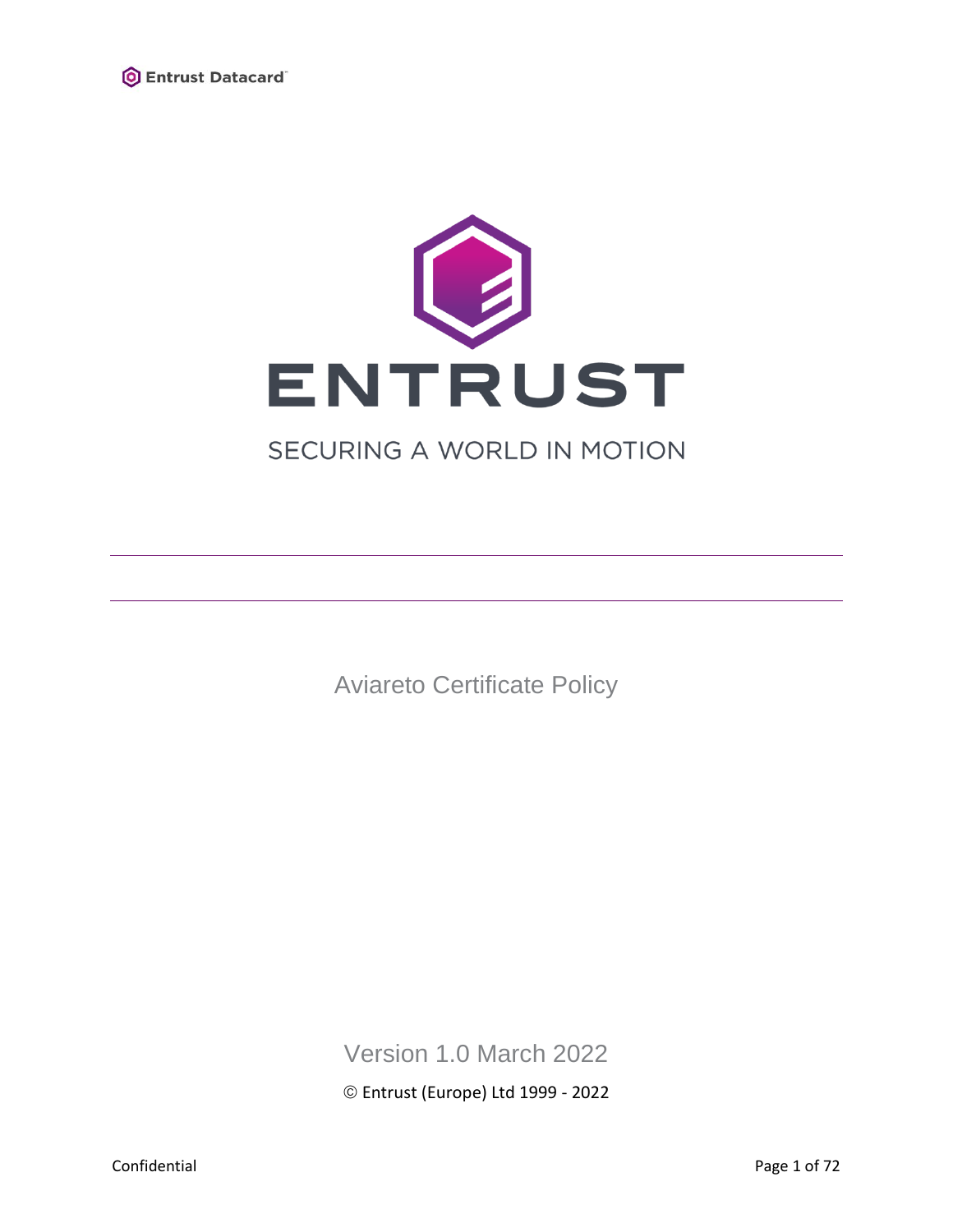



# SECURING A WORLD IN MOTION

Aviareto Certificate Policy

Version 1.0 March 2022

© Entrust (Europe) Ltd 1999 - 2022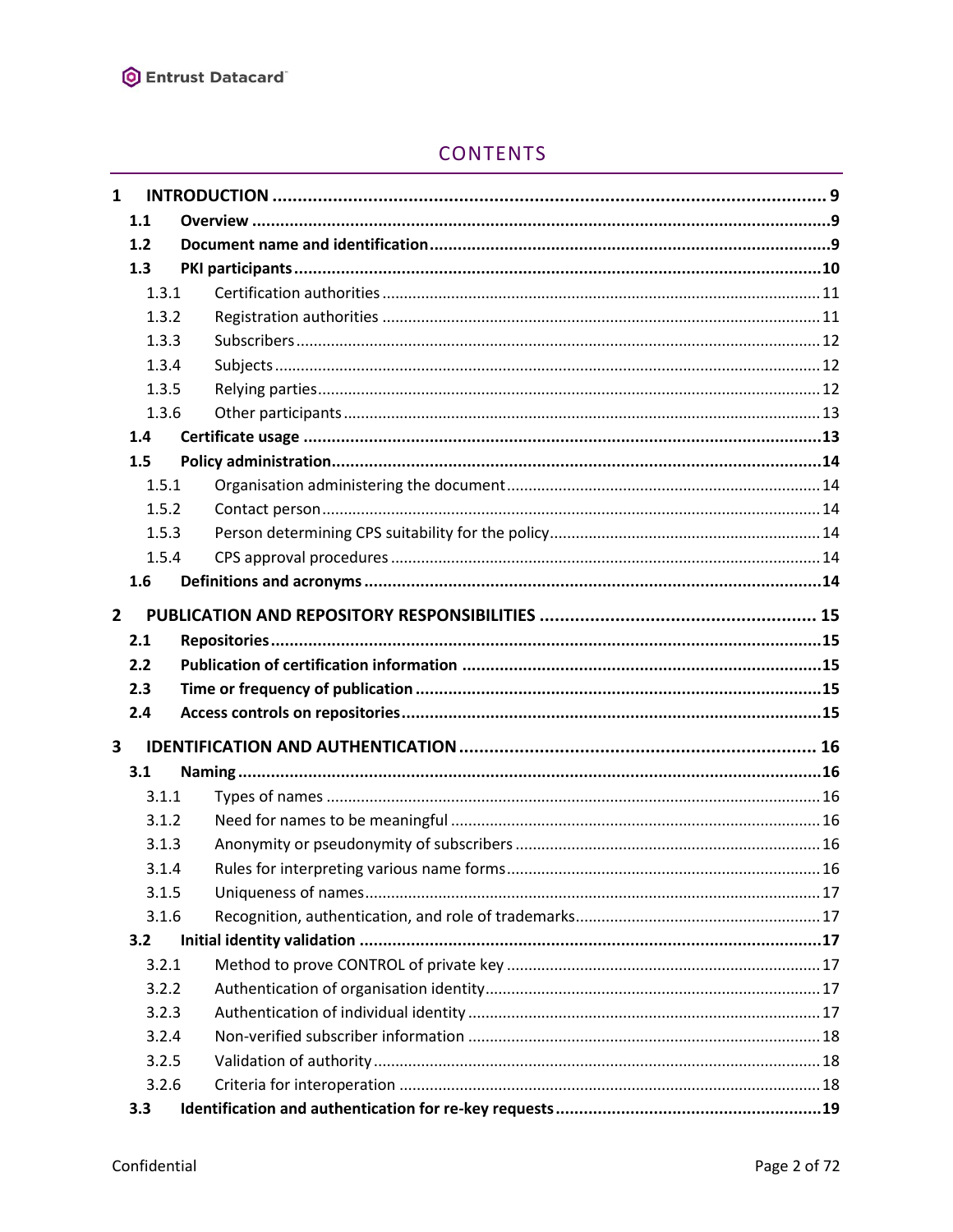

# **CONTENTS**

| $\mathbf{1}$            |       |  |  |
|-------------------------|-------|--|--|
|                         | 1.1   |  |  |
|                         | 1.2   |  |  |
|                         | 1.3   |  |  |
|                         | 1.3.1 |  |  |
|                         | 1.3.2 |  |  |
|                         | 1.3.3 |  |  |
|                         | 1.3.4 |  |  |
|                         | 1.3.5 |  |  |
|                         | 1.3.6 |  |  |
|                         | 1.4   |  |  |
|                         | 1.5   |  |  |
|                         | 1.5.1 |  |  |
|                         | 1.5.2 |  |  |
|                         | 1.5.3 |  |  |
|                         | 1.5.4 |  |  |
|                         | 1.6   |  |  |
| $\mathbf{2}$            |       |  |  |
|                         | 2.1   |  |  |
|                         | 2.2   |  |  |
|                         | 2.3   |  |  |
|                         | 2.4   |  |  |
|                         |       |  |  |
| $\overline{\mathbf{3}}$ |       |  |  |
|                         | 3.1   |  |  |
|                         | 3.1.1 |  |  |
|                         | 3.1.2 |  |  |
|                         | 3.1.3 |  |  |
|                         | 3.1.4 |  |  |
|                         | 3.1.5 |  |  |
|                         | 3.1.6 |  |  |
|                         | 3.2   |  |  |
|                         | 3.2.1 |  |  |
|                         | 3.2.2 |  |  |
|                         | 3.2.3 |  |  |
|                         | 3.2.4 |  |  |
|                         | 3.2.5 |  |  |
|                         | 3.2.6 |  |  |
|                         | 3.3   |  |  |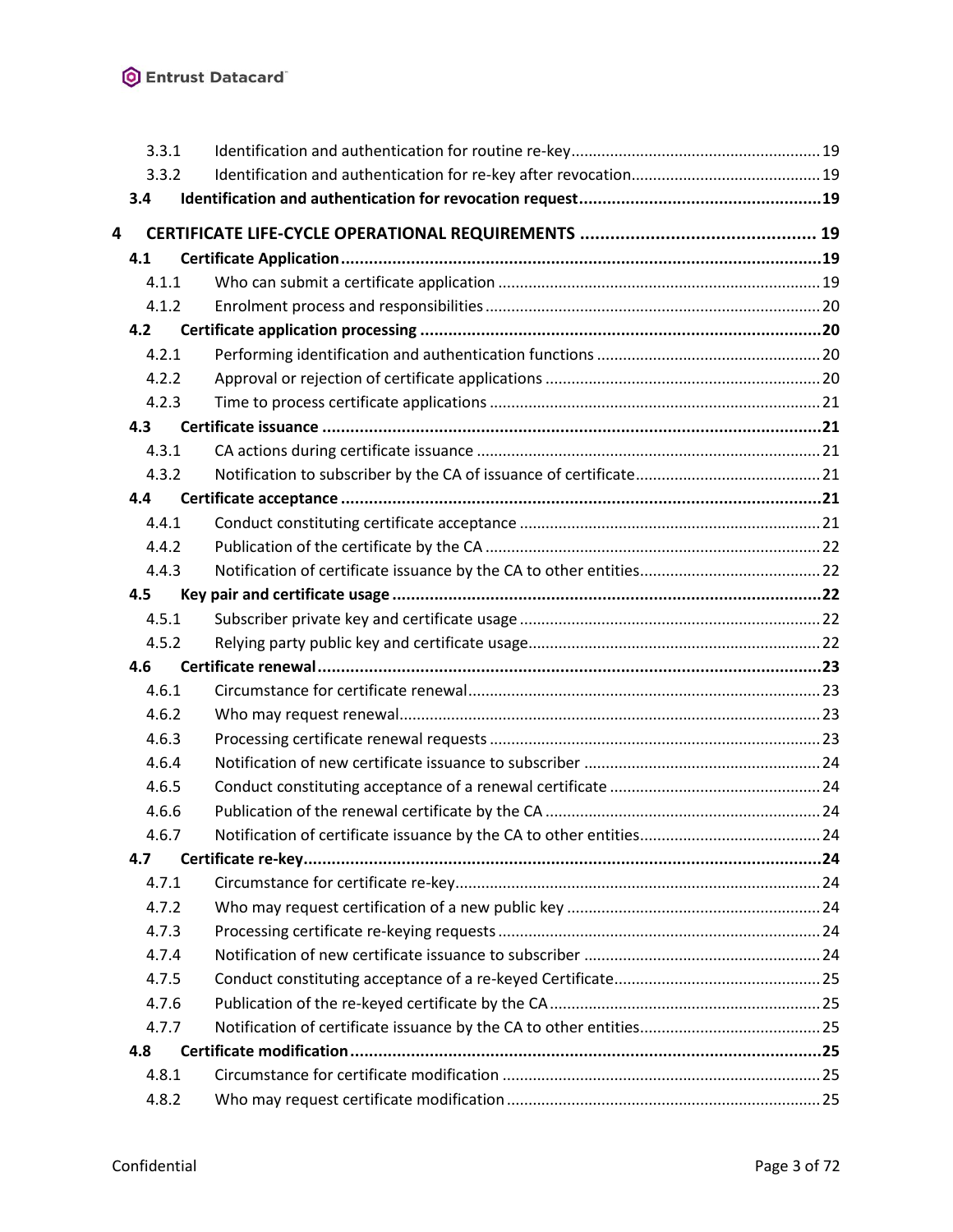| 3.3.1 |  |
|-------|--|
| 3.3.2 |  |
| 3.4   |  |
| 4     |  |
| 4.1   |  |
| 4.1.1 |  |
| 4.1.2 |  |
| 4.2   |  |
| 4.2.1 |  |
| 4.2.2 |  |
| 4.2.3 |  |
| 4.3   |  |
| 4.3.1 |  |
| 4.3.2 |  |
| 4.4   |  |
| 4.4.1 |  |
| 4.4.2 |  |
| 4.4.3 |  |
| 4.5   |  |
| 4.5.1 |  |
| 4.5.2 |  |
| 4.6   |  |
| 4.6.1 |  |
| 4.6.2 |  |
| 4.6.3 |  |
| 4.6.4 |  |
| 4.6.5 |  |
| 4.6.6 |  |
| 4.6.7 |  |
| 4.7   |  |
| 4.7.1 |  |
| 4.7.2 |  |
| 4.7.3 |  |
| 4.7.4 |  |
| 4.7.5 |  |
| 4.7.6 |  |
| 4.7.7 |  |
| 4.8   |  |
| 4.8.1 |  |
| 4.8.2 |  |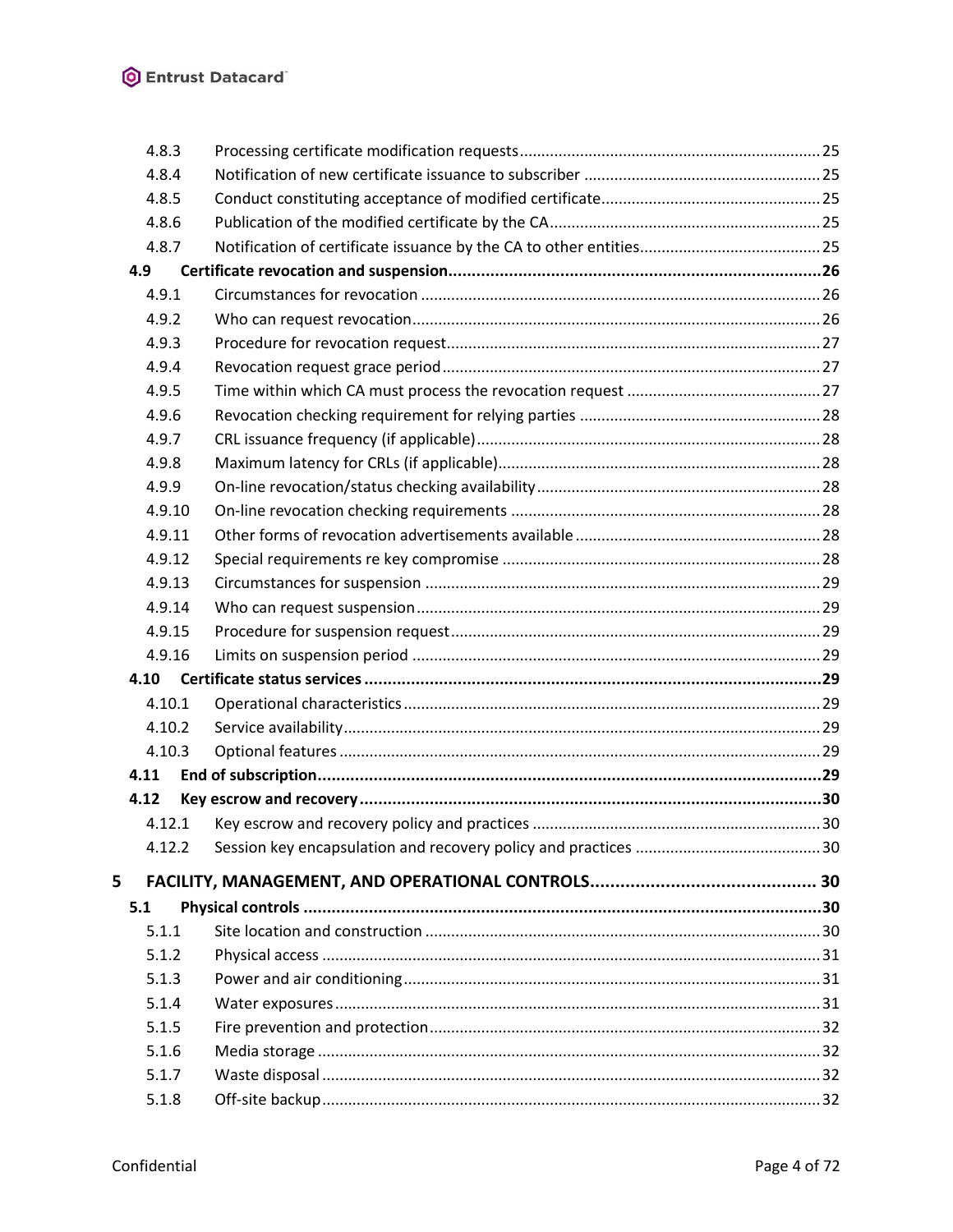|   | 4.8.3  |  |
|---|--------|--|
|   | 4.8.4  |  |
|   | 4.8.5  |  |
|   | 4.8.6  |  |
|   | 4.8.7  |  |
|   | 4.9    |  |
|   | 4.9.1  |  |
|   | 4.9.2  |  |
|   | 4.9.3  |  |
|   | 4.9.4  |  |
|   | 4.9.5  |  |
|   | 4.9.6  |  |
|   | 4.9.7  |  |
|   | 4.9.8  |  |
|   | 4.9.9  |  |
|   | 4.9.10 |  |
|   | 4.9.11 |  |
|   | 4.9.12 |  |
|   | 4.9.13 |  |
|   | 4.9.14 |  |
|   | 4.9.15 |  |
|   | 4.9.16 |  |
|   | 4.10   |  |
|   | 4.10.1 |  |
|   | 4.10.2 |  |
|   | 4.10.3 |  |
|   | 4.11   |  |
|   | 4.12   |  |
|   | 4.12.1 |  |
|   | 4.12.2 |  |
| 5 |        |  |
|   | 5.1    |  |
|   | 5.1.1  |  |
|   | 5.1.2  |  |
|   | 5.1.3  |  |
|   | 5.1.4  |  |
|   | 5.1.5  |  |
|   | 5.1.6  |  |
|   | 5.1.7  |  |
|   | 5.1.8  |  |
|   |        |  |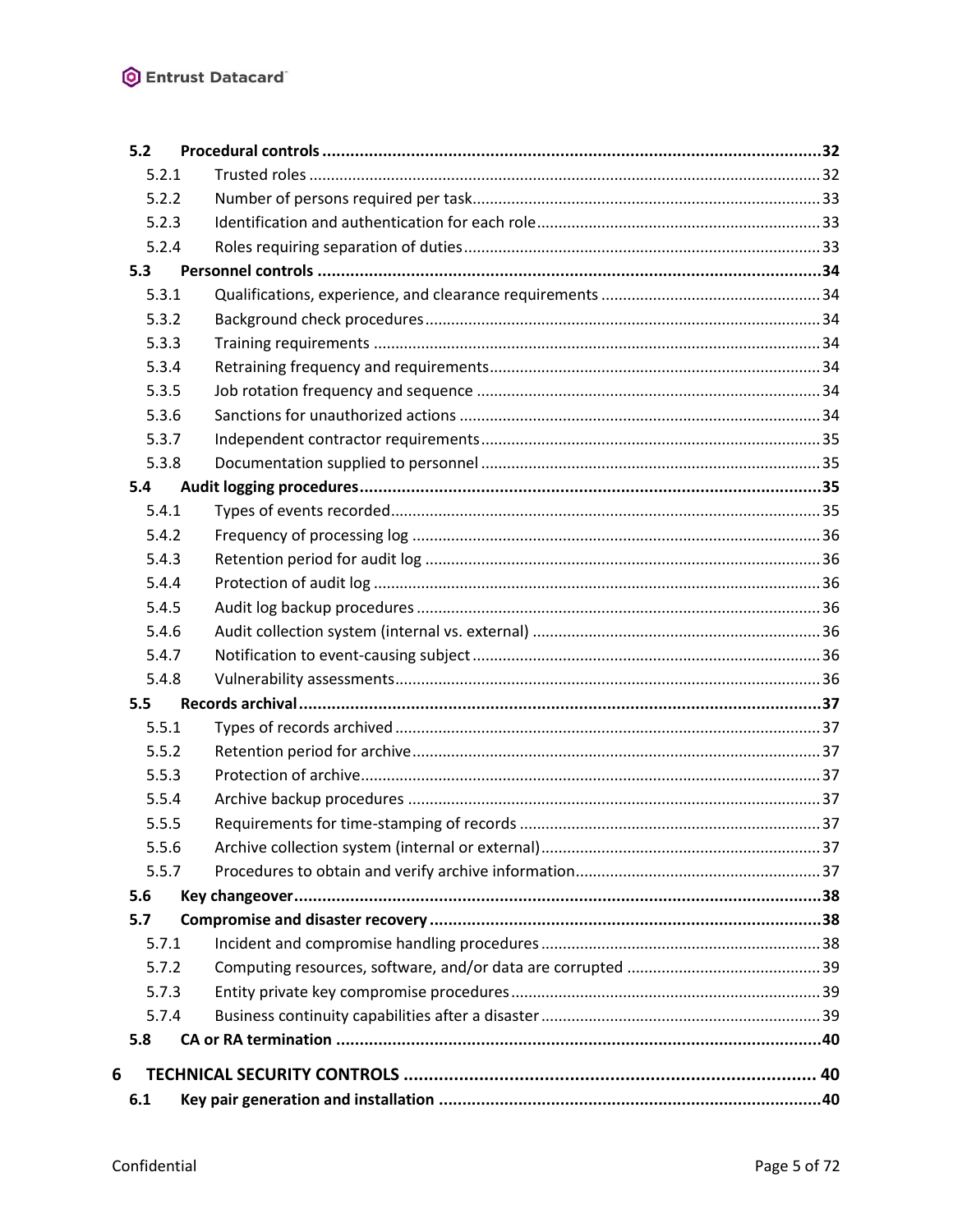|   | 5.2   |  |
|---|-------|--|
|   | 5.2.1 |  |
|   | 5.2.2 |  |
|   | 5.2.3 |  |
|   | 5.2.4 |  |
|   | 5.3   |  |
|   | 5.3.1 |  |
|   | 5.3.2 |  |
|   | 5.3.3 |  |
|   | 5.3.4 |  |
|   | 5.3.5 |  |
|   | 5.3.6 |  |
|   | 5.3.7 |  |
|   | 5.3.8 |  |
|   | 5.4   |  |
|   | 5.4.1 |  |
|   | 5.4.2 |  |
|   | 5.4.3 |  |
|   | 5.4.4 |  |
|   | 5.4.5 |  |
|   | 5.4.6 |  |
|   | 5.4.7 |  |
|   | 5.4.8 |  |
|   | 5.5   |  |
|   | 5.5.1 |  |
|   | 5.5.2 |  |
|   | 5.5.3 |  |
|   | 5.5.4 |  |
|   | 5.5.5 |  |
|   | 5.5.6 |  |
|   | 5.5.7 |  |
|   | 5.6   |  |
|   | 5.7   |  |
|   | 5.7.1 |  |
|   | 5.7.2 |  |
|   | 5.7.3 |  |
|   | 5.7.4 |  |
|   | 5.8   |  |
| 6 |       |  |
|   | 6.1   |  |
|   |       |  |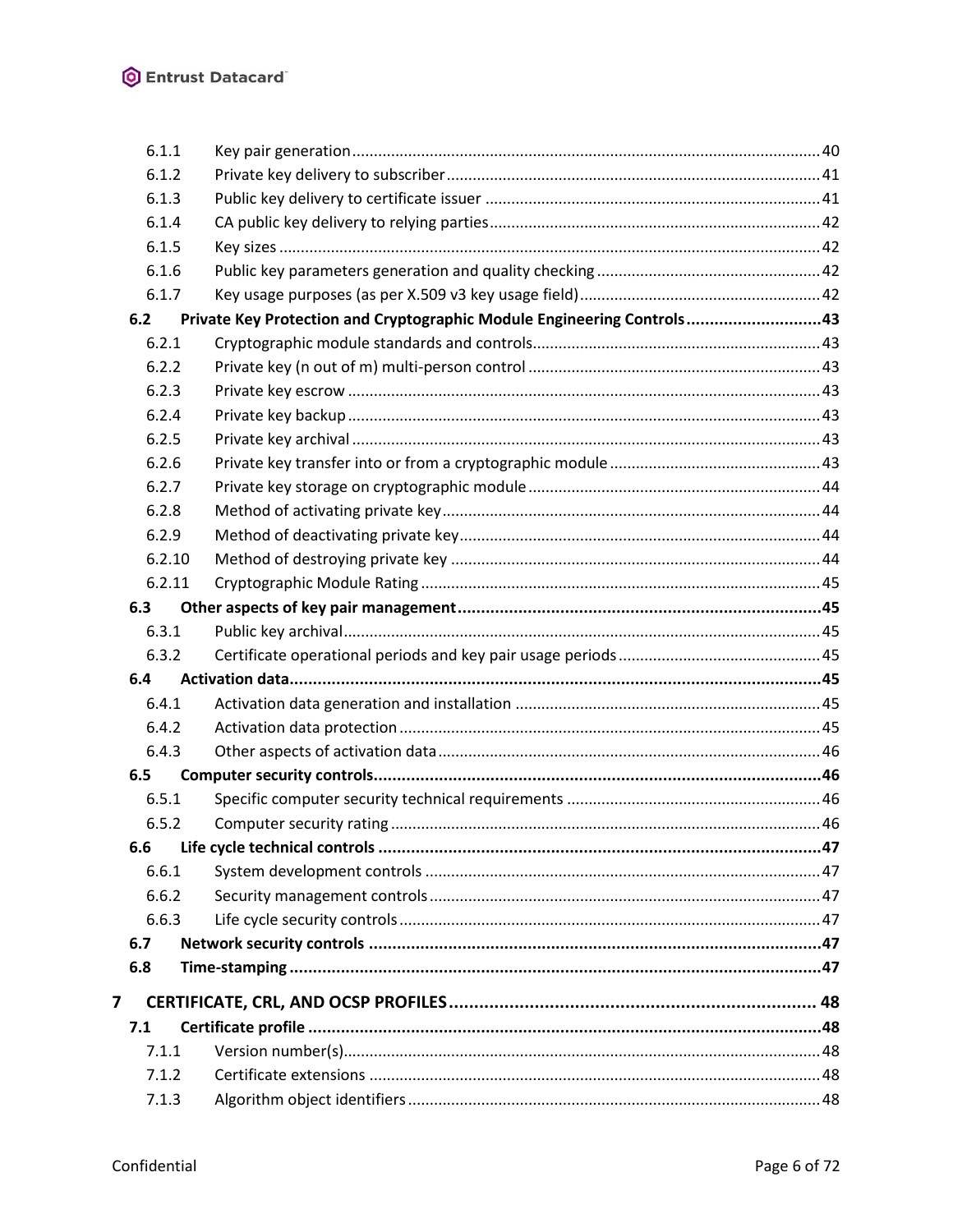|                | 6.1.1  |                                                                        |  |
|----------------|--------|------------------------------------------------------------------------|--|
|                | 6.1.2  |                                                                        |  |
|                | 6.1.3  |                                                                        |  |
|                | 6.1.4  |                                                                        |  |
|                | 6.1.5  |                                                                        |  |
|                | 6.1.6  |                                                                        |  |
|                | 6.1.7  |                                                                        |  |
|                | 6.2    | Private Key Protection and Cryptographic Module Engineering Controls43 |  |
|                | 6.2.1  |                                                                        |  |
|                | 6.2.2  |                                                                        |  |
|                | 6.2.3  |                                                                        |  |
|                | 6.2.4  |                                                                        |  |
|                | 6.2.5  |                                                                        |  |
|                | 6.2.6  |                                                                        |  |
|                | 6.2.7  |                                                                        |  |
|                | 6.2.8  |                                                                        |  |
|                | 6.2.9  |                                                                        |  |
|                | 6.2.10 |                                                                        |  |
|                | 6.2.11 |                                                                        |  |
|                | 6.3    |                                                                        |  |
|                | 6.3.1  |                                                                        |  |
|                | 6.3.2  |                                                                        |  |
|                | 6.4    |                                                                        |  |
|                | 6.4.1  |                                                                        |  |
|                | 6.4.2  |                                                                        |  |
|                | 6.4.3  |                                                                        |  |
|                | 6.5    |                                                                        |  |
|                | 6.5.1  |                                                                        |  |
|                | 6.5.2  |                                                                        |  |
|                | 6.6    |                                                                        |  |
|                | 6.6.1  |                                                                        |  |
|                | 6.6.2  |                                                                        |  |
|                | 6.6.3  |                                                                        |  |
|                | 6.7    |                                                                        |  |
|                | 6.8    |                                                                        |  |
| $\overline{ }$ |        |                                                                        |  |
|                | 7.1    |                                                                        |  |
|                | 7.1.1  |                                                                        |  |
|                | 7.1.2  |                                                                        |  |
|                | 7.1.3  |                                                                        |  |
|                |        |                                                                        |  |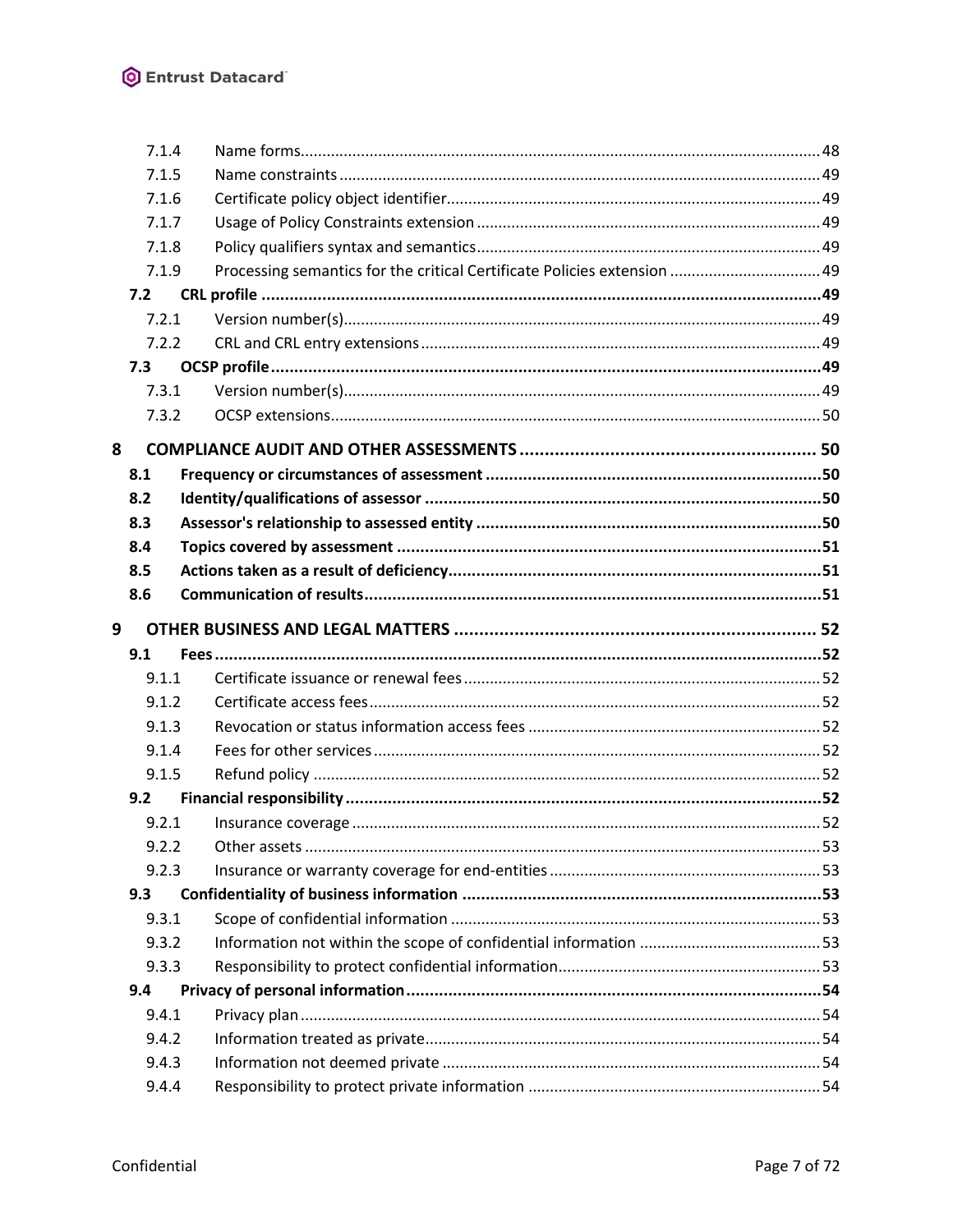| 7.1.4 |                                                                          |  |
|-------|--------------------------------------------------------------------------|--|
| 7.1.5 |                                                                          |  |
| 7.1.6 |                                                                          |  |
| 7.1.7 |                                                                          |  |
| 7.1.8 |                                                                          |  |
| 7.1.9 | Processing semantics for the critical Certificate Policies extension  49 |  |
| 7.2   |                                                                          |  |
| 7.2.1 |                                                                          |  |
| 7.2.2 |                                                                          |  |
| 7.3   |                                                                          |  |
| 7.3.1 |                                                                          |  |
| 7.3.2 |                                                                          |  |
| 8     |                                                                          |  |
| 8.1   |                                                                          |  |
| 8.2   |                                                                          |  |
| 8.3   |                                                                          |  |
| 8.4   |                                                                          |  |
| 8.5   |                                                                          |  |
| 8.6   |                                                                          |  |
| 9     |                                                                          |  |
| 9.1   |                                                                          |  |
| 9.1.1 |                                                                          |  |
| 9.1.2 |                                                                          |  |
| 9.1.3 |                                                                          |  |
| 9.1.4 |                                                                          |  |
| 9.1.5 |                                                                          |  |
| 9.2   |                                                                          |  |
| 9.2.1 |                                                                          |  |
| 9.2.2 |                                                                          |  |
| 9.2.3 |                                                                          |  |
| 9.3   |                                                                          |  |
| 9.3.1 |                                                                          |  |
| 9.3.2 |                                                                          |  |
| 9.3.3 |                                                                          |  |
| 9.4   |                                                                          |  |
|       |                                                                          |  |
| 9.4.1 |                                                                          |  |
| 9.4.2 |                                                                          |  |
| 9.4.3 |                                                                          |  |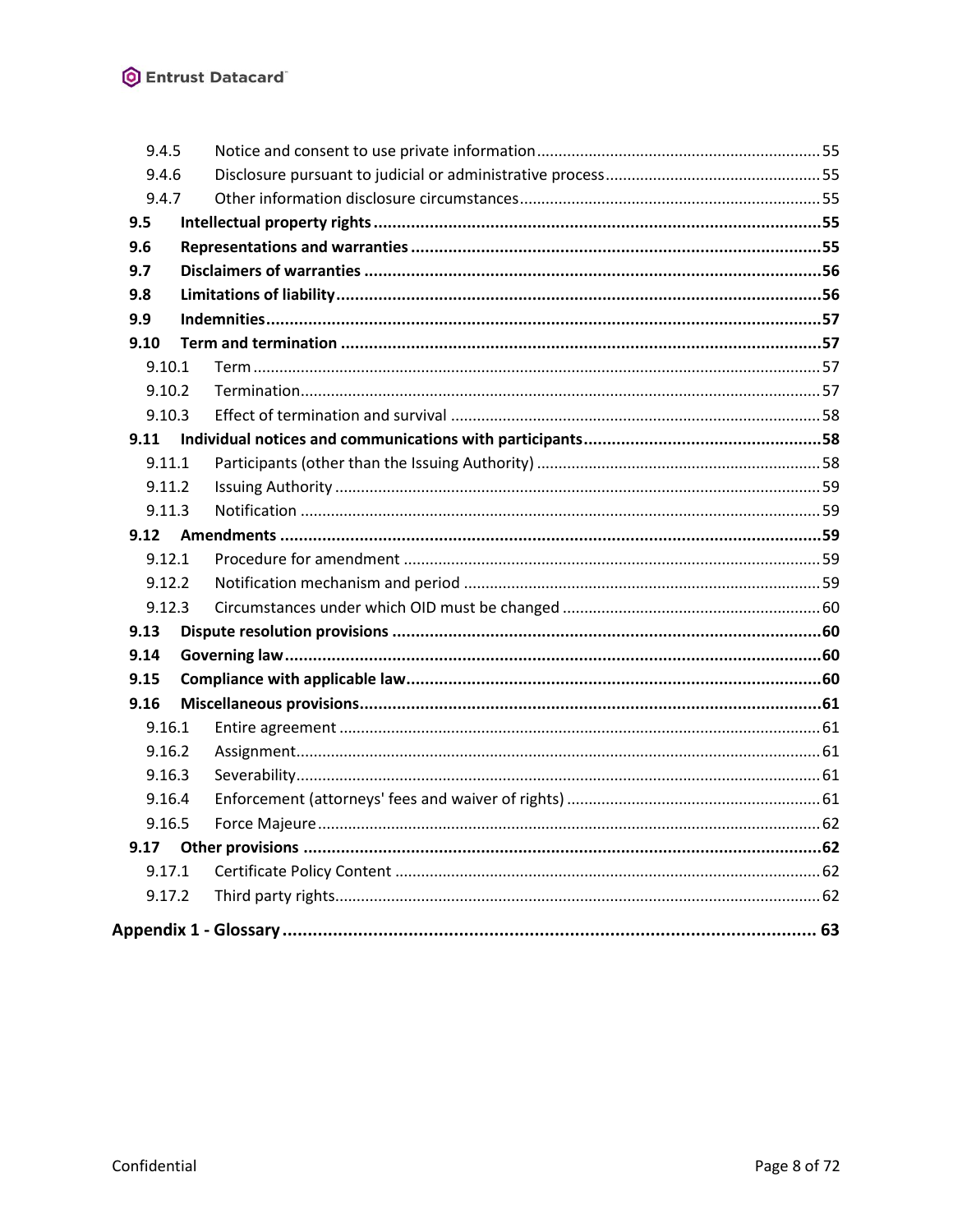| 9.4.5  |  |  |
|--------|--|--|
| 9.4.6  |  |  |
| 9.4.7  |  |  |
| 9.5    |  |  |
| 9.6    |  |  |
| 9.7    |  |  |
| 9.8    |  |  |
| 9.9    |  |  |
| 9.10   |  |  |
| 9.10.1 |  |  |
| 9.10.2 |  |  |
| 9.10.3 |  |  |
| 9.11   |  |  |
| 9.11.1 |  |  |
| 9.11.2 |  |  |
| 9.11.3 |  |  |
| 9.12   |  |  |
| 9.12.1 |  |  |
| 9.12.2 |  |  |
| 9.12.3 |  |  |
| 9.13   |  |  |
| 9.14   |  |  |
| 9.15   |  |  |
| 9.16   |  |  |
| 9.16.1 |  |  |
| 9.16.2 |  |  |
| 9.16.3 |  |  |
| 9.16.4 |  |  |
| 9.16.5 |  |  |
| 9.17   |  |  |
| 9.17.1 |  |  |
| 9.17.2 |  |  |
|        |  |  |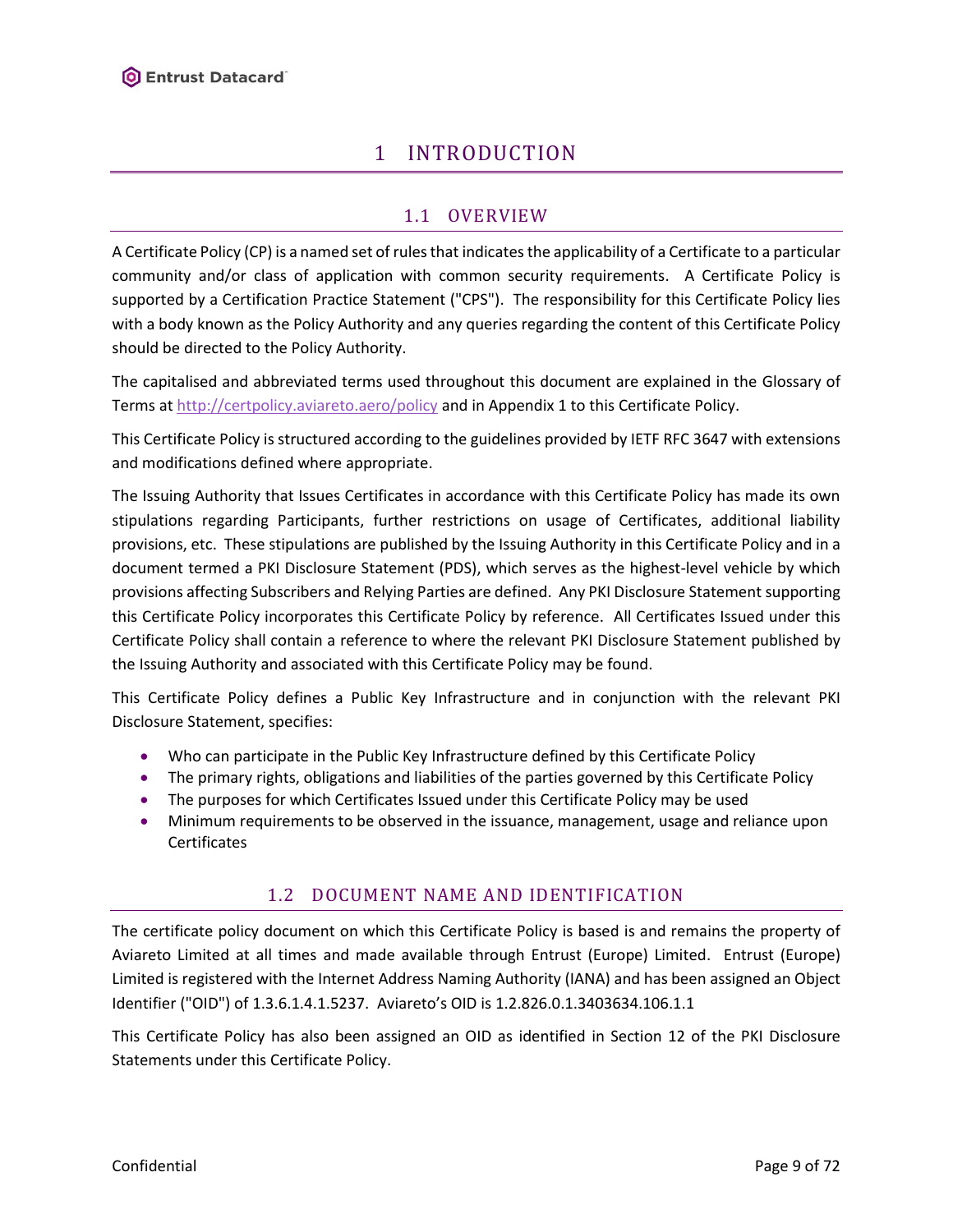# 1 INTRODUCTION

# 1.1 OVERVIEW

<span id="page-8-1"></span><span id="page-8-0"></span>A Certificate Policy (CP) is a named set of rules that indicates the applicability of a Certificate to a particular community and/or class of application with common security requirements. A Certificate Policy is supported by a Certification Practice Statement ("CPS"). The responsibility for this Certificate Policy lies with a body known as the Policy Authority and any queries regarding the content of this Certificate Policy should be directed to the Policy Authority.

The capitalised and abbreviated terms used throughout this document are explained in the Glossary of Terms a[t http://certpolicy.aviareto.aero/policy](http://certpolicy.aviareto.aero/policy) and in Appendix 1 to this Certificate Policy.

This Certificate Policy is structured according to the guidelines provided by IETF RFC 3647 with extensions and modifications defined where appropriate.

The Issuing Authority that Issues Certificates in accordance with this Certificate Policy has made its own stipulations regarding Participants, further restrictions on usage of Certificates, additional liability provisions, etc. These stipulations are published by the Issuing Authority in this Certificate Policy and in a document termed a PKI Disclosure Statement (PDS), which serves as the highest-level vehicle by which provisions affecting Subscribers and Relying Parties are defined. Any PKI Disclosure Statement supporting this Certificate Policy incorporates this Certificate Policy by reference. All Certificates Issued under this Certificate Policy shall contain a reference to where the relevant PKI Disclosure Statement published by the Issuing Authority and associated with this Certificate Policy may be found.

This Certificate Policy defines a Public Key Infrastructure and in conjunction with the relevant PKI Disclosure Statement, specifies:

- Who can participate in the Public Key Infrastructure defined by this Certificate Policy
- The primary rights, obligations and liabilities of the parties governed by this Certificate Policy
- The purposes for which Certificates Issued under this Certificate Policy may be used
- <span id="page-8-2"></span>• Minimum requirements to be observed in the issuance, management, usage and reliance upon Certificates

# 1.2 DOCUMENT NAME AND IDENTIFICATION

The certificate policy document on which this Certificate Policy is based is and remains the property of Aviareto Limited at all times and made available through Entrust (Europe) Limited. Entrust (Europe) Limited is registered with the Internet Address Naming Authority (IANA) and has been assigned an Object Identifier ("OID") of 1.3.6.1.4.1.5237. Aviareto's OID is 1.2.826.0.1.3403634.106.1.1

This Certificate Policy has also been assigned an OID as identified in Section 12 of the PKI Disclosure Statements under this Certificate Policy.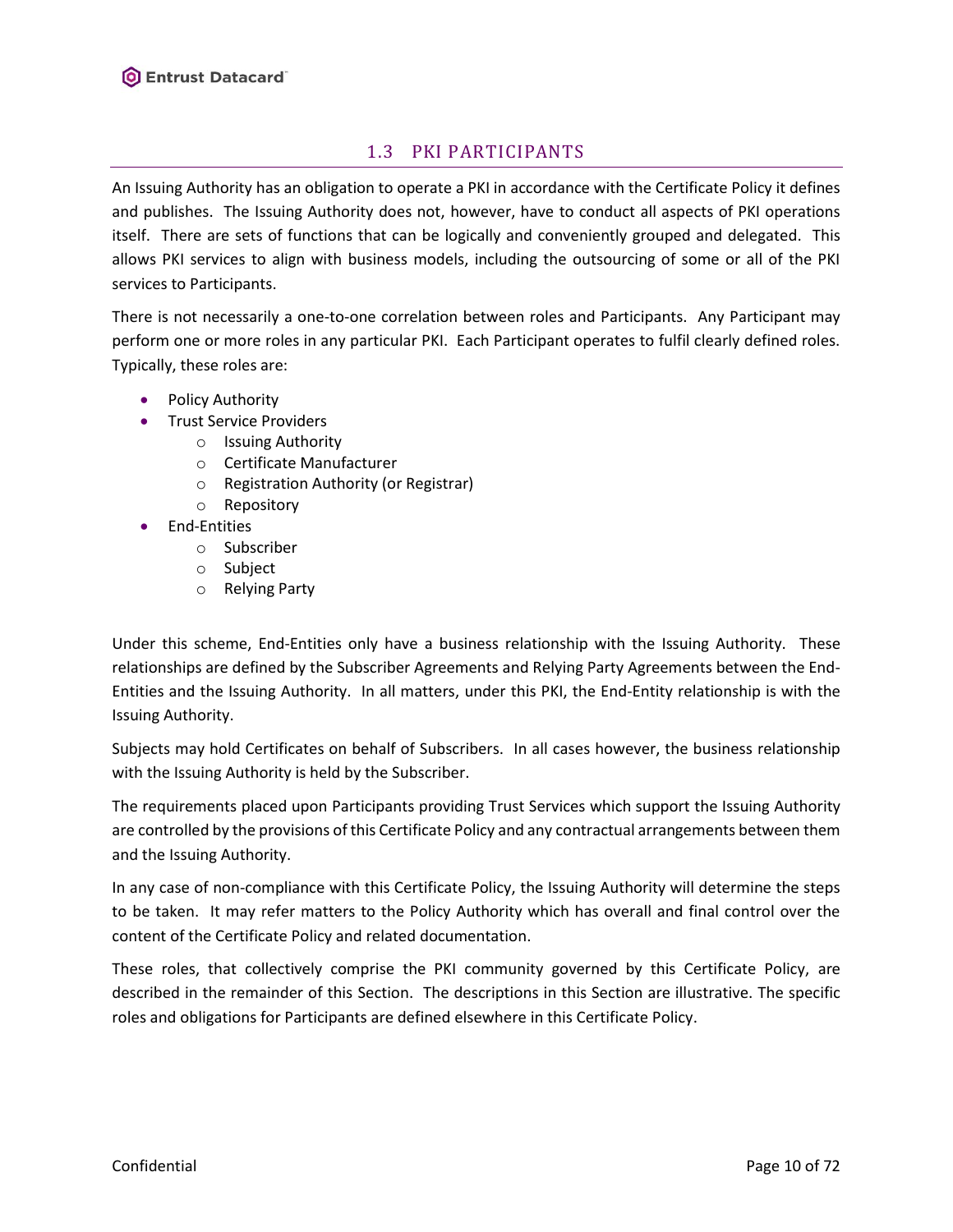# 1.3 PKI PARTICIPANTS

<span id="page-9-0"></span>An Issuing Authority has an obligation to operate a PKI in accordance with the Certificate Policy it defines and publishes. The Issuing Authority does not, however, have to conduct all aspects of PKI operations itself. There are sets of functions that can be logically and conveniently grouped and delegated. This allows PKI services to align with business models, including the outsourcing of some or all of the PKI services to Participants.

There is not necessarily a one-to-one correlation between roles and Participants. Any Participant may perform one or more roles in any particular PKI. Each Participant operates to fulfil clearly defined roles. Typically, these roles are:

- Policy Authority
- Trust Service Providers
	- o Issuing Authority
	- o Certificate Manufacturer
	- o Registration Authority (or Registrar)
	- o Repository
- End-Entities
	- o Subscriber
	- o Subject
	- o Relying Party

Under this scheme, End-Entities only have a business relationship with the Issuing Authority. These relationships are defined by the Subscriber Agreements and Relying Party Agreements between the End-Entities and the Issuing Authority. In all matters, under this PKI, the End-Entity relationship is with the Issuing Authority.

Subjects may hold Certificates on behalf of Subscribers. In all cases however, the business relationship with the Issuing Authority is held by the Subscriber.

The requirements placed upon Participants providing Trust Services which support the Issuing Authority are controlled by the provisions of this Certificate Policy and any contractual arrangements between them and the Issuing Authority.

In any case of non-compliance with this Certificate Policy, the Issuing Authority will determine the steps to be taken. It may refer matters to the Policy Authority which has overall and final control over the content of the Certificate Policy and related documentation.

These roles, that collectively comprise the PKI community governed by this Certificate Policy, are described in the remainder of this Section. The descriptions in this Section are illustrative. The specific roles and obligations for Participants are defined elsewhere in this Certificate Policy.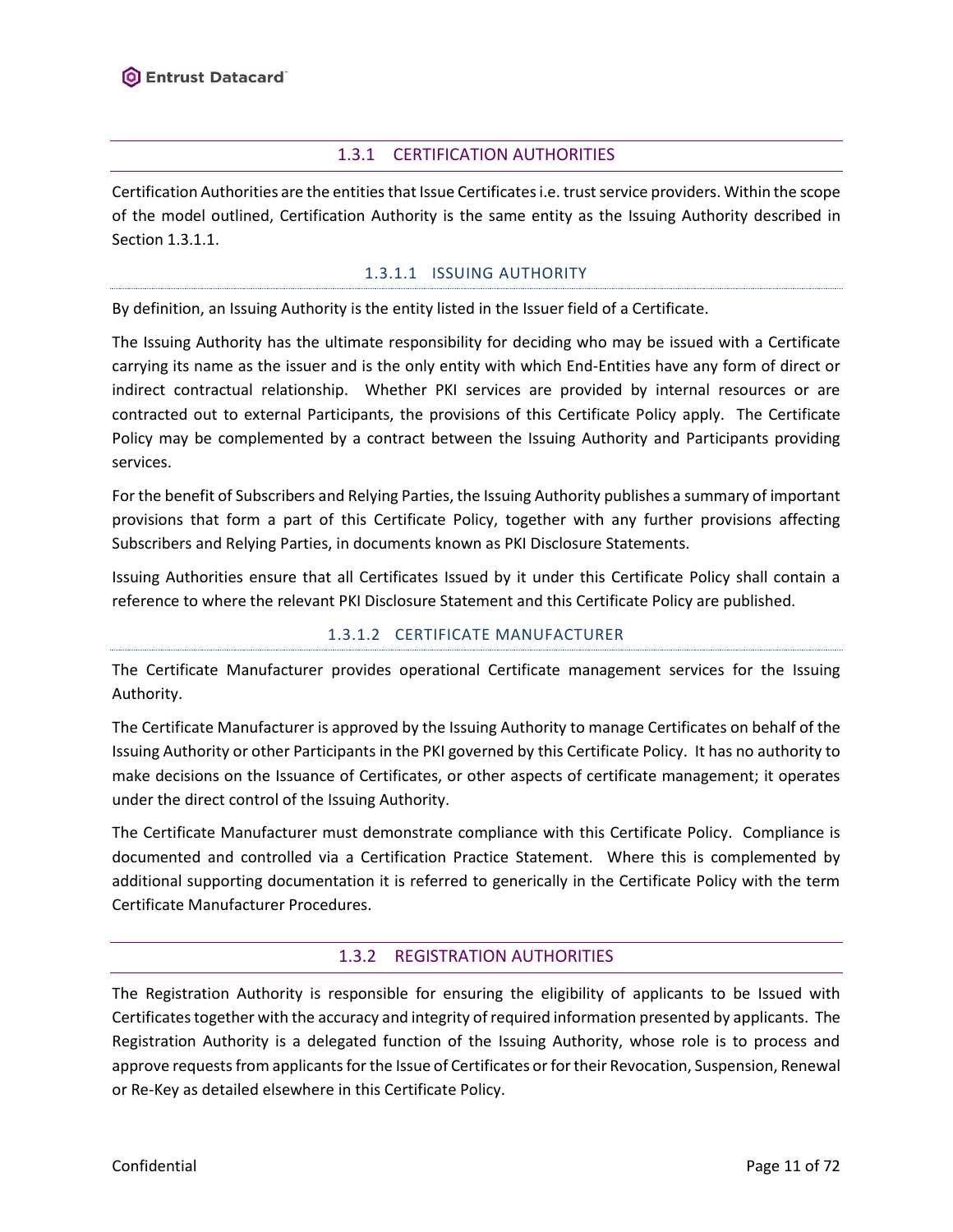### 1.3.1 CERTIFICATION AUTHORITIES

<span id="page-10-0"></span>Certification Authorities are the entities that Issue Certificatesi.e. trust service providers. Within the scope of the model outlined, Certification Authority is the same entity as the Issuing Authority described in Sectio[n 1.3.1.1.](#page-10-2)

### 1.3.1.1 ISSUING AUTHORITY

<span id="page-10-2"></span>By definition, an Issuing Authority is the entity listed in the Issuer field of a Certificate.

The Issuing Authority has the ultimate responsibility for deciding who may be issued with a Certificate carrying its name as the issuer and is the only entity with which End-Entities have any form of direct or indirect contractual relationship. Whether PKI services are provided by internal resources or are contracted out to external Participants, the provisions of this Certificate Policy apply. The Certificate Policy may be complemented by a contract between the Issuing Authority and Participants providing services.

For the benefit of Subscribers and Relying Parties, the Issuing Authority publishes a summary of important provisions that form a part of this Certificate Policy, together with any further provisions affecting Subscribers and Relying Parties, in documents known as PKI Disclosure Statements.

Issuing Authorities ensure that all Certificates Issued by it under this Certificate Policy shall contain a reference to where the relevant PKI Disclosure Statement and this Certificate Policy are published.

### 1.3.1.2 CERTIFICATE MANUFACTURER

The Certificate Manufacturer provides operational Certificate management services for the Issuing Authority.

The Certificate Manufacturer is approved by the Issuing Authority to manage Certificates on behalf of the Issuing Authority or other Participants in the PKI governed by this Certificate Policy. It has no authority to make decisions on the Issuance of Certificates, or other aspects of certificate management; it operates under the direct control of the Issuing Authority.

The Certificate Manufacturer must demonstrate compliance with this Certificate Policy. Compliance is documented and controlled via a Certification Practice Statement. Where this is complemented by additional supporting documentation it is referred to generically in the Certificate Policy with the term Certificate Manufacturer Procedures.

# 1.3.2 REGISTRATION AUTHORITIES

<span id="page-10-1"></span>The Registration Authority is responsible for ensuring the eligibility of applicants to be Issued with Certificates together with the accuracy and integrity of required information presented by applicants. The Registration Authority is a delegated function of the Issuing Authority, whose role is to process and approve requests from applicants for the Issue of Certificates or for their Revocation, Suspension, Renewal or Re-Key as detailed elsewhere in this Certificate Policy.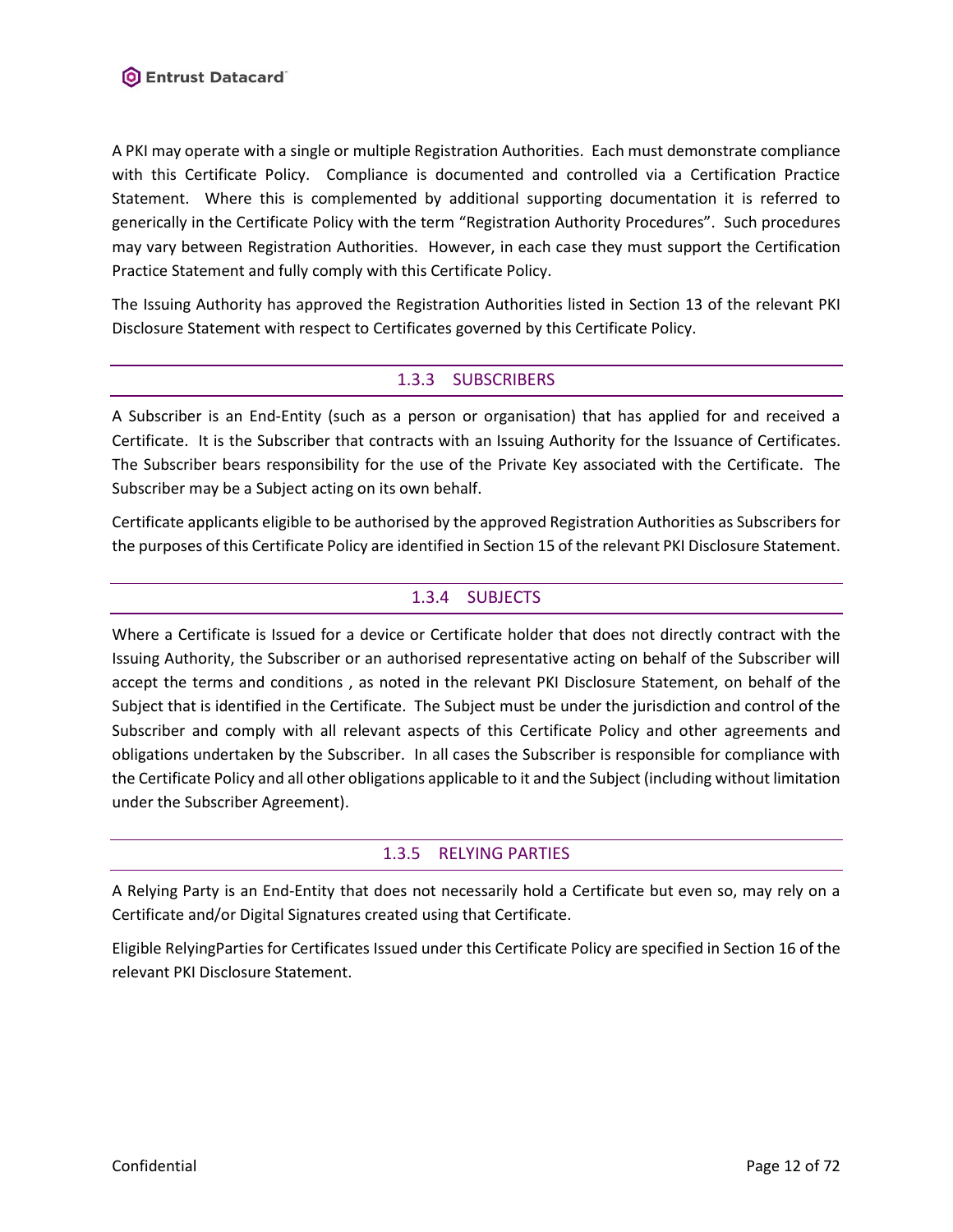A PKI may operate with a single or multiple Registration Authorities. Each must demonstrate compliance with this Certificate Policy. Compliance is documented and controlled via a Certification Practice Statement. Where this is complemented by additional supporting documentation it is referred to generically in the Certificate Policy with the term "Registration Authority Procedures". Such procedures may vary between Registration Authorities. However, in each case they must support the Certification Practice Statement and fully comply with this Certificate Policy.

<span id="page-11-0"></span>The Issuing Authority has approved the Registration Authorities listed in Section 13 of the relevant PKI Disclosure Statement with respect to Certificates governed by this Certificate Policy.

# 1.3.3 SUBSCRIBERS

A Subscriber is an End-Entity (such as a person or organisation) that has applied for and received a Certificate. It is the Subscriber that contracts with an Issuing Authority for the Issuance of Certificates. The Subscriber bears responsibility for the use of the Private Key associated with the Certificate. The Subscriber may be a Subject acting on its own behalf.

<span id="page-11-1"></span>Certificate applicants eligible to be authorised by the approved Registration Authorities as Subscribers for the purposes of this Certificate Policy are identified in Section 15 of the relevant PKI Disclosure Statement.

### 1.3.4 SUBJECTS

Where a Certificate is Issued for a device or Certificate holder that does not directly contract with the Issuing Authority, the Subscriber or an authorised representative acting on behalf of the Subscriber will accept the terms and conditions , as noted in the relevant PKI Disclosure Statement, on behalf of the Subject that is identified in the Certificate. The Subject must be under the jurisdiction and control of the Subscriber and comply with all relevant aspects of this Certificate Policy and other agreements and obligations undertaken by the Subscriber. In all cases the Subscriber is responsible for compliance with the Certificate Policy and all other obligations applicable to it and the Subject (including without limitation under the Subscriber Agreement).

### 1.3.5 RELYING PARTIES

<span id="page-11-2"></span>A Relying Party is an End-Entity that does not necessarily hold a Certificate but even so, may rely on a Certificate and/or Digital Signatures created using that Certificate.

Eligible RelyingParties for Certificates Issued under this Certificate Policy are specified in Section 16 of the relevant PKI Disclosure Statement.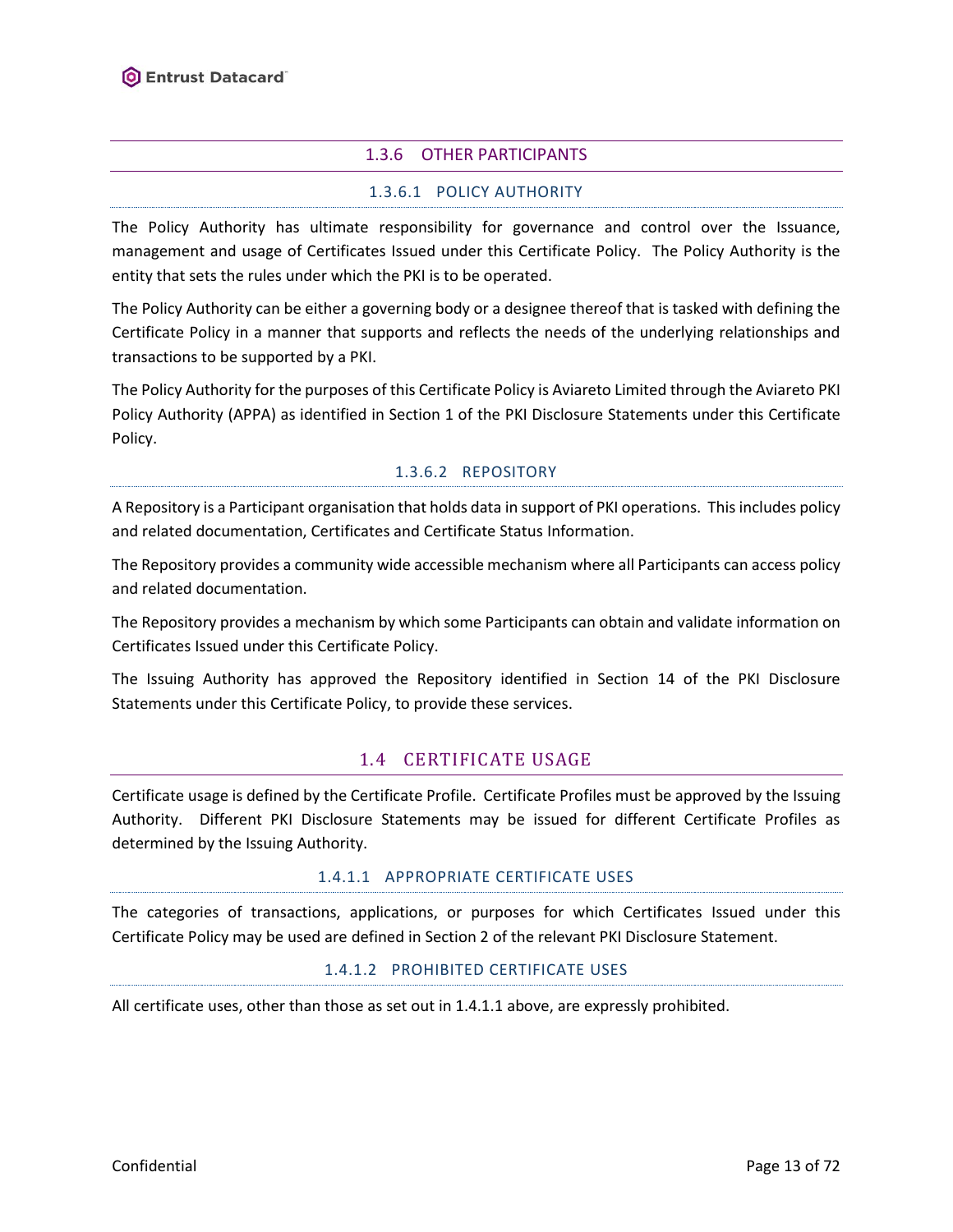# 1.3.6 OTHER PARTICIPANTS

# 1.3.6.1 POLICY AUTHORITY

<span id="page-12-0"></span>The Policy Authority has ultimate responsibility for governance and control over the Issuance, management and usage of Certificates Issued under this Certificate Policy. The Policy Authority is the entity that sets the rules under which the PKI is to be operated.

The Policy Authority can be either a governing body or a designee thereof that is tasked with defining the Certificate Policy in a manner that supports and reflects the needs of the underlying relationships and transactions to be supported by a PKI.

The Policy Authority for the purposes of this Certificate Policy is Aviareto Limited through the Aviareto PKI Policy Authority (APPA) as identified in Section 1 of the PKI Disclosure Statements under this Certificate Policy.

# 1.3.6.2 REPOSITORY

A Repository is a Participant organisation that holds data in support of PKI operations. This includes policy and related documentation, Certificates and Certificate Status Information.

The Repository provides a community wide accessible mechanism where all Participants can access policy and related documentation.

The Repository provides a mechanism by which some Participants can obtain and validate information on Certificates Issued under this Certificate Policy.

<span id="page-12-1"></span>The Issuing Authority has approved the Repository identified in Section 14 of the PKI Disclosure Statements under this Certificate Policy, to provide these services.

# 1.4 CERTIFICATE USAGE

Certificate usage is defined by the Certificate Profile. Certificate Profiles must be approved by the Issuing Authority. Different PKI Disclosure Statements may be issued for different Certificate Profiles as determined by the Issuing Authority.

### 1.4.1.1 APPROPRIATE CERTIFICATE USES

The categories of transactions, applications, or purposes for which Certificates Issued under this Certificate Policy may be used are defined in Section 2 of the relevant PKI Disclosure Statement.

### 1.4.1.2 PROHIBITED CERTIFICATE USES

All certificate uses, other than those as set out in 1.4.1.1 above, are expressly prohibited.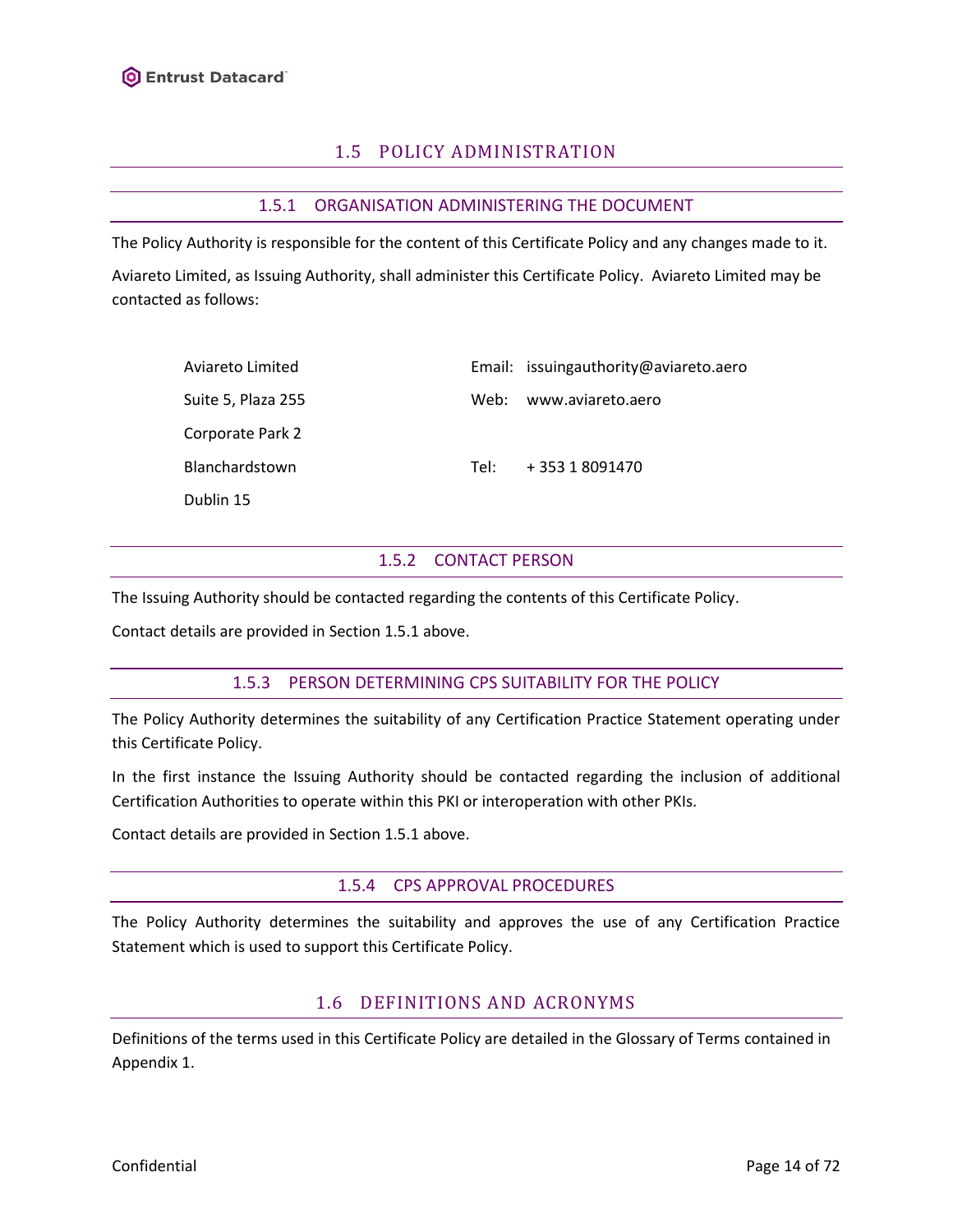# 1.5 POLICY ADMINISTRATION

# 1.5.1 ORGANISATION ADMINISTERING THE DOCUMENT

<span id="page-13-1"></span><span id="page-13-0"></span>The Policy Authority is responsible for the content of this Certificate Policy and any changes made to it. Aviareto Limited, as Issuing Authority, shall administer this Certificate Policy. Aviareto Limited may be contacted as follows:

| Aviareto Limited   |      | Email: issuingauthority@aviareto.aero |
|--------------------|------|---------------------------------------|
| Suite 5, Plaza 255 |      | Web: www.aviareto.aero                |
| Corporate Park 2   |      |                                       |
| Blanchardstown     | Tel: | +35318091470                          |
| Dublin 15          |      |                                       |

### 1.5.2 CONTACT PERSON

<span id="page-13-2"></span>The Issuing Authority should be contacted regarding the contents of this Certificate Policy.

<span id="page-13-3"></span>Contact details are provided in Section [1.5.1](#page-13-1) above.

### 1.5.3 PERSON DETERMINING CPS SUITABILITY FOR THE POLICY

The Policy Authority determines the suitability of any Certification Practice Statement operating under this Certificate Policy.

In the first instance the Issuing Authority should be contacted regarding the inclusion of additional Certification Authorities to operate within this PKI or interoperation with other PKIs.

<span id="page-13-4"></span>Contact details are provided in Section [1.5.1](#page-13-1) above.

### 1.5.4 CPS APPROVAL PROCEDURES

<span id="page-13-5"></span>The Policy Authority determines the suitability and approves the use of any Certification Practice Statement which is used to support this Certificate Policy.

# 1.6 DEFINITIONS AND ACRONYMS

Definitions of the terms used in this Certificate Policy are detailed in the Glossary of Terms contained in Appendix 1.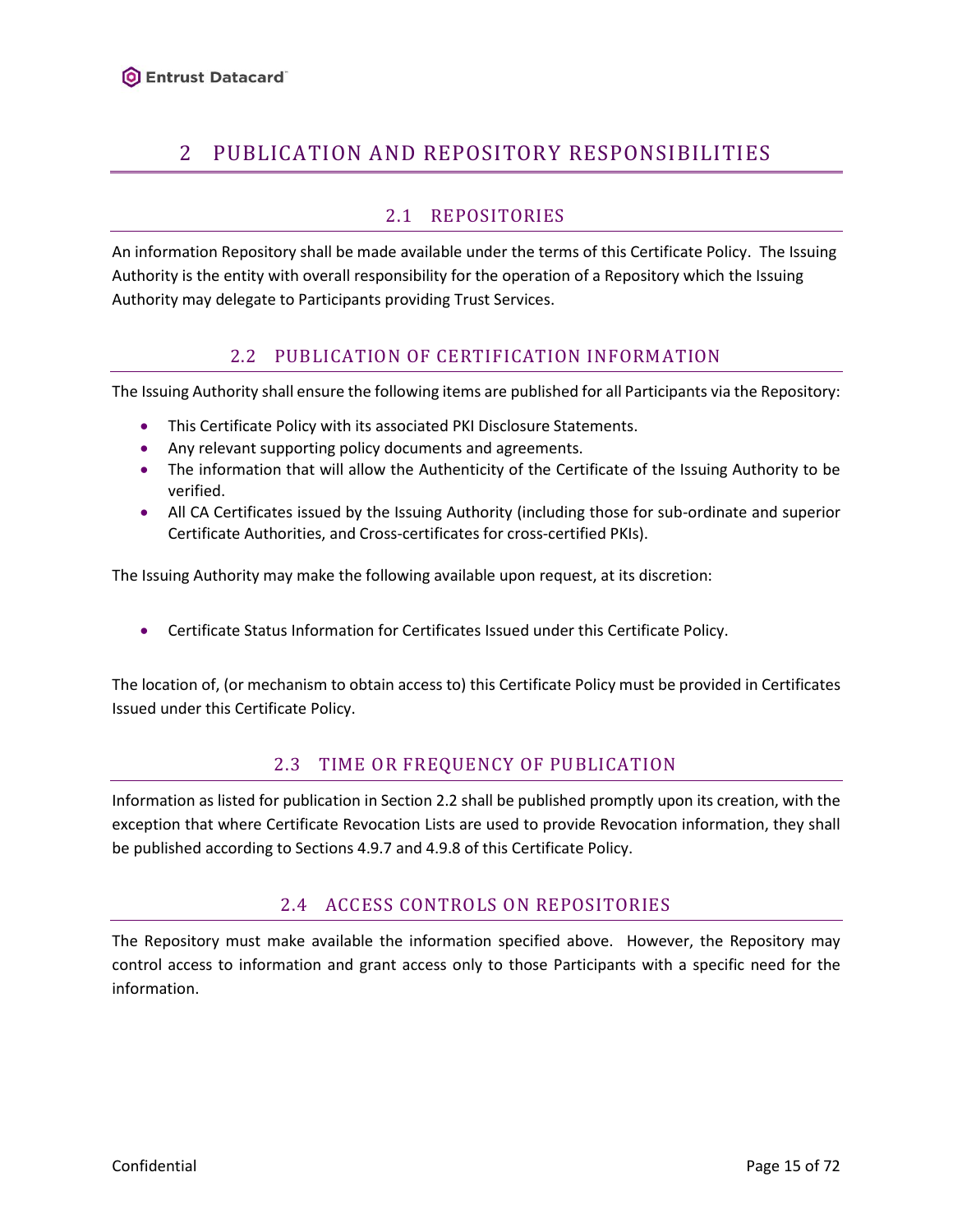# <span id="page-14-0"></span>2 PUBLICATION AND REPOSITORY RESPONSIBILITIES

# 2.1 REPOSITORIES

<span id="page-14-1"></span>An information Repository shall be made available under the terms of this Certificate Policy. The Issuing Authority is the entity with overall responsibility for the operation of a Repository which the Issuing Authority may delegate to Participants providing Trust Services.

# 2.2 PUBLICATION OF CERTIFICATION INFORMATION

<span id="page-14-2"></span>The Issuing Authority shall ensure the following items are published for all Participants via the Repository:

- This Certificate Policy with its associated PKI Disclosure Statements.
- Any relevant supporting policy documents and agreements.
- The information that will allow the Authenticity of the Certificate of the Issuing Authority to be verified.
- All CA Certificates issued by the Issuing Authority (including those for sub-ordinate and superior Certificate Authorities, and Cross-certificates for cross-certified PKIs).

The Issuing Authority may make the following available upon request, at its discretion:

• Certificate Status Information for Certificates Issued under this Certificate Policy.

<span id="page-14-3"></span>The location of, (or mechanism to obtain access to) this Certificate Policy must be provided in Certificates Issued under this Certificate Policy.

# 2.3 TIME OR FREQUENCY OF PUBLICATION

Information as listed for publication in Section 2.2 shall be published promptly upon its creation, with the exception that where Certificate Revocation Lists are used to provide Revocation information, they shall be published according to Sections [4.9.7](#page-27-1) an[d 4.9.8](#page-27-2) of this Certificate Policy.

# 2.4 ACCESS CONTROLS ON REPOSITORIES

<span id="page-14-4"></span>The Repository must make available the information specified above. However, the Repository may control access to information and grant access only to those Participants with a specific need for the information.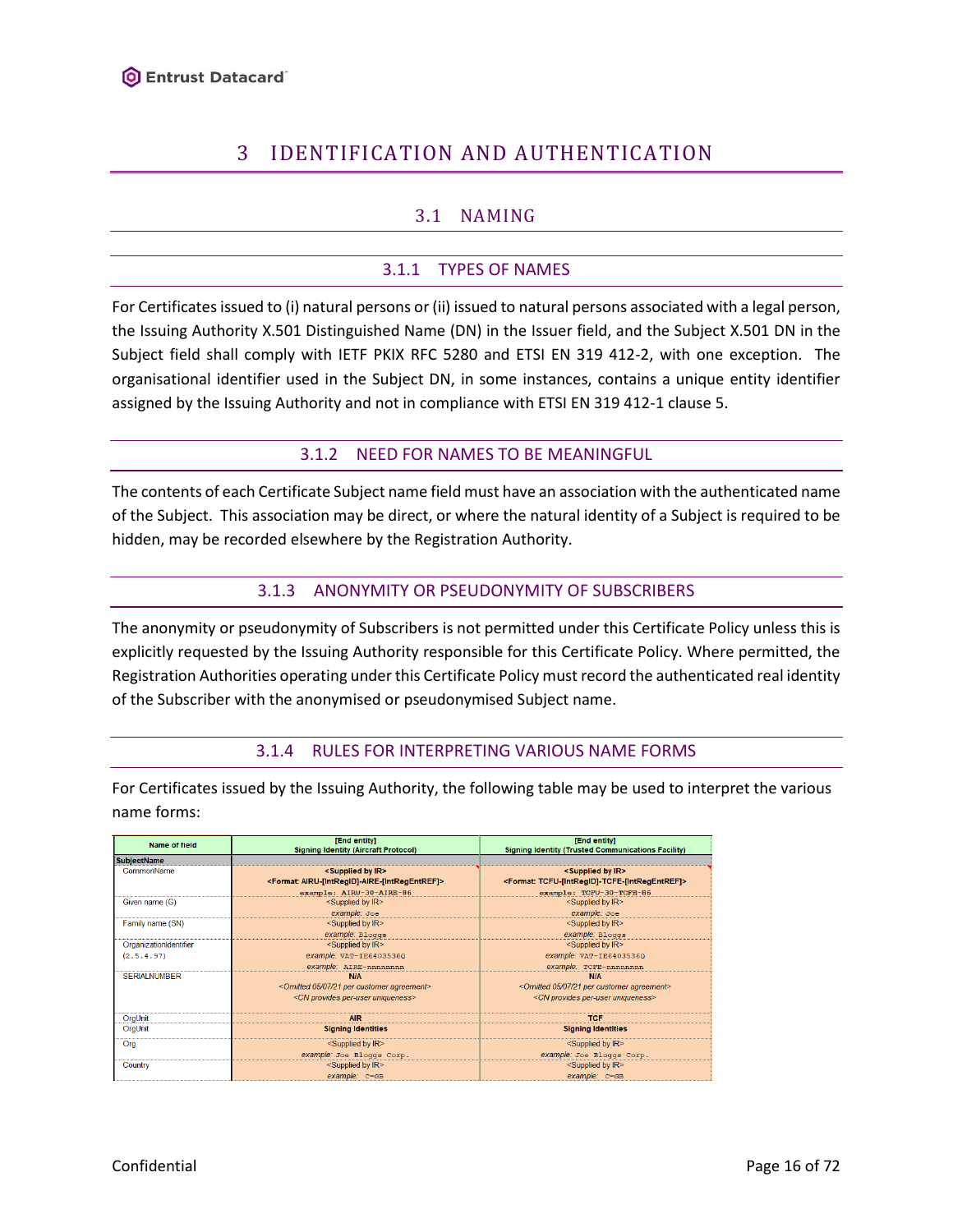# <span id="page-15-0"></span>3 IDENTIFICATION AND AUTHENTICATION

# 3.1 NAMING

# 3.1.1 TYPES OF NAMES

<span id="page-15-2"></span><span id="page-15-1"></span>For Certificates issued to (i) natural persons or (ii) issued to natural persons associated with a legal person, the Issuing Authority X.501 Distinguished Name (DN) in the Issuer field, and the Subject X.501 DN in the Subject field shall comply with IETF PKIX RFC 5280 and ETSI EN 319 412-2, with one exception. The organisational identifier used in the Subject DN, in some instances, contains a unique entity identifier assigned by the Issuing Authority and not in compliance with ETSI EN 319 412-1 clause 5.

# 3.1.2 NEED FOR NAMES TO BE MEANINGFUL

<span id="page-15-3"></span>The contents of each Certificate Subject name field must have an association with the authenticated name of the Subject. This association may be direct, or where the natural identity of a Subject is required to be hidden, may be recorded elsewhere by the Registration Authority.

# 3.1.3 ANONYMITY OR PSEUDONYMITY OF SUBSCRIBERS

<span id="page-15-4"></span>The anonymity or pseudonymity of Subscribers is not permitted under this Certificate Policy unless this is explicitly requested by the Issuing Authority responsible for this Certificate Policy. Where permitted, the Registration Authorities operating under this Certificate Policy must record the authenticated real identity of the Subscriber with the anonymised or pseudonymised Subject name.

# 3.1.4 RULES FOR INTERPRETING VARIOUS NAME FORMS

<span id="page-15-5"></span>For Certificates issued by the Issuing Authority, the following table may be used to interpret the various name forms:

| Name of field          | [End entity]<br><b>Signing Identity (Aircraft Protocol)</b>           | [End entity]<br><b>Signing Identity (Trusted Communications Facility)</b> |  |
|------------------------|-----------------------------------------------------------------------|---------------------------------------------------------------------------|--|
| <b>SubiectName</b>     |                                                                       |                                                                           |  |
| CommonName             | <supplied by="" ir=""></supplied>                                     | <supplied by="" ir=""></supplied>                                         |  |
|                        | <format: airu-[intregid]-aire-[intregentref]=""></format:>            | <format: tcfu-[intregid]-tcfe-[intregentref]=""></format:>                |  |
|                        | example: AIRU-30-AIRE-86                                              | example: TCFU-30-TCFE-86                                                  |  |
| Given name (G)         | <supplied by="" ir=""></supplied>                                     | <supplied by="" ir=""></supplied>                                         |  |
|                        | example: Joe                                                          | example: Joe                                                              |  |
| Family name (SN)       | <supplied by="" ir=""></supplied>                                     | <supplied by="" ir=""></supplied>                                         |  |
|                        | example: Bloggs                                                       | example: Bloggs                                                           |  |
| OrganizationIdentifier | <supplied by="" ir=""></supplied>                                     | <supplied by="" ir=""></supplied>                                         |  |
| (2.5.4.97)             | example: VAT-IE6403536Q                                               | example: VAT-IE6403536Q                                                   |  |
|                        | example: AIRE-nnnnnnnn                                                | example: TCFE-nnnnnnnn                                                    |  |
| <b>SERIALNUMBER</b>    | <b>N/A</b>                                                            | <b>N/A</b>                                                                |  |
|                        | <omitted 05="" 07="" 21="" agreement="" customer="" per=""></omitted> | <omitted 05="" 07="" 21="" agreement="" customer="" per=""></omitted>     |  |
|                        | <cn per-user="" provides="" uniqueness=""></cn>                       | <cn per-user="" provides="" uniqueness=""></cn>                           |  |
| OraUnit                | AIR                                                                   | <b>TCF</b>                                                                |  |
| OrgUnit                | <b>Signing Identities</b>                                             | <b>Signing Identities</b>                                                 |  |
| Ora                    | $\le$ Supplied by $IR$                                                | $\le$ Supplied by $IR$                                                    |  |
|                        | example: Joe Bloggs Corp.                                             | example: Joe Bloggs Corp.                                                 |  |
| Country                | <supplied by="" ir=""></supplied>                                     | <supplied by="" ir=""></supplied>                                         |  |
|                        | example: C=GB                                                         | example: C=GB                                                             |  |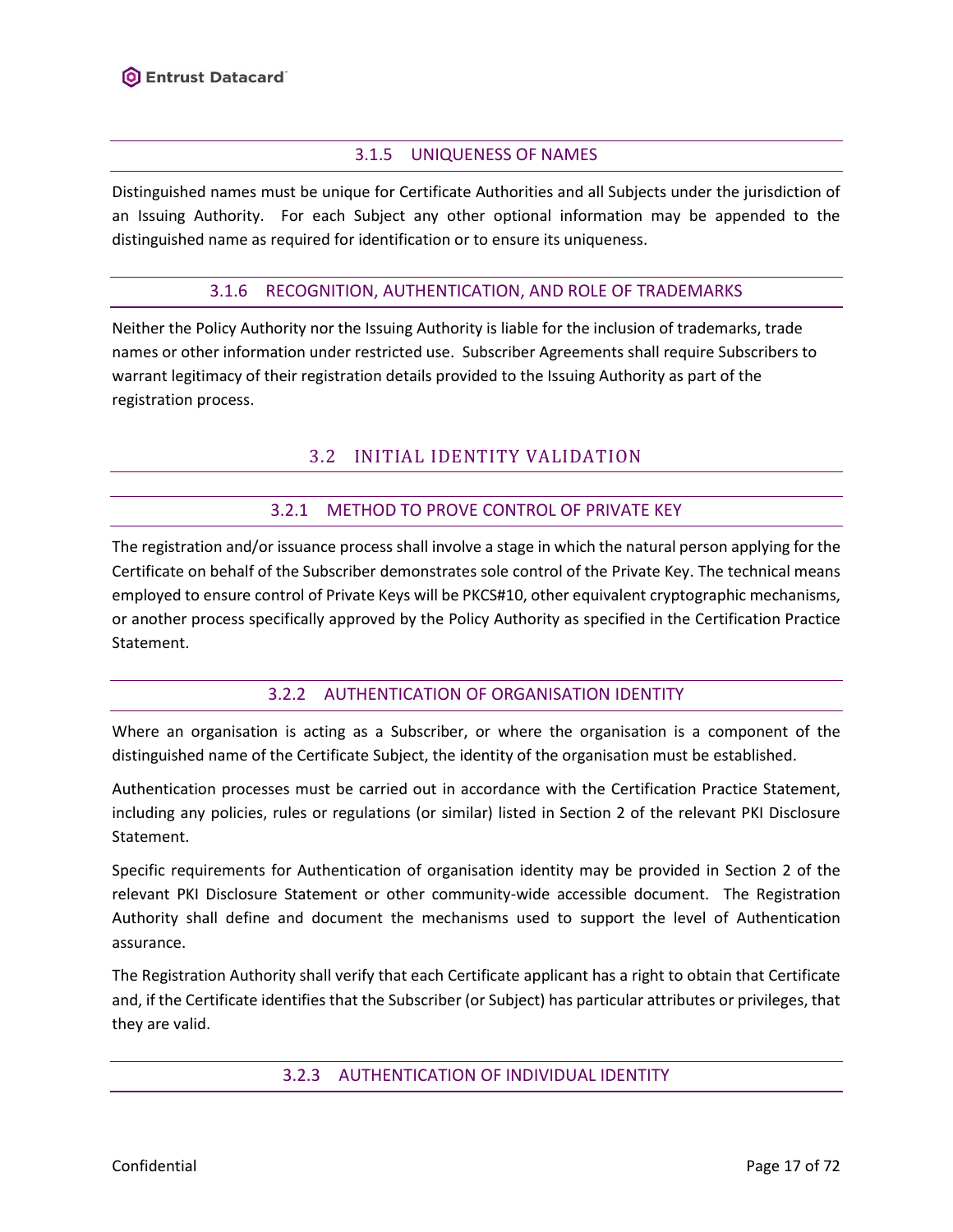# 3.1.5 UNIQUENESS OF NAMES

<span id="page-16-0"></span>Distinguished names must be unique for Certificate Authorities and all Subjects under the jurisdiction of an Issuing Authority. For each Subject any other optional information may be appended to the distinguished name as required for identification or to ensure its uniqueness.

### 3.1.6 RECOGNITION, AUTHENTICATION, AND ROLE OF TRADEMARKS

<span id="page-16-2"></span><span id="page-16-1"></span>Neither the Policy Authority nor the Issuing Authority is liable for the inclusion of trademarks, trade names or other information under restricted use. Subscriber Agreements shall require Subscribers to warrant legitimacy of their registration details provided to the Issuing Authority as part of the registration process.

# 3.2 INITIAL IDENTITY VALIDATION

# 3.2.1 METHOD TO PROVE CONTROL OF PRIVATE KEY

<span id="page-16-3"></span>The registration and/or issuance process shall involve a stage in which the natural person applying for the Certificate on behalf of the Subscriber demonstrates sole control of the Private Key. The technical means employed to ensure control of Private Keys will be PKCS#10, other equivalent cryptographic mechanisms, or another process specifically approved by the Policy Authority as specified in the Certification Practice Statement.

# 3.2.2 AUTHENTICATION OF ORGANISATION IDENTITY

<span id="page-16-4"></span>Where an organisation is acting as a Subscriber, or where the organisation is a component of the distinguished name of the Certificate Subject, the identity of the organisation must be established.

Authentication processes must be carried out in accordance with the Certification Practice Statement, including any policies, rules or regulations (or similar) listed in Section 2 of the relevant PKI Disclosure Statement.

Specific requirements for Authentication of organisation identity may be provided in Section 2 of the relevant PKI Disclosure Statement or other community-wide accessible document. The Registration Authority shall define and document the mechanisms used to support the level of Authentication assurance.

<span id="page-16-5"></span>The Registration Authority shall verify that each Certificate applicant has a right to obtain that Certificate and, if the Certificate identifies that the Subscriber (or Subject) has particular attributes or privileges, that they are valid.

### 3.2.3 AUTHENTICATION OF INDIVIDUAL IDENTITY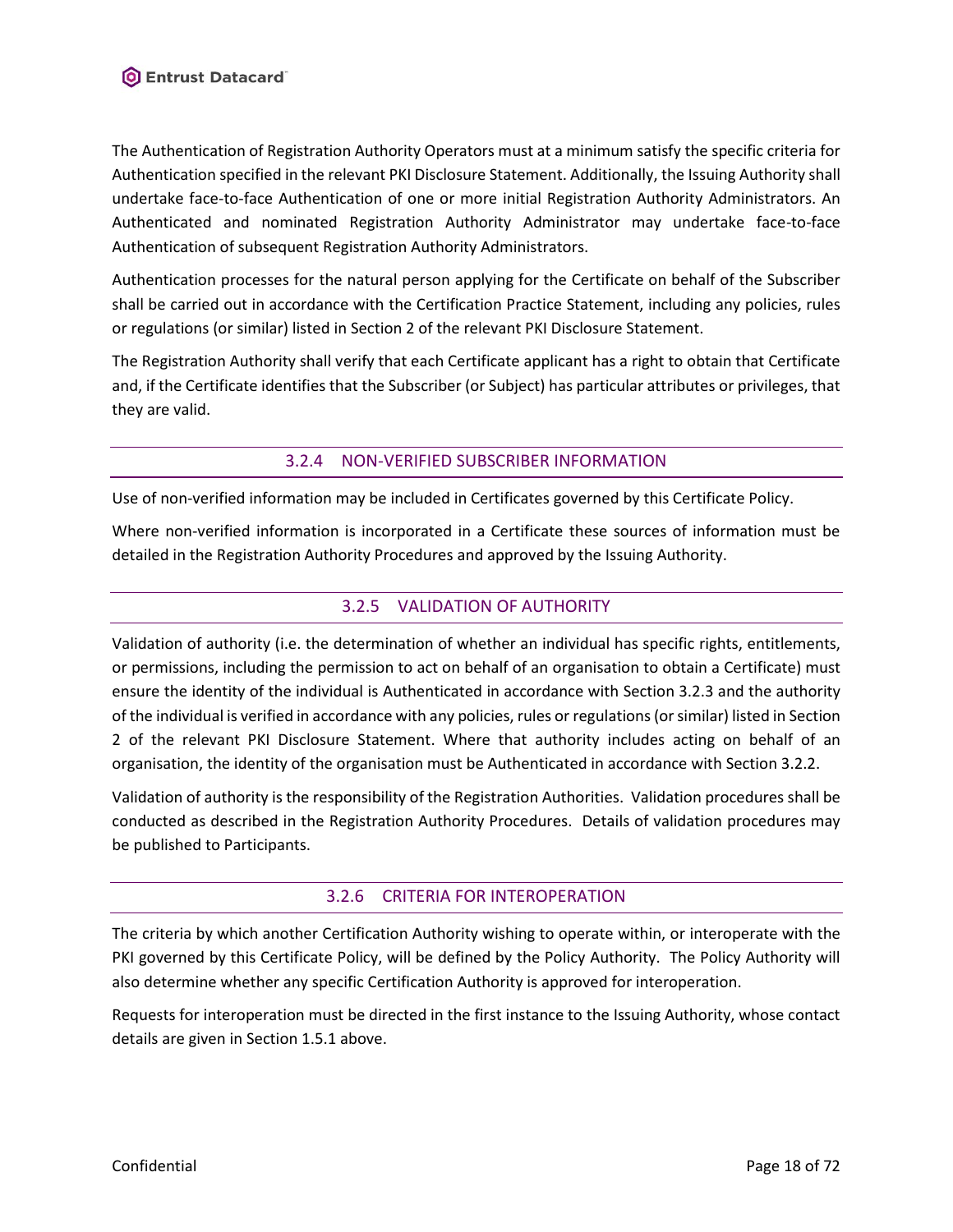The Authentication of Registration Authority Operators must at a minimum satisfy the specific criteria for Authentication specified in the relevant PKI Disclosure Statement. Additionally, the Issuing Authority shall undertake face-to-face Authentication of one or more initial Registration Authority Administrators. An Authenticated and nominated Registration Authority Administrator may undertake face-to-face Authentication of subsequent Registration Authority Administrators.

Authentication processes for the natural person applying for the Certificate on behalf of the Subscriber shall be carried out in accordance with the Certification Practice Statement, including any policies, rules or regulations (or similar) listed in Section 2 of the relevant PKI Disclosure Statement.

The Registration Authority shall verify that each Certificate applicant has a right to obtain that Certificate and, if the Certificate identifies that the Subscriber (or Subject) has particular attributes or privileges, that they are valid.

# 3.2.4 NON-VERIFIED SUBSCRIBER INFORMATION

<span id="page-17-0"></span>Use of non-verified information may be included in Certificates governed by this Certificate Policy.

<span id="page-17-1"></span>Where non-verified information is incorporated in a Certificate these sources of information must be detailed in the Registration Authority Procedures and approved by the Issuing Authority.

# 3.2.5 VALIDATION OF AUTHORITY

Validation of authority (i.e. the determination of whether an individual has specific rights, entitlements, or permissions, including the permission to act on behalf of an organisation to obtain a Certificate) must ensure the identity of the individual is Authenticated in accordance with Section [3.2.3](#page-16-5) and the authority of the individual is verified in accordance with any policies, rules or regulations (or similar) listed in Section 2 of the relevant PKI Disclosure Statement. Where that authority includes acting on behalf of an organisation, the identity of the organisation must be Authenticated in accordance with Section [3.2.2.](#page-16-4)

Validation of authority is the responsibility of the Registration Authorities. Validation procedures shall be conducted as described in the Registration Authority Procedures. Details of validation procedures may be published to Participants.

# 3.2.6 CRITERIA FOR INTEROPERATION

<span id="page-17-2"></span>The criteria by which another Certification Authority wishing to operate within, or interoperate with the PKI governed by this Certificate Policy, will be defined by the Policy Authority. The Policy Authority will also determine whether any specific Certification Authority is approved for interoperation.

Requests for interoperation must be directed in the first instance to the Issuing Authority, whose contact details are given in Section 1.5.1 above.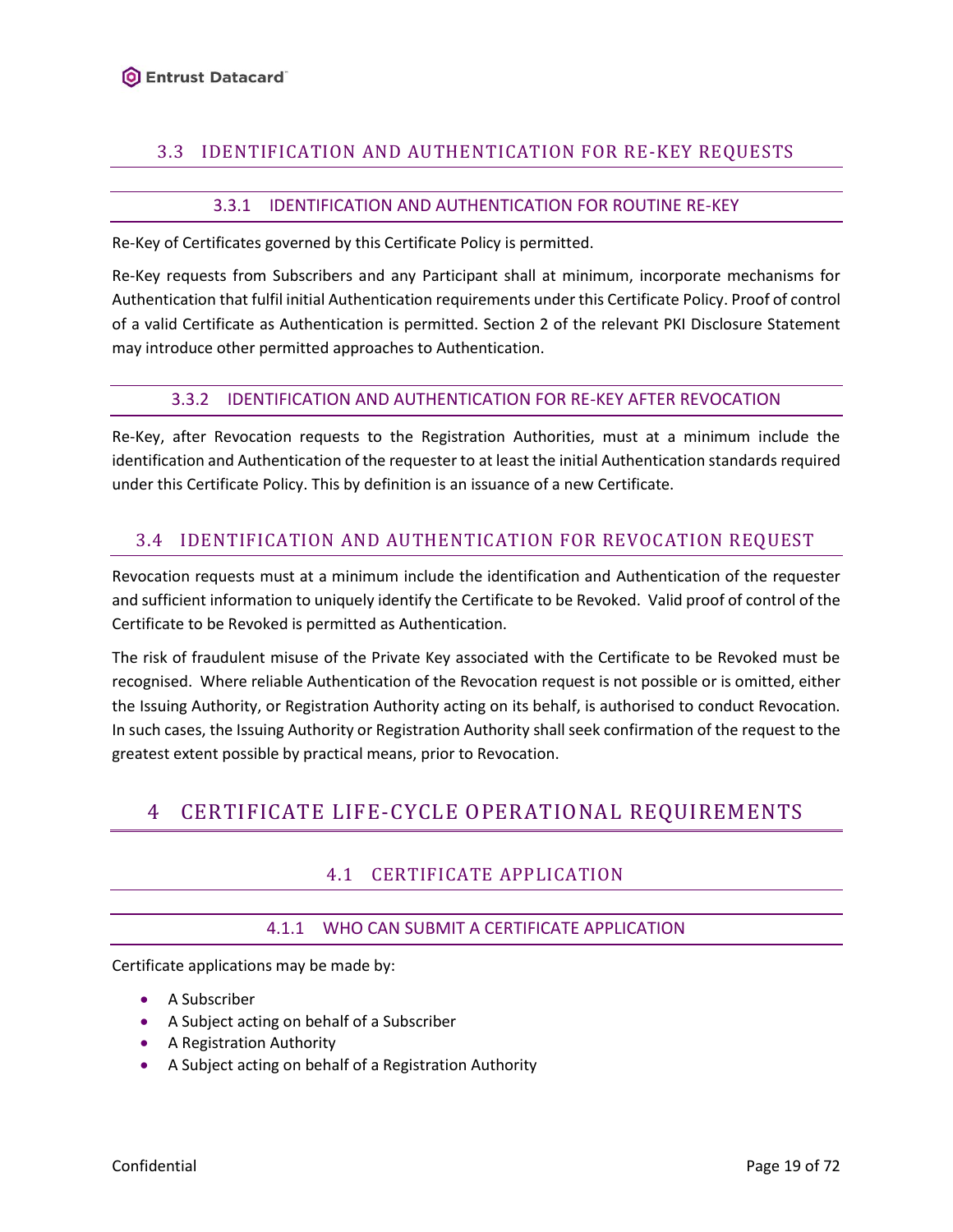# <span id="page-18-0"></span>3.3 IDENTIFICATION AND AUTHENTICATION FOR RE-KEY REQUESTS

# 3.3.1 IDENTIFICATION AND AUTHENTICATION FOR ROUTINE RE-KEY

<span id="page-18-1"></span>Re-Key of Certificates governed by this Certificate Policy is permitted.

Re-Key requests from Subscribers and any Participant shall at minimum, incorporate mechanisms for Authentication that fulfil initial Authentication requirements under this Certificate Policy. Proof of control of a valid Certificate as Authentication is permitted. Section 2 of the relevant PKI Disclosure Statement may introduce other permitted approaches to Authentication.

#### 3.3.2 IDENTIFICATION AND AUTHENTICATION FOR RE-KEY AFTER REVOCATION

<span id="page-18-2"></span>Re-Key, after Revocation requests to the Registration Authorities, must at a minimum include the identification and Authentication of the requester to at least the initial Authentication standards required under this Certificate Policy. This by definition is an issuance of a new Certificate.

# <span id="page-18-3"></span>3.4 IDENTIFICATION AND AUTHENTICATION FOR REVOCATION REQUEST

Revocation requests must at a minimum include the identification and Authentication of the requester and sufficient information to uniquely identify the Certificate to be Revoked. Valid proof of control of the Certificate to be Revoked is permitted as Authentication.

The risk of fraudulent misuse of the Private Key associated with the Certificate to be Revoked must be recognised. Where reliable Authentication of the Revocation request is not possible or is omitted, either the Issuing Authority, or Registration Authority acting on its behalf, is authorised to conduct Revocation. In such cases, the Issuing Authority or Registration Authority shall seek confirmation of the request to the greatest extent possible by practical means, prior to Revocation.

# <span id="page-18-5"></span><span id="page-18-4"></span>4 CERTIFICATE LIFE-CYCLE OPERATIONAL REQUIREMENTS

# 4.1 CERTIFICATE APPLICATION

# 4.1.1 WHO CAN SUBMIT A CERTIFICATE APPLICATION

<span id="page-18-6"></span>Certificate applications may be made by:

- A Subscriber
- A Subject acting on behalf of a Subscriber
- A Registration Authority
- A Subject acting on behalf of a Registration Authority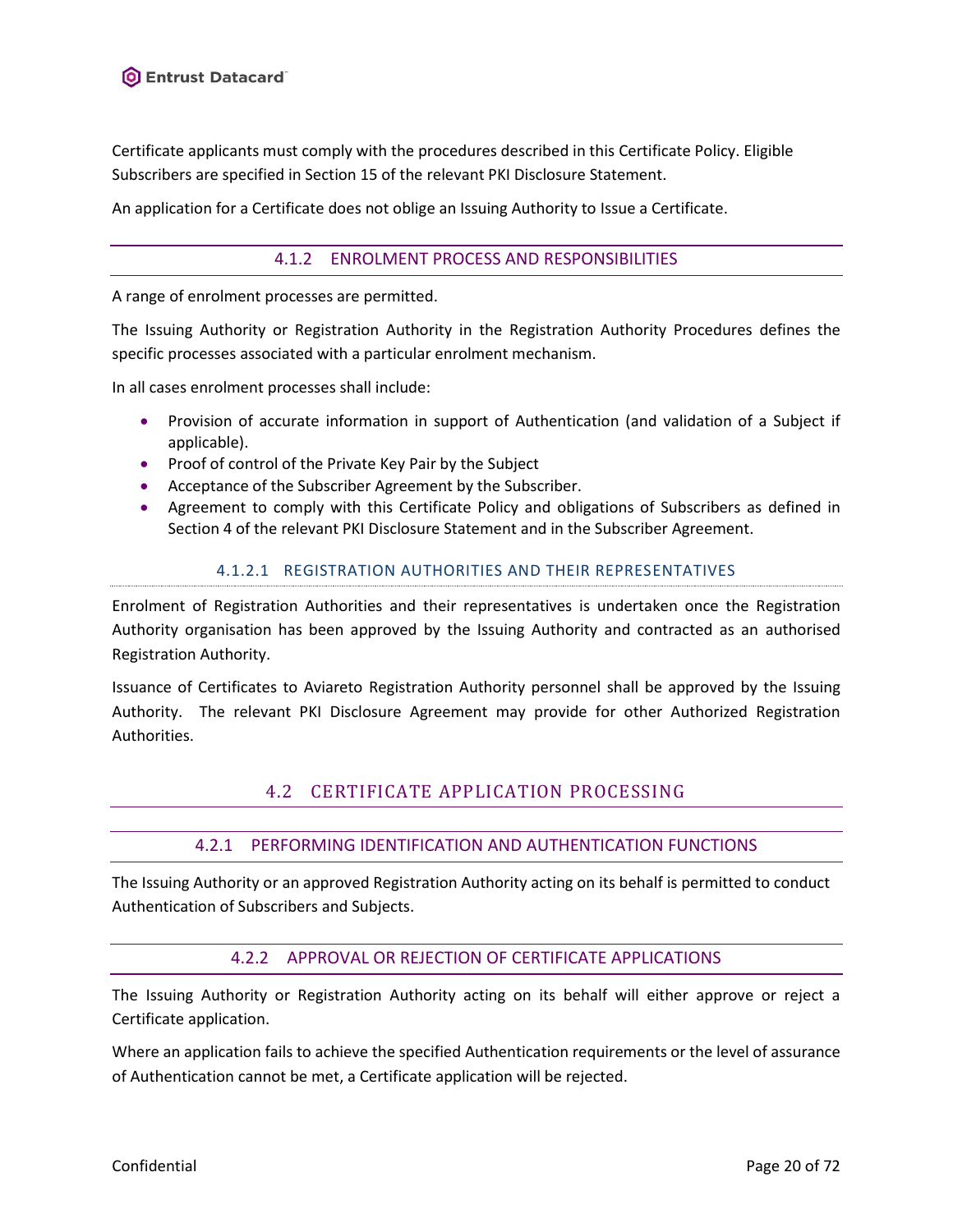Certificate applicants must comply with the procedures described in this Certificate Policy. Eligible Subscribers are specified in Section 15 of the relevant PKI Disclosure Statement.

<span id="page-19-0"></span>An application for a Certificate does not oblige an Issuing Authority to Issue a Certificate.

### 4.1.2 ENROLMENT PROCESS AND RESPONSIBILITIES

A range of enrolment processes are permitted.

The Issuing Authority or Registration Authority in the Registration Authority Procedures defines the specific processes associated with a particular enrolment mechanism.

In all cases enrolment processes shall include:

- Provision of accurate information in support of Authentication (and validation of a Subject if applicable).
- Proof of control of the Private Key Pair by the Subject
- Acceptance of the Subscriber Agreement by the Subscriber.
- Agreement to comply with this Certificate Policy and obligations of Subscribers as defined in Section 4 of the relevant PKI Disclosure Statement and in the Subscriber Agreement.

### 4.1.2.1 REGISTRATION AUTHORITIES AND THEIR REPRESENTATIVES

Enrolment of Registration Authorities and their representatives is undertaken once the Registration Authority organisation has been approved by the Issuing Authority and contracted as an authorised Registration Authority.

<span id="page-19-1"></span>Issuance of Certificates to Aviareto Registration Authority personnel shall be approved by the Issuing Authority. The relevant PKI Disclosure Agreement may provide for other Authorized Registration Authorities.

# 4.2 CERTIFICATE APPLICATION PROCESSING

# 4.2.1 PERFORMING IDENTIFICATION AND AUTHENTICATION FUNCTIONS

<span id="page-19-3"></span><span id="page-19-2"></span>The Issuing Authority or an approved Registration Authority acting on its behalf is permitted to conduct Authentication of Subscribers and Subjects.

### 4.2.2 APPROVAL OR REJECTION OF CERTIFICATE APPLICATIONS

The Issuing Authority or Registration Authority acting on its behalf will either approve or reject a Certificate application.

Where an application fails to achieve the specified Authentication requirements or the level of assurance of Authentication cannot be met, a Certificate application will be rejected.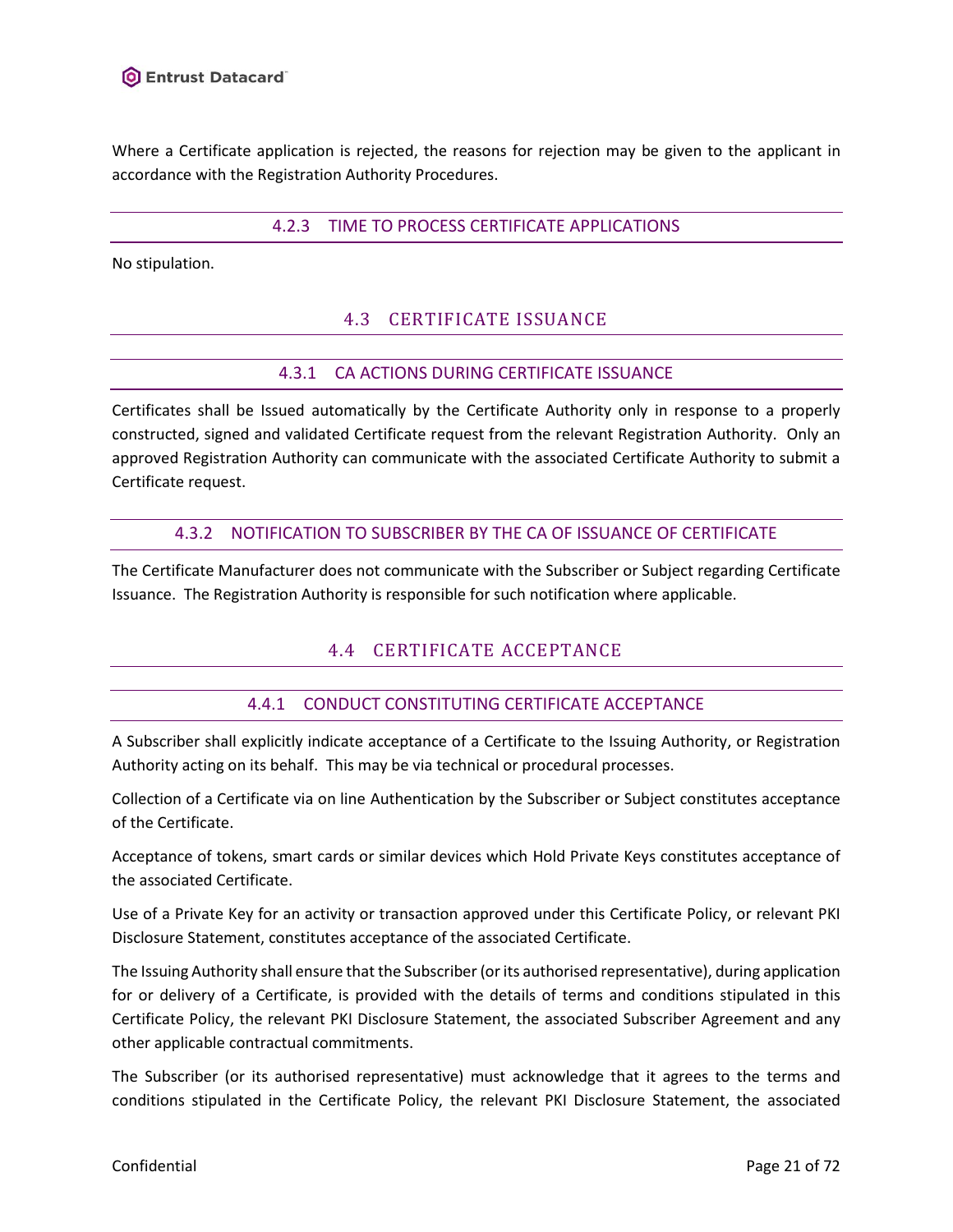<span id="page-20-0"></span>Where a Certificate application is rejected, the reasons for rejection may be given to the applicant in accordance with the Registration Authority Procedures.

### 4.2.3 TIME TO PROCESS CERTIFICATE APPLICATIONS

<span id="page-20-1"></span>No stipulation.

# 4.3 CERTIFICATE ISSUANCE

### 4.3.1 CA ACTIONS DURING CERTIFICATE ISSUANCE

<span id="page-20-2"></span>Certificates shall be Issued automatically by the Certificate Authority only in response to a properly constructed, signed and validated Certificate request from the relevant Registration Authority. Only an approved Registration Authority can communicate with the associated Certificate Authority to submit a Certificate request.

### 4.3.2 NOTIFICATION TO SUBSCRIBER BY THE CA OF ISSUANCE OF CERTIFICATE

<span id="page-20-4"></span><span id="page-20-3"></span>The Certificate Manufacturer does not communicate with the Subscriber or Subject regarding Certificate Issuance. The Registration Authority is responsible for such notification where applicable.

# 4.4 CERTIFICATE ACCEPTANCE

# 4.4.1 CONDUCT CONSTITUTING CERTIFICATE ACCEPTANCE

<span id="page-20-5"></span>A Subscriber shall explicitly indicate acceptance of a Certificate to the Issuing Authority, or Registration Authority acting on its behalf. This may be via technical or procedural processes.

Collection of a Certificate via on line Authentication by the Subscriber or Subject constitutes acceptance of the Certificate.

Acceptance of tokens, smart cards or similar devices which Hold Private Keys constitutes acceptance of the associated Certificate.

Use of a Private Key for an activity or transaction approved under this Certificate Policy, or relevant PKI Disclosure Statement, constitutes acceptance of the associated Certificate.

The Issuing Authority shall ensure that the Subscriber (or its authorised representative), during application for or delivery of a Certificate, is provided with the details of terms and conditions stipulated in this Certificate Policy, the relevant PKI Disclosure Statement, the associated Subscriber Agreement and any other applicable contractual commitments.

The Subscriber (or its authorised representative) must acknowledge that it agrees to the terms and conditions stipulated in the Certificate Policy, the relevant PKI Disclosure Statement, the associated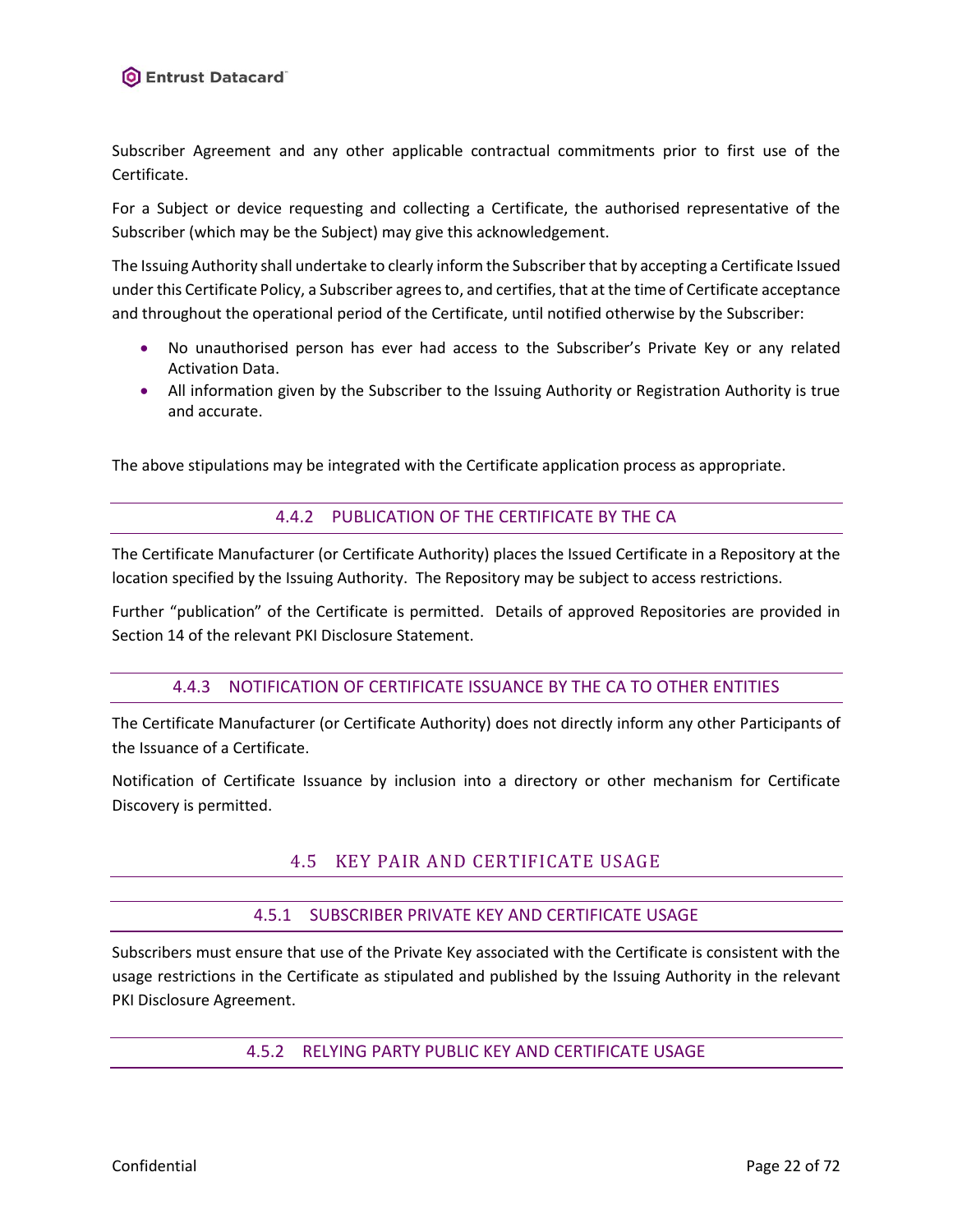Subscriber Agreement and any other applicable contractual commitments prior to first use of the Certificate.

For a Subject or device requesting and collecting a Certificate, the authorised representative of the Subscriber (which may be the Subject) may give this acknowledgement.

The Issuing Authority shall undertake to clearly inform the Subscriber that by accepting a Certificate Issued under this Certificate Policy, a Subscriber agrees to, and certifies, that at the time of Certificate acceptance and throughout the operational period of the Certificate, until notified otherwise by the Subscriber:

- No unauthorised person has ever had access to the Subscriber's Private Key or any related Activation Data.
- All information given by the Subscriber to the Issuing Authority or Registration Authority is true and accurate.

<span id="page-21-0"></span>The above stipulations may be integrated with the Certificate application process as appropriate.

### 4.4.2 PUBLICATION OF THE CERTIFICATE BY THE CA

The Certificate Manufacturer (or Certificate Authority) places the Issued Certificate in a Repository at the location specified by the Issuing Authority. The Repository may be subject to access restrictions.

<span id="page-21-1"></span>Further "publication" of the Certificate is permitted. Details of approved Repositories are provided in Section 14 of the relevant PKI Disclosure Statement.

### 4.4.3 NOTIFICATION OF CERTIFICATE ISSUANCE BY THE CA TO OTHER ENTITIES

The Certificate Manufacturer (or Certificate Authority) does not directly inform any other Participants of the Issuance of a Certificate.

<span id="page-21-2"></span>Notification of Certificate Issuance by inclusion into a directory or other mechanism for Certificate Discovery is permitted.

# 4.5 KEY PAIR AND CERTIFICATE USAGE

### 4.5.1 SUBSCRIBER PRIVATE KEY AND CERTIFICATE USAGE

<span id="page-21-4"></span><span id="page-21-3"></span>Subscribers must ensure that use of the Private Key associated with the Certificate is consistent with the usage restrictions in the Certificate as stipulated and published by the Issuing Authority in the relevant PKI Disclosure Agreement.

### 4.5.2 RELYING PARTY PUBLIC KEY AND CERTIFICATE USAGE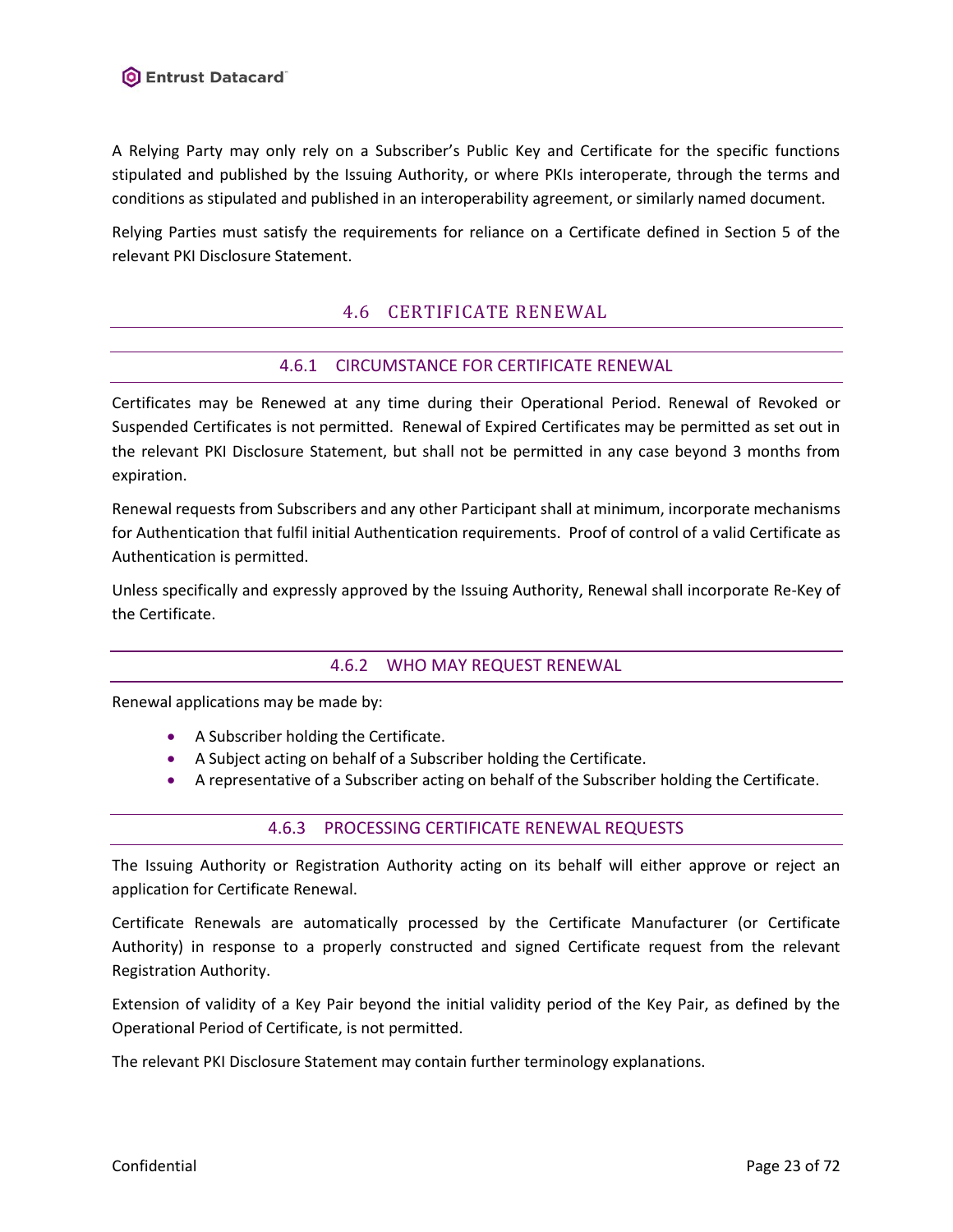A Relying Party may only rely on a Subscriber's Public Key and Certificate for the specific functions stipulated and published by the Issuing Authority, or where PKIs interoperate, through the terms and conditions as stipulated and published in an interoperability agreement, or similarly named document.

<span id="page-22-0"></span>Relying Parties must satisfy the requirements for reliance on a Certificate defined in Section 5 of the relevant PKI Disclosure Statement.

# 4.6 CERTIFICATE RENEWAL

# 4.6.1 CIRCUMSTANCE FOR CERTIFICATE RENEWAL

<span id="page-22-1"></span>Certificates may be Renewed at any time during their Operational Period. Renewal of Revoked or Suspended Certificates is not permitted. Renewal of Expired Certificates may be permitted as set out in the relevant PKI Disclosure Statement, but shall not be permitted in any case beyond 3 months from expiration.

Renewal requests from Subscribers and any other Participant shall at minimum, incorporate mechanisms for Authentication that fulfil initial Authentication requirements. Proof of control of a valid Certificate as Authentication is permitted.

<span id="page-22-2"></span>Unless specifically and expressly approved by the Issuing Authority, Renewal shall incorporate Re-Key of the Certificate.

### 4.6.2 WHO MAY REQUEST RENEWAL

Renewal applications may be made by:

- A Subscriber holding the Certificate.
- A Subject acting on behalf of a Subscriber holding the Certificate.
- <span id="page-22-3"></span>• A representative of a Subscriber acting on behalf of the Subscriber holding the Certificate.

### 4.6.3 PROCESSING CERTIFICATE RENEWAL REQUESTS

The Issuing Authority or Registration Authority acting on its behalf will either approve or reject an application for Certificate Renewal.

Certificate Renewals are automatically processed by the Certificate Manufacturer (or Certificate Authority) in response to a properly constructed and signed Certificate request from the relevant Registration Authority.

Extension of validity of a Key Pair beyond the initial validity period of the Key Pair, as defined by the Operational Period of Certificate, is not permitted.

The relevant PKI Disclosure Statement may contain further terminology explanations.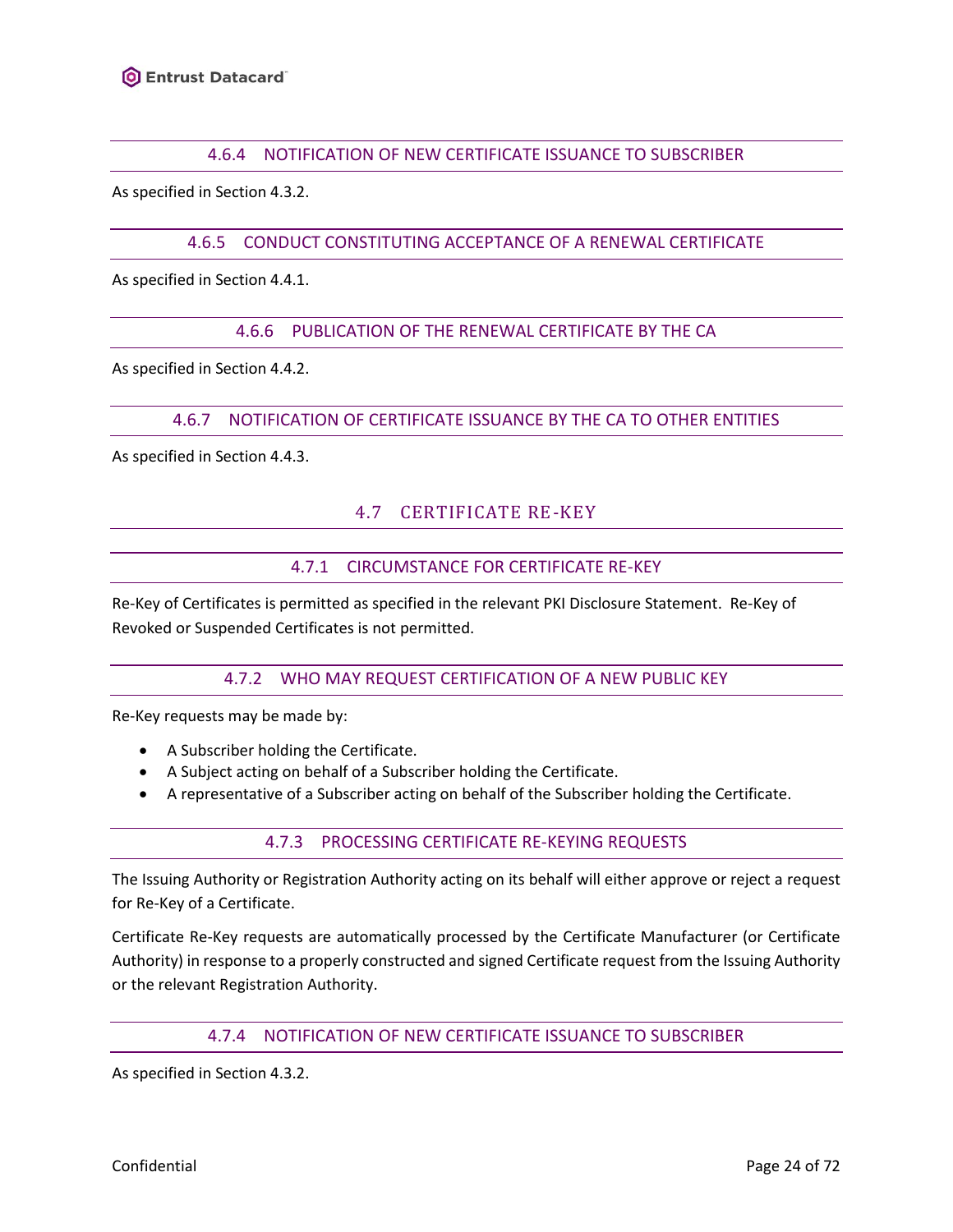### 4.6.4 NOTIFICATION OF NEW CERTIFICATE ISSUANCE TO SUBSCRIBER

<span id="page-23-1"></span><span id="page-23-0"></span>As specified in Section [4.3.2.](#page-20-3)

### 4.6.5 CONDUCT CONSTITUTING ACCEPTANCE OF A RENEWAL CERTIFICATE

<span id="page-23-2"></span>As specified in Section [4.4.1.](#page-20-5)

### 4.6.6 PUBLICATION OF THE RENEWAL CERTIFICATE BY THE CA

<span id="page-23-3"></span>As specified in Section [4.4.2.](#page-21-0)

#### 4.6.7 NOTIFICATION OF CERTIFICATE ISSUANCE BY THE CA TO OTHER ENTITIES

<span id="page-23-4"></span>As specified in Section [4.4.3.](#page-21-1)

# 4.7 CERTIFICATE RE-KEY

#### 4.7.1 CIRCUMSTANCE FOR CERTIFICATE RE-KEY

<span id="page-23-6"></span><span id="page-23-5"></span>Re-Key of Certificates is permitted as specified in the relevant PKI Disclosure Statement. Re-Key of Revoked or Suspended Certificates is not permitted.

### 4.7.2 WHO MAY REQUEST CERTIFICATION OF A NEW PUBLIC KEY

Re-Key requests may be made by:

- A Subscriber holding the Certificate.
- A Subject acting on behalf of a Subscriber holding the Certificate.
- <span id="page-23-7"></span>• A representative of a Subscriber acting on behalf of the Subscriber holding the Certificate.

### 4.7.3 PROCESSING CERTIFICATE RE-KEYING REQUESTS

The Issuing Authority or Registration Authority acting on its behalf will either approve or reject a request for Re-Key of a Certificate.

Certificate Re-Key requests are automatically processed by the Certificate Manufacturer (or Certificate Authority) in response to a properly constructed and signed Certificate request from the Issuing Authority or the relevant Registration Authority.

### 4.7.4 NOTIFICATION OF NEW CERTIFICATE ISSUANCE TO SUBSCRIBER

<span id="page-23-8"></span>As specified in Section [4.3.2.](#page-20-3)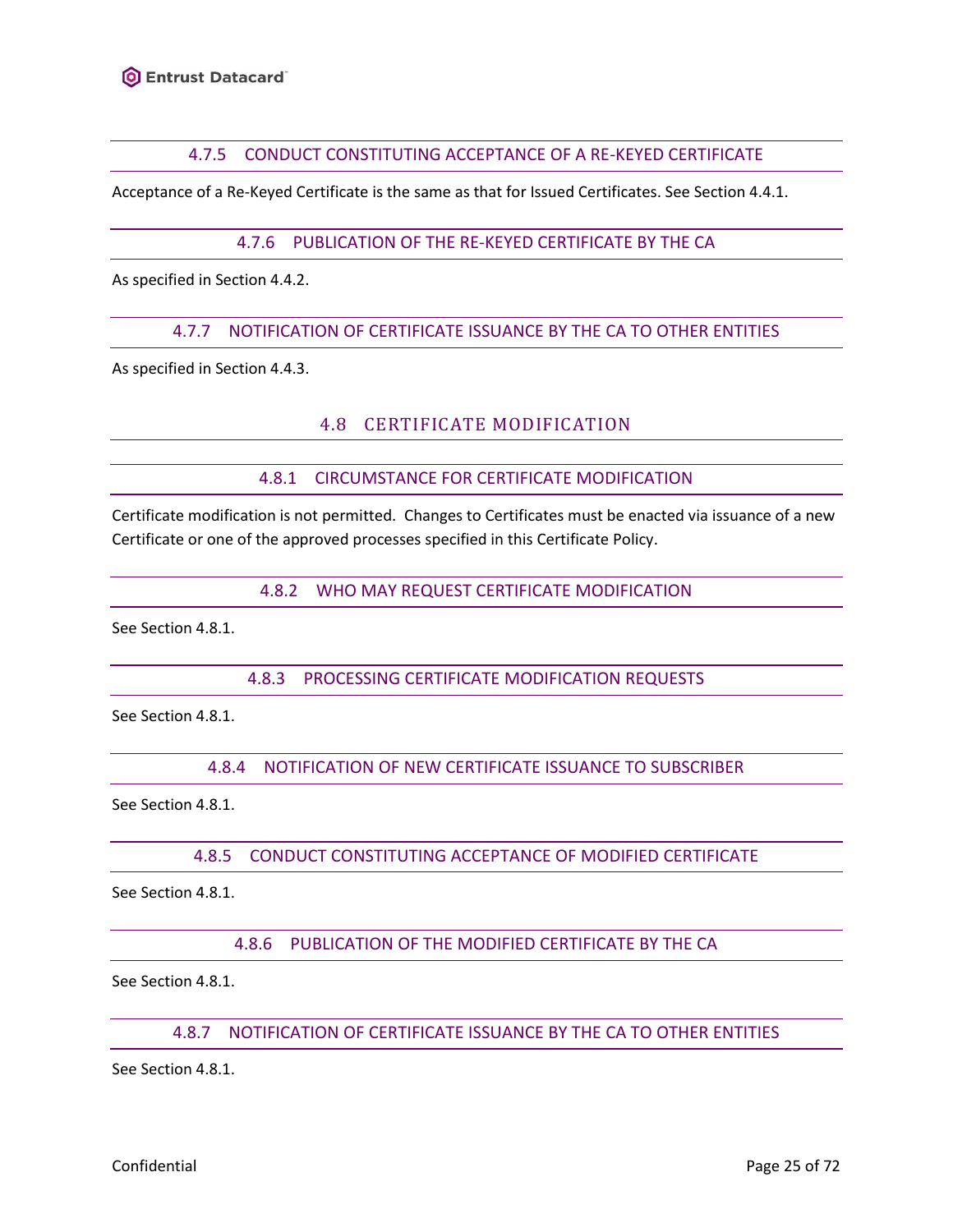### 4.7.5 CONDUCT CONSTITUTING ACCEPTANCE OF A RE-KEYED CERTIFICATE

<span id="page-24-1"></span><span id="page-24-0"></span>Acceptance of a Re-Keyed Certificate is the same as that for Issued Certificates. See Sectio[n 4.4.1.](#page-20-5)

### 4.7.6 PUBLICATION OF THE RE-KEYED CERTIFICATE BY THE CA

<span id="page-24-2"></span>As specified in Section [4.4.2.](#page-21-0)

### 4.7.7 NOTIFICATION OF CERTIFICATE ISSUANCE BY THE CA TO OTHER ENTITIES

<span id="page-24-3"></span>As specified in Section [4.4.3.](#page-21-1)

# 4.8 CERTIFICATE MODIFICATION

### 4.8.1 CIRCUMSTANCE FOR CERTIFICATE MODIFICATION

<span id="page-24-5"></span><span id="page-24-4"></span>Certificate modification is not permitted. Changes to Certificates must be enacted via issuance of a new Certificate or one of the approved processes specified in this Certificate Policy.

4.8.2 WHO MAY REQUEST CERTIFICATE MODIFICATION

<span id="page-24-6"></span>See Section [4.8.1.](#page-24-4)

# 4.8.3 PROCESSING CERTIFICATE MODIFICATION REQUESTS

<span id="page-24-7"></span>See Section [4.8.1.](#page-24-4)

4.8.4 NOTIFICATION OF NEW CERTIFICATE ISSUANCE TO SUBSCRIBER

<span id="page-24-8"></span>See Section [4.8.1.](#page-24-4)

# 4.8.5 CONDUCT CONSTITUTING ACCEPTANCE OF MODIFIED CERTIFICATE

<span id="page-24-9"></span>See Section [4.8.1.](#page-24-4)

4.8.6 PUBLICATION OF THE MODIFIED CERTIFICATE BY THE CA

<span id="page-24-10"></span>See Section [4.8.1.](#page-24-4)

# 4.8.7 NOTIFICATION OF CERTIFICATE ISSUANCE BY THE CA TO OTHER ENTITIES

See Section [4.8.1.](#page-24-4)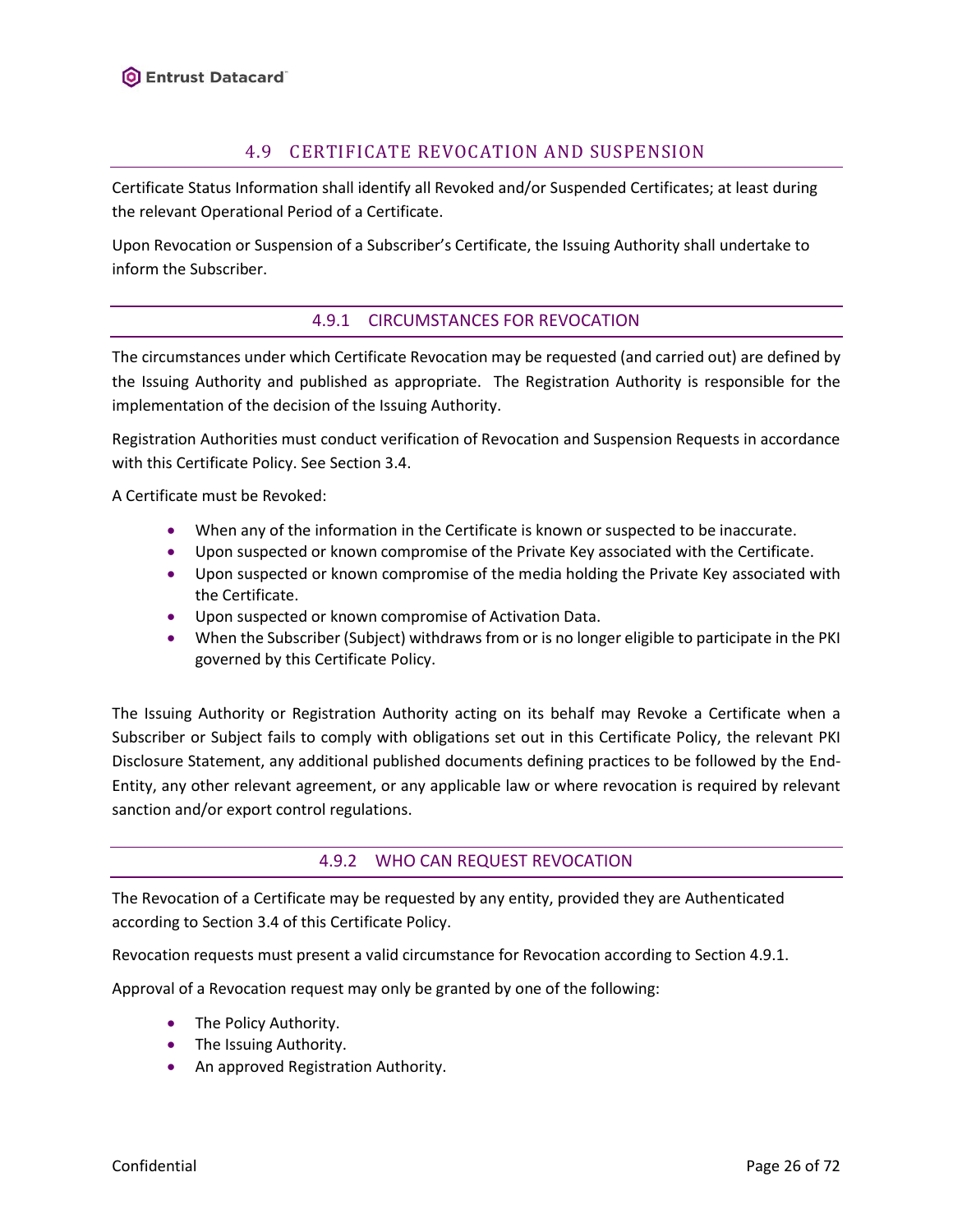# 4.9 CERTIFICATE REVOCATION AND SUSPENSION

<span id="page-25-0"></span>Certificate Status Information shall identify all Revoked and/or Suspended Certificates; at least during the relevant Operational Period of a Certificate.

<span id="page-25-1"></span>Upon Revocation or Suspension of a Subscriber's Certificate, the Issuing Authority shall undertake to inform the Subscriber.

# 4.9.1 CIRCUMSTANCES FOR REVOCATION

The circumstances under which Certificate Revocation may be requested (and carried out) are defined by the Issuing Authority and published as appropriate. The Registration Authority is responsible for the implementation of the decision of the Issuing Authority.

Registration Authorities must conduct verification of Revocation and Suspension Requests in accordance with this Certificate Policy. See Sectio[n 3.4.](#page-18-3)

A Certificate must be Revoked:

- When any of the information in the Certificate is known or suspected to be inaccurate.
- Upon suspected or known compromise of the Private Key associated with the Certificate.
- Upon suspected or known compromise of the media holding the Private Key associated with the Certificate.
- Upon suspected or known compromise of Activation Data.
- When the Subscriber (Subject) withdraws from or is no longer eligible to participate in the PKI governed by this Certificate Policy.

The Issuing Authority or Registration Authority acting on its behalf may Revoke a Certificate when a Subscriber or Subject fails to comply with obligations set out in this Certificate Policy, the relevant PKI Disclosure Statement, any additional published documents defining practices to be followed by the End-Entity, any other relevant agreement, or any applicable law or where revocation is required by relevant sanction and/or export control regulations.

# 4.9.2 WHO CAN REQUEST REVOCATION

<span id="page-25-2"></span>The Revocation of a Certificate may be requested by any entity, provided they are Authenticated according to Section [3.4](#page-18-3) of this Certificate Policy.

Revocation requests must present a valid circumstance for Revocation according to Section [4.9.1.](#page-25-1)

Approval of a Revocation request may only be granted by one of the following:

- The Policy Authority.
- The Issuing Authority.
- An approved Registration Authority.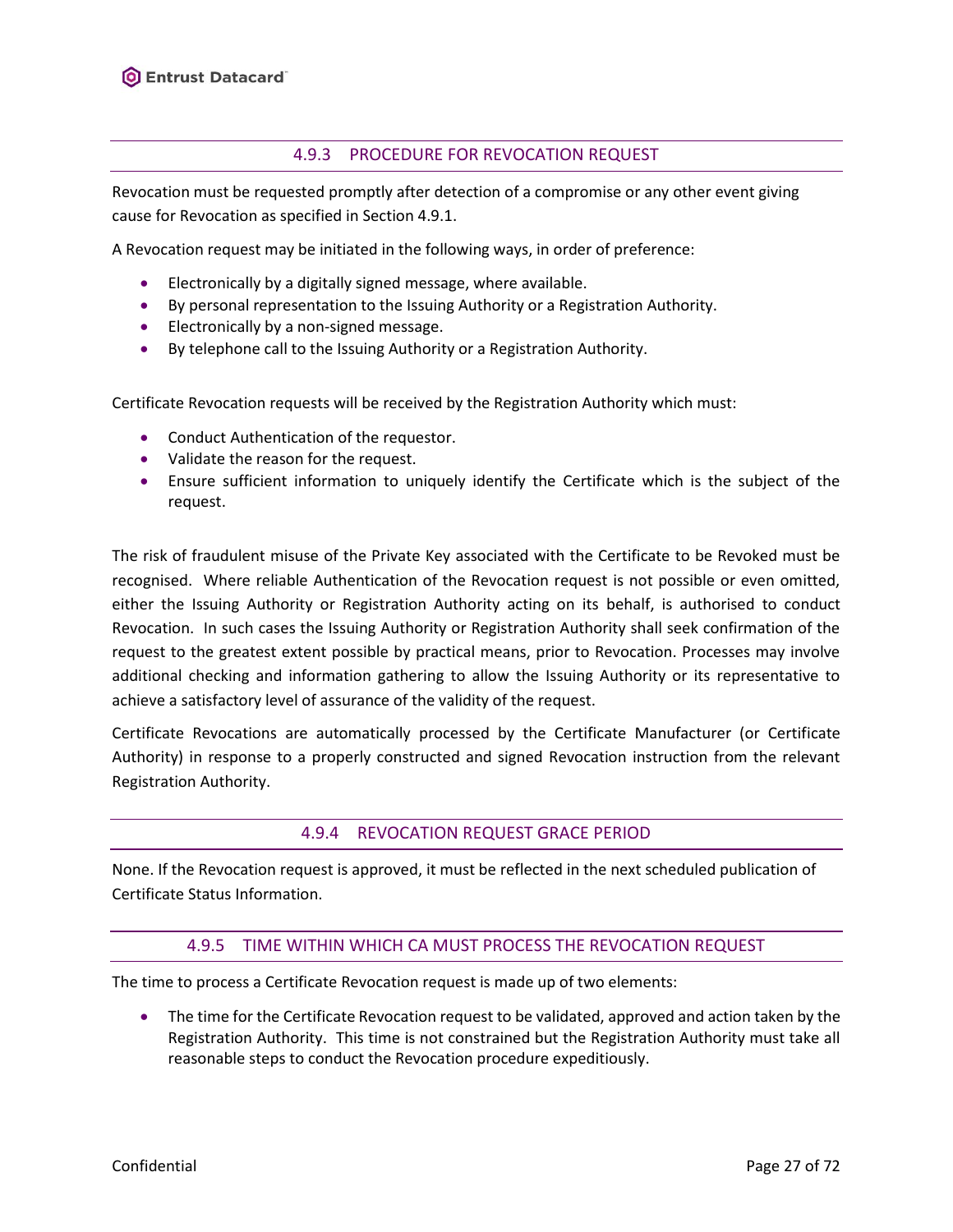# 4.9.3 PROCEDURE FOR REVOCATION REQUEST

<span id="page-26-0"></span>Revocation must be requested promptly after detection of a compromise or any other event giving cause for Revocation as specified in Sectio[n 4.9.1.](#page-25-1)

A Revocation request may be initiated in the following ways, in order of preference:

- Electronically by a digitally signed message, where available.
- By personal representation to the Issuing Authority or a Registration Authority.
- Electronically by a non-signed message.
- By telephone call to the Issuing Authority or a Registration Authority.

Certificate Revocation requests will be received by the Registration Authority which must:

- Conduct Authentication of the requestor.
- Validate the reason for the request.
- Ensure sufficient information to uniquely identify the Certificate which is the subject of the request.

The risk of fraudulent misuse of the Private Key associated with the Certificate to be Revoked must be recognised. Where reliable Authentication of the Revocation request is not possible or even omitted, either the Issuing Authority or Registration Authority acting on its behalf, is authorised to conduct Revocation. In such cases the Issuing Authority or Registration Authority shall seek confirmation of the request to the greatest extent possible by practical means, prior to Revocation. Processes may involve additional checking and information gathering to allow the Issuing Authority or its representative to achieve a satisfactory level of assurance of the validity of the request.

Certificate Revocations are automatically processed by the Certificate Manufacturer (or Certificate Authority) in response to a properly constructed and signed Revocation instruction from the relevant Registration Authority.

### 4.9.4 REVOCATION REQUEST GRACE PERIOD

<span id="page-26-2"></span><span id="page-26-1"></span>None. If the Revocation request is approved, it must be reflected in the next scheduled publication of Certificate Status Information.

### 4.9.5 TIME WITHIN WHICH CA MUST PROCESS THE REVOCATION REQUEST

The time to process a Certificate Revocation request is made up of two elements:

• The time for the Certificate Revocation request to be validated, approved and action taken by the Registration Authority. This time is not constrained but the Registration Authority must take all reasonable steps to conduct the Revocation procedure expeditiously.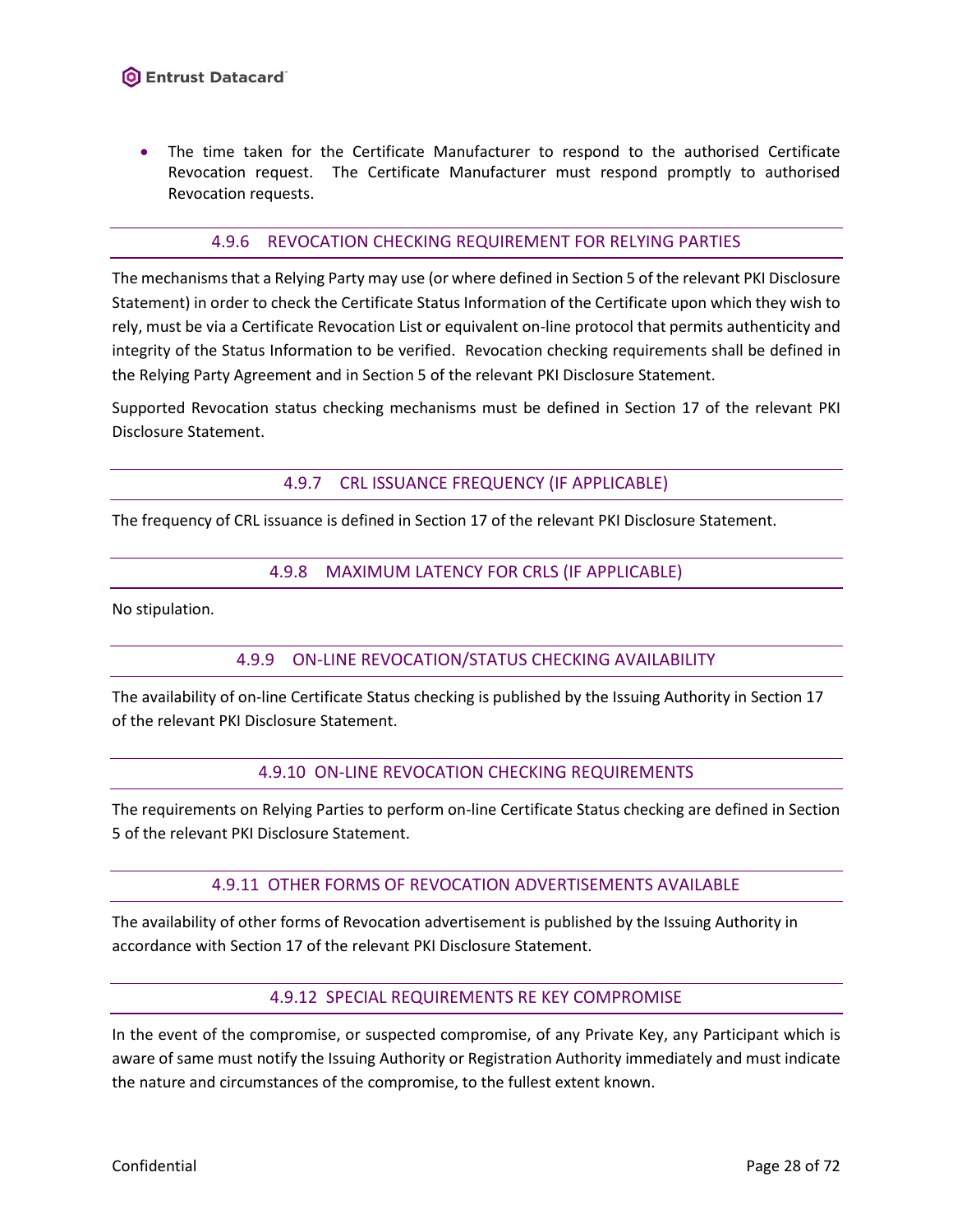• The time taken for the Certificate Manufacturer to respond to the authorised Certificate Revocation request. The Certificate Manufacturer must respond promptly to authorised Revocation requests.

#### 4.9.6 REVOCATION CHECKING REQUIREMENT FOR RELYING PARTIES

<span id="page-27-0"></span>The mechanismsthat a Relying Party may use (or where defined in Section 5 of the relevant PKI Disclosure Statement) in order to check the Certificate Status Information of the Certificate upon which they wish to rely, must be via a Certificate Revocation List or equivalent on-line protocol that permits authenticity and integrity of the Status Information to be verified. Revocation checking requirements shall be defined in the Relying Party Agreement and in Section 5 of the relevant PKI Disclosure Statement.

<span id="page-27-1"></span>Supported Revocation status checking mechanisms must be defined in Section 17 of the relevant PKI Disclosure Statement.

4.9.7 CRL ISSUANCE FREQUENCY (IF APPLICABLE)

<span id="page-27-2"></span>The frequency of CRL issuance is defined in Section 17 of the relevant PKI Disclosure Statement.

#### 4.9.8 MAXIMUM LATENCY FOR CRLS (IF APPLICABLE)

<span id="page-27-3"></span>No stipulation.

### 4.9.9 ON-LINE REVOCATION/STATUS CHECKING AVAILABILITY

<span id="page-27-4"></span>The availability of on-line Certificate Status checking is published by the Issuing Authority in Section 17 of the relevant PKI Disclosure Statement.

#### 4.9.10 ON-LINE REVOCATION CHECKING REQUIREMENTS

<span id="page-27-5"></span>The requirements on Relying Parties to perform on-line Certificate Status checking are defined in Section 5 of the relevant PKI Disclosure Statement.

### 4.9.11 OTHER FORMS OF REVOCATION ADVERTISEMENTS AVAILABLE

<span id="page-27-6"></span>The availability of other forms of Revocation advertisement is published by the Issuing Authority in accordance with Section 17 of the relevant PKI Disclosure Statement.

### 4.9.12 SPECIAL REQUIREMENTS RE KEY COMPROMISE

In the event of the compromise, or suspected compromise, of any Private Key, any Participant which is aware of same must notify the Issuing Authority or Registration Authority immediately and must indicate the nature and circumstances of the compromise, to the fullest extent known.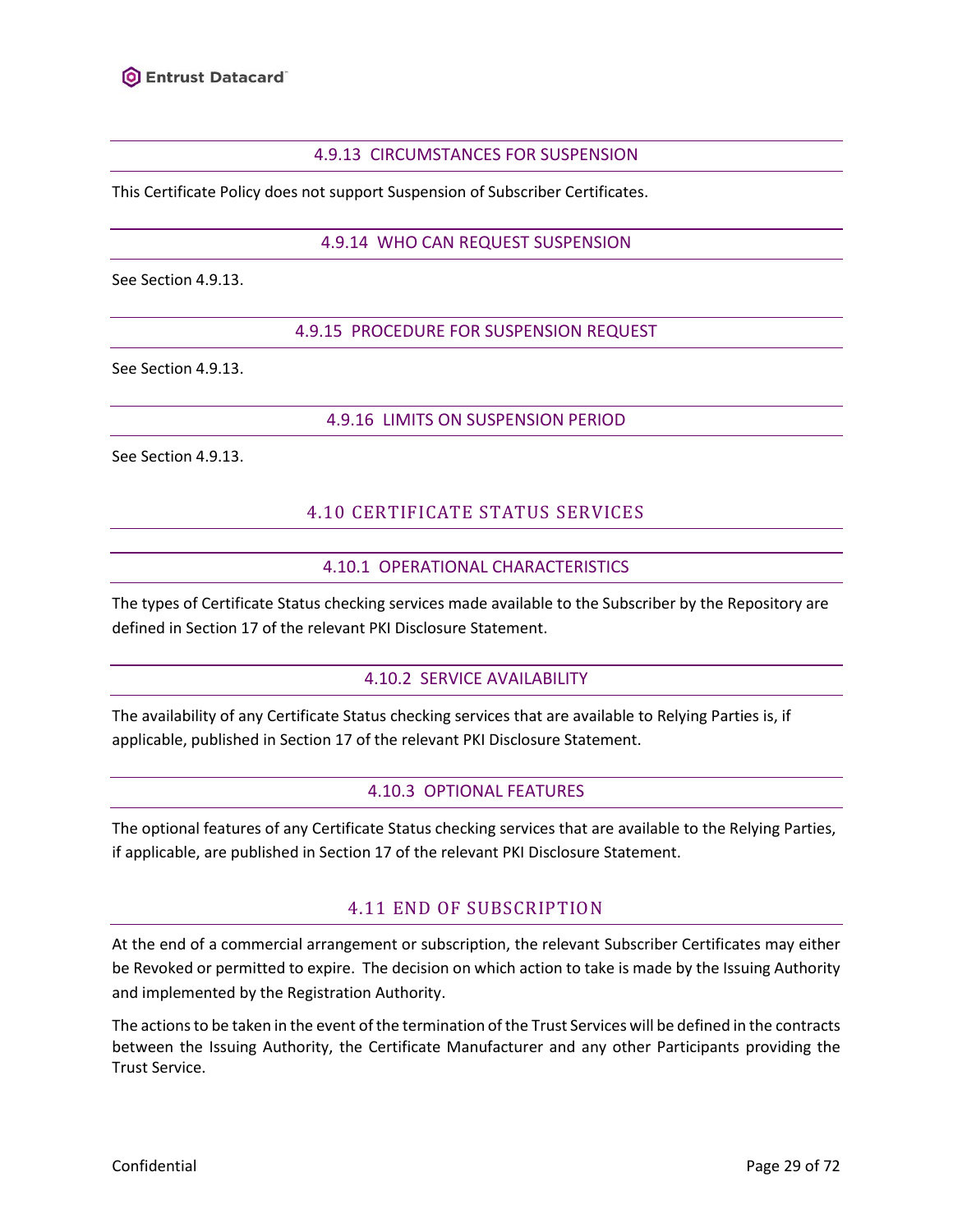

### 4.9.13 CIRCUMSTANCES FOR SUSPENSION

<span id="page-28-1"></span><span id="page-28-0"></span>This Certificate Policy does not support Suspension of Subscriber Certificates.

### 4.9.14 WHO CAN REQUEST SUSPENSION

<span id="page-28-2"></span>See Section [4.9.13.](#page-28-0)

### 4.9.15 PROCEDURE FOR SUSPENSION REQUEST

<span id="page-28-3"></span>See Section [4.9.13.](#page-28-0)

### 4.9.16 LIMITS ON SUSPENSION PERIOD

<span id="page-28-4"></span>See Section [4.9.13.](#page-28-0)

# 4.10 CERTIFICATE STATUS SERVICES

### 4.10.1 OPERATIONAL CHARACTERISTICS

<span id="page-28-5"></span>The types of Certificate Status checking services made available to the Subscriber by the Repository are defined in Section 17 of the relevant PKI Disclosure Statement.

### 4.10.2 SERVICE AVAILABILITY

<span id="page-28-7"></span><span id="page-28-6"></span>The availability of any Certificate Status checking services that are available to Relying Parties is, if applicable, published in Section 17 of the relevant PKI Disclosure Statement.

# 4.10.3 OPTIONAL FEATURES

<span id="page-28-8"></span>The optional features of any Certificate Status checking services that are available to the Relying Parties, if applicable, are published in Section 17 of the relevant PKI Disclosure Statement.

# 4.11 END OF SUBSCRIPTION

At the end of a commercial arrangement or subscription, the relevant Subscriber Certificates may either be Revoked or permitted to expire. The decision on which action to take is made by the Issuing Authority and implemented by the Registration Authority.

The actions to be taken in the event of the termination of the Trust Services will be defined in the contracts between the Issuing Authority, the Certificate Manufacturer and any other Participants providing the Trust Service.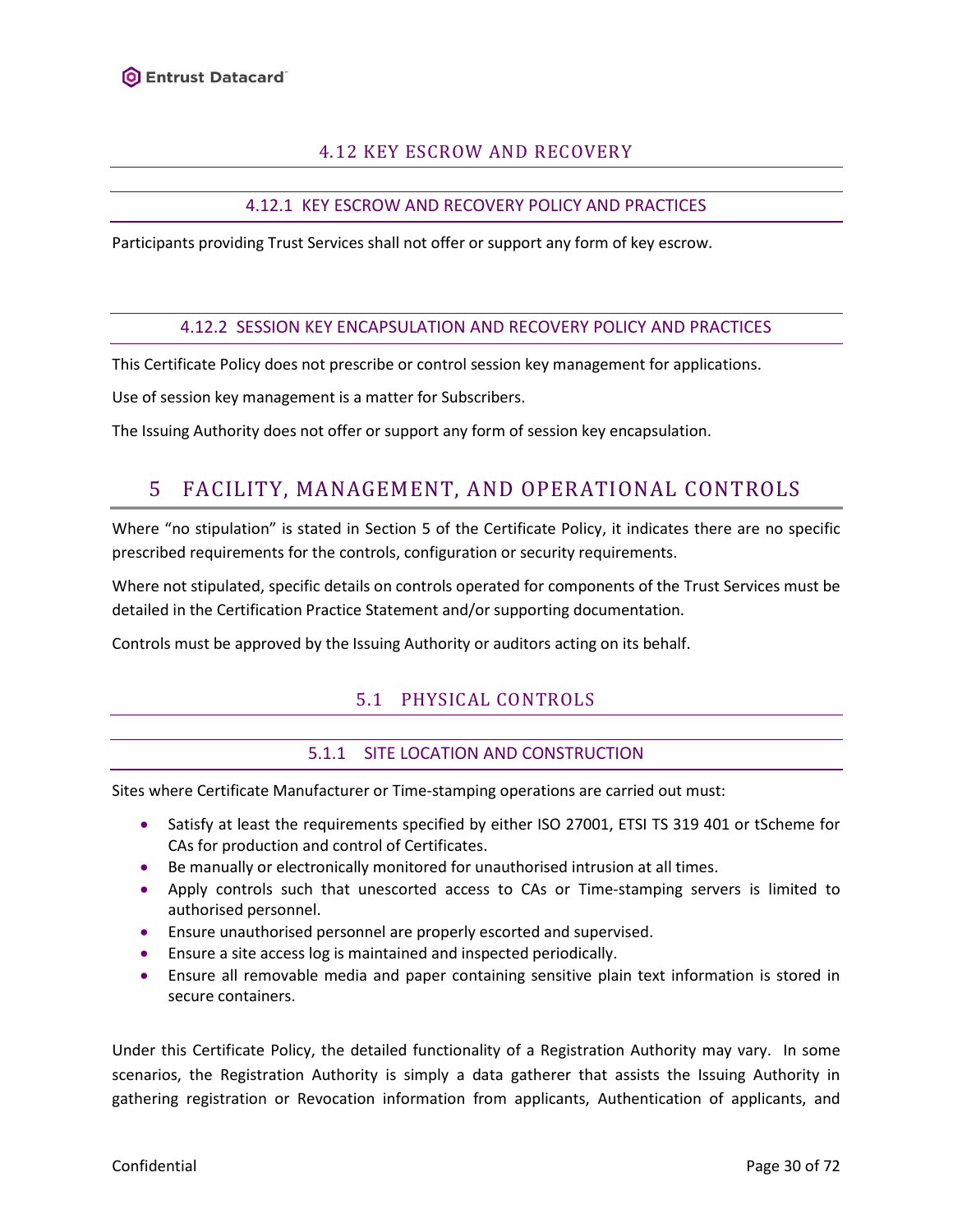# 4.12 KEY ESCROW AND RECOVERY

# 4.12.1 KEY ESCROW AND RECOVERY POLICY AND PRACTICES

<span id="page-29-1"></span><span id="page-29-0"></span>Participants providing Trust Services shall not offer or support any form of key escrow.

#### 4.12.2 SESSION KEY ENCAPSULATION AND RECOVERY POLICY AND PRACTICES

<span id="page-29-2"></span>This Certificate Policy does not prescribe or control session key management for applications.

Use of session key management is a matter for Subscribers.

<span id="page-29-3"></span>The Issuing Authority does not offer or support any form of session key encapsulation.

# 5 FACILITY, MANAGEMENT, AND OPERATIONAL CONTROLS

Where "no stipulation" is stated in Section 5 of the Certificate Policy, it indicates there are no specific prescribed requirements for the controls, configuration or security requirements.

Where not stipulated, specific details on controls operated for components of the Trust Services must be detailed in the Certification Practice Statement and/or supporting documentation.

<span id="page-29-4"></span>Controls must be approved by the Issuing Authority or auditors acting on its behalf.

# 5.1 PHYSICAL CONTROLS

### 5.1.1 SITE LOCATION AND CONSTRUCTION

<span id="page-29-5"></span>Sites where Certificate Manufacturer or Time-stamping operations are carried out must:

- Satisfy at least the requirements specified by either ISO 27001, ETSI TS 319 401 or tScheme for CAs for production and control of Certificates.
- Be manually or electronically monitored for unauthorised intrusion at all times.
- Apply controls such that unescorted access to CAs or Time-stamping servers is limited to authorised personnel.
- Ensure unauthorised personnel are properly escorted and supervised.
- Ensure a site access log is maintained and inspected periodically.
- Ensure all removable media and paper containing sensitive plain text information is stored in secure containers.

Under this Certificate Policy, the detailed functionality of a Registration Authority may vary. In some scenarios, the Registration Authority is simply a data gatherer that assists the Issuing Authority in gathering registration or Revocation information from applicants, Authentication of applicants, and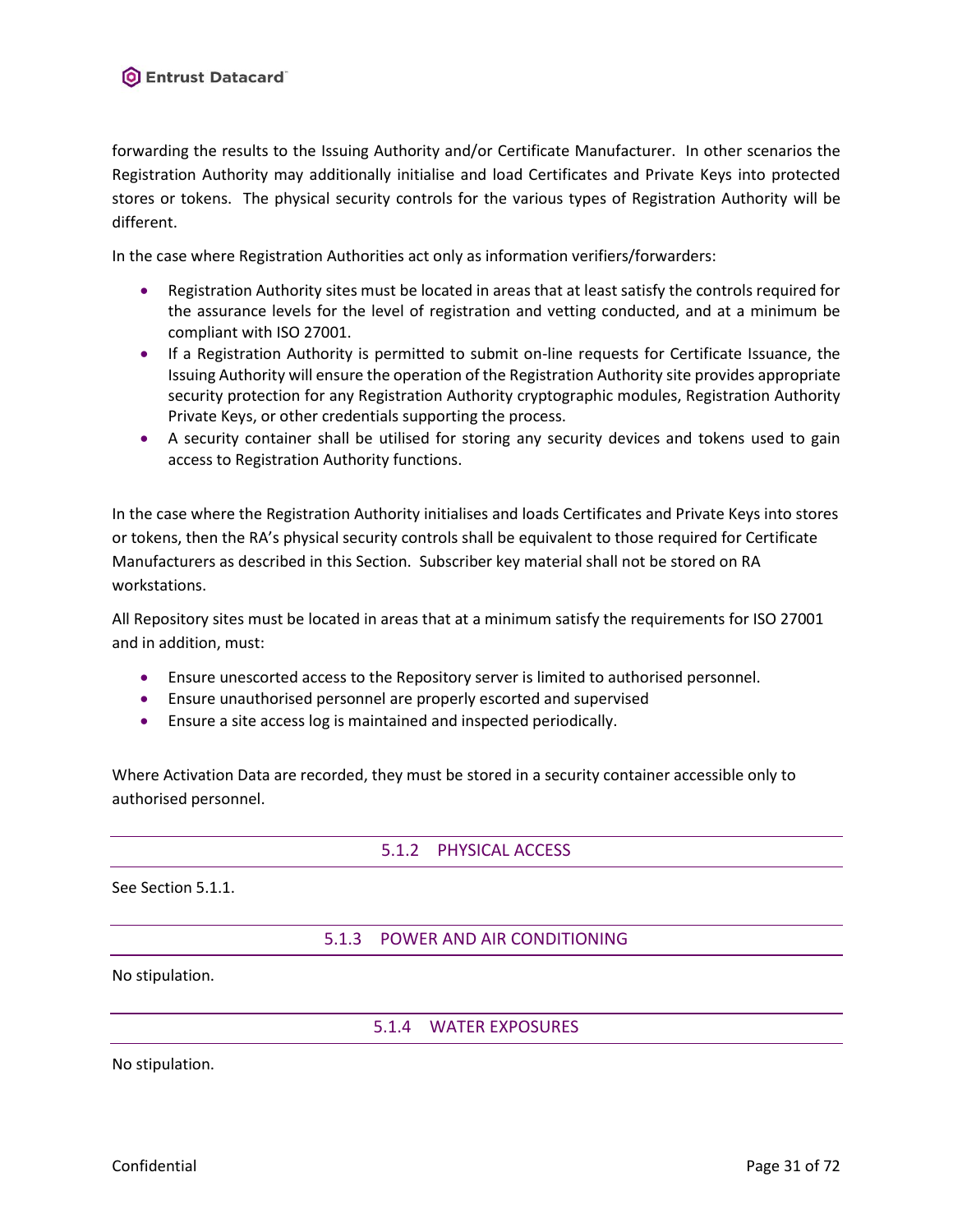forwarding the results to the Issuing Authority and/or Certificate Manufacturer. In other scenarios the Registration Authority may additionally initialise and load Certificates and Private Keys into protected stores or tokens. The physical security controls for the various types of Registration Authority will be different.

In the case where Registration Authorities act only as information verifiers/forwarders:

- Registration Authority sites must be located in areas that at least satisfy the controls required for the assurance levels for the level of registration and vetting conducted, and at a minimum be compliant with ISO 27001.
- If a Registration Authority is permitted to submit on-line requests for Certificate Issuance, the Issuing Authority will ensure the operation of the Registration Authority site provides appropriate security protection for any Registration Authority cryptographic modules, Registration Authority Private Keys, or other credentials supporting the process.
- A security container shall be utilised for storing any security devices and tokens used to gain access to Registration Authority functions.

In the case where the Registration Authority initialises and loads Certificates and Private Keys into stores or tokens, then the RA's physical security controls shall be equivalent to those required for Certificate Manufacturers as described in this Section. Subscriber key material shall not be stored on RA workstations.

All Repository sites must be located in areas that at a minimum satisfy the requirements for ISO 27001 and in addition, must:

- Ensure unescorted access to the Repository server is limited to authorised personnel.
- Ensure unauthorised personnel are properly escorted and supervised
- Ensure a site access log is maintained and inspected periodically.

<span id="page-30-0"></span>Where Activation Data are recorded, they must be stored in a security container accessible only to authorised personnel.

# 5.1.2 PHYSICAL ACCESS

<span id="page-30-1"></span>See Section [5.1.1.](#page-29-5)

# 5.1.3 POWER AND AIR CONDITIONING

<span id="page-30-2"></span>No stipulation.

# 5.1.4 WATER EXPOSURES

No stipulation.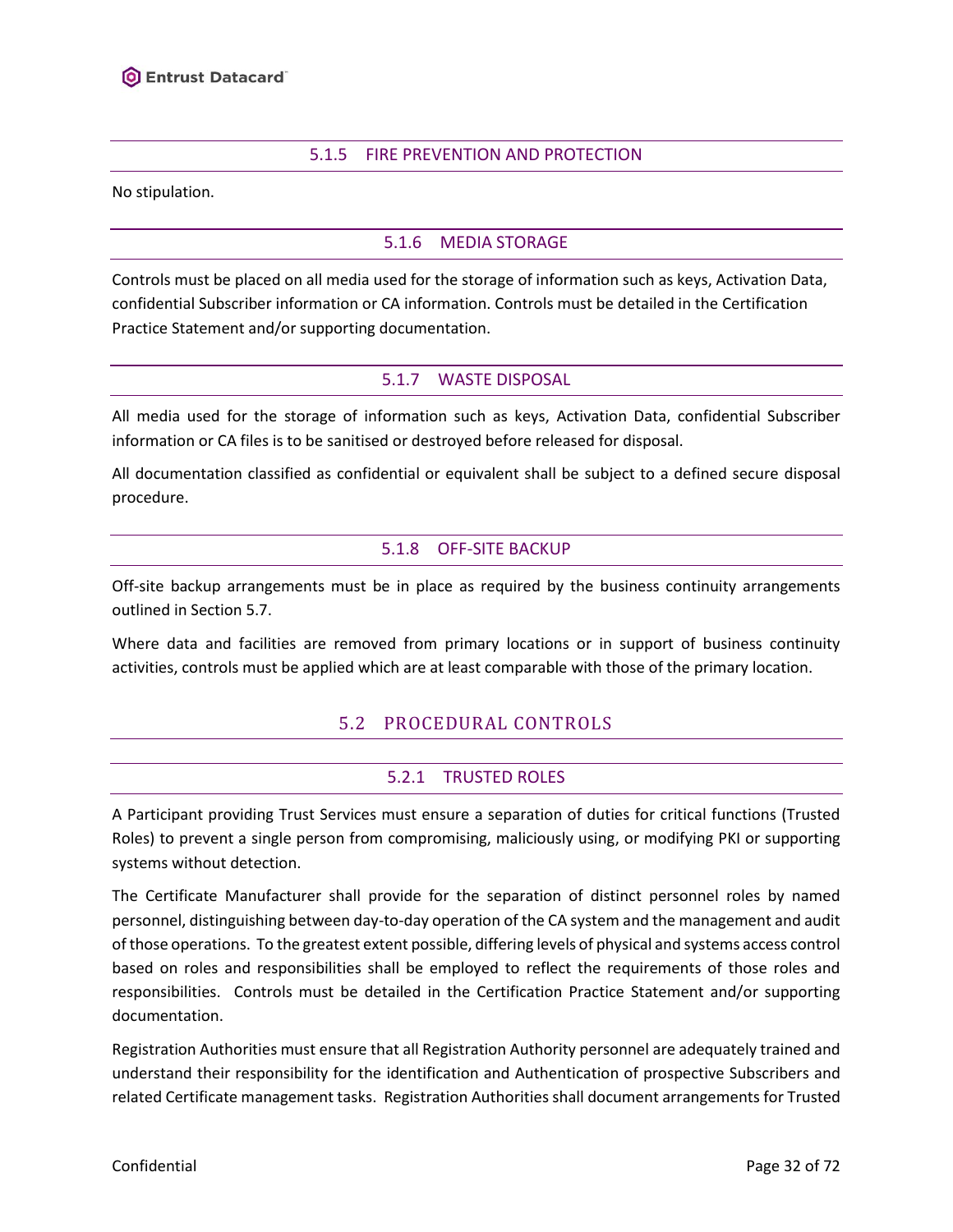### 5.1.5 FIRE PREVENTION AND PROTECTION

<span id="page-31-1"></span><span id="page-31-0"></span>No stipulation.

### 5.1.6 MEDIA STORAGE

Controls must be placed on all media used for the storage of information such as keys, Activation Data, confidential Subscriber information or CA information. Controls must be detailed in the Certification Practice Statement and/or supporting documentation.

### 5.1.7 WASTE DISPOSAL

<span id="page-31-2"></span>All media used for the storage of information such as keys, Activation Data, confidential Subscriber information or CA files is to be sanitised or destroyed before released for disposal.

<span id="page-31-3"></span>All documentation classified as confidential or equivalent shall be subject to a defined secure disposal procedure.

### 5.1.8 OFF-SITE BACKUP

Off-site backup arrangements must be in place as required by the business continuity arrangements outlined in Section [5.7.](#page-37-1)

<span id="page-31-4"></span>Where data and facilities are removed from primary locations or in support of business continuity activities, controls must be applied which are at least comparable with those of the primary location.

# 5.2 PROCEDURAL CONTROLS

### 5.2.1 TRUSTED ROLES

<span id="page-31-5"></span>A Participant providing Trust Services must ensure a separation of duties for critical functions (Trusted Roles) to prevent a single person from compromising, maliciously using, or modifying PKI or supporting systems without detection.

The Certificate Manufacturer shall provide for the separation of distinct personnel roles by named personnel, distinguishing between day-to-day operation of the CA system and the management and audit of those operations. To the greatest extent possible, differing levels of physical and systems access control based on roles and responsibilities shall be employed to reflect the requirements of those roles and responsibilities. Controls must be detailed in the Certification Practice Statement and/or supporting documentation.

Registration Authorities must ensure that all Registration Authority personnel are adequately trained and understand their responsibility for the identification and Authentication of prospective Subscribers and related Certificate management tasks. Registration Authorities shall document arrangements for Trusted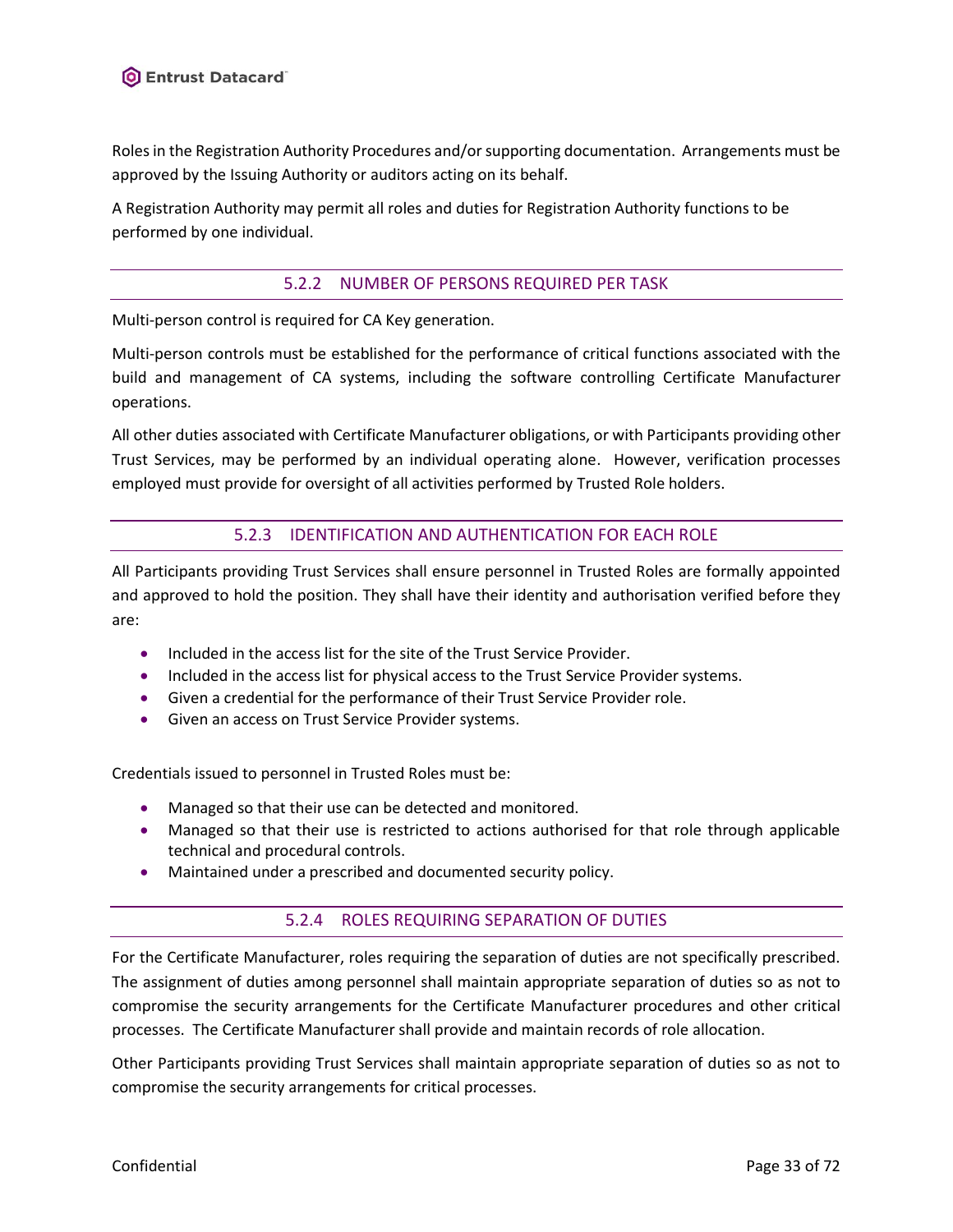

Roles in the Registration Authority Procedures and/or supporting documentation. Arrangements must be approved by the Issuing Authority or auditors acting on its behalf.

<span id="page-32-0"></span>A Registration Authority may permit all roles and duties for Registration Authority functions to be performed by one individual.

### 5.2.2 NUMBER OF PERSONS REQUIRED PER TASK

Multi-person control is required for CA Key generation.

Multi-person controls must be established for the performance of critical functions associated with the build and management of CA systems, including the software controlling Certificate Manufacturer operations.

All other duties associated with Certificate Manufacturer obligations, or with Participants providing other Trust Services, may be performed by an individual operating alone. However, verification processes employed must provide for oversight of all activities performed by Trusted Role holders.

# 5.2.3 IDENTIFICATION AND AUTHENTICATION FOR EACH ROLE

<span id="page-32-1"></span>All Participants providing Trust Services shall ensure personnel in Trusted Roles are formally appointed and approved to hold the position. They shall have their identity and authorisation verified before they are:

- Included in the access list for the site of the Trust Service Provider.
- Included in the access list for physical access to the Trust Service Provider systems.
- Given a credential for the performance of their Trust Service Provider role.
- Given an access on Trust Service Provider systems.

Credentials issued to personnel in Trusted Roles must be:

- Managed so that their use can be detected and monitored.
- Managed so that their use is restricted to actions authorised for that role through applicable technical and procedural controls.
- <span id="page-32-2"></span>• Maintained under a prescribed and documented security policy.

# 5.2.4 ROLES REQUIRING SEPARATION OF DUTIES

For the Certificate Manufacturer, roles requiring the separation of duties are not specifically prescribed. The assignment of duties among personnel shall maintain appropriate separation of duties so as not to compromise the security arrangements for the Certificate Manufacturer procedures and other critical processes. The Certificate Manufacturer shall provide and maintain records of role allocation.

Other Participants providing Trust Services shall maintain appropriate separation of duties so as not to compromise the security arrangements for critical processes.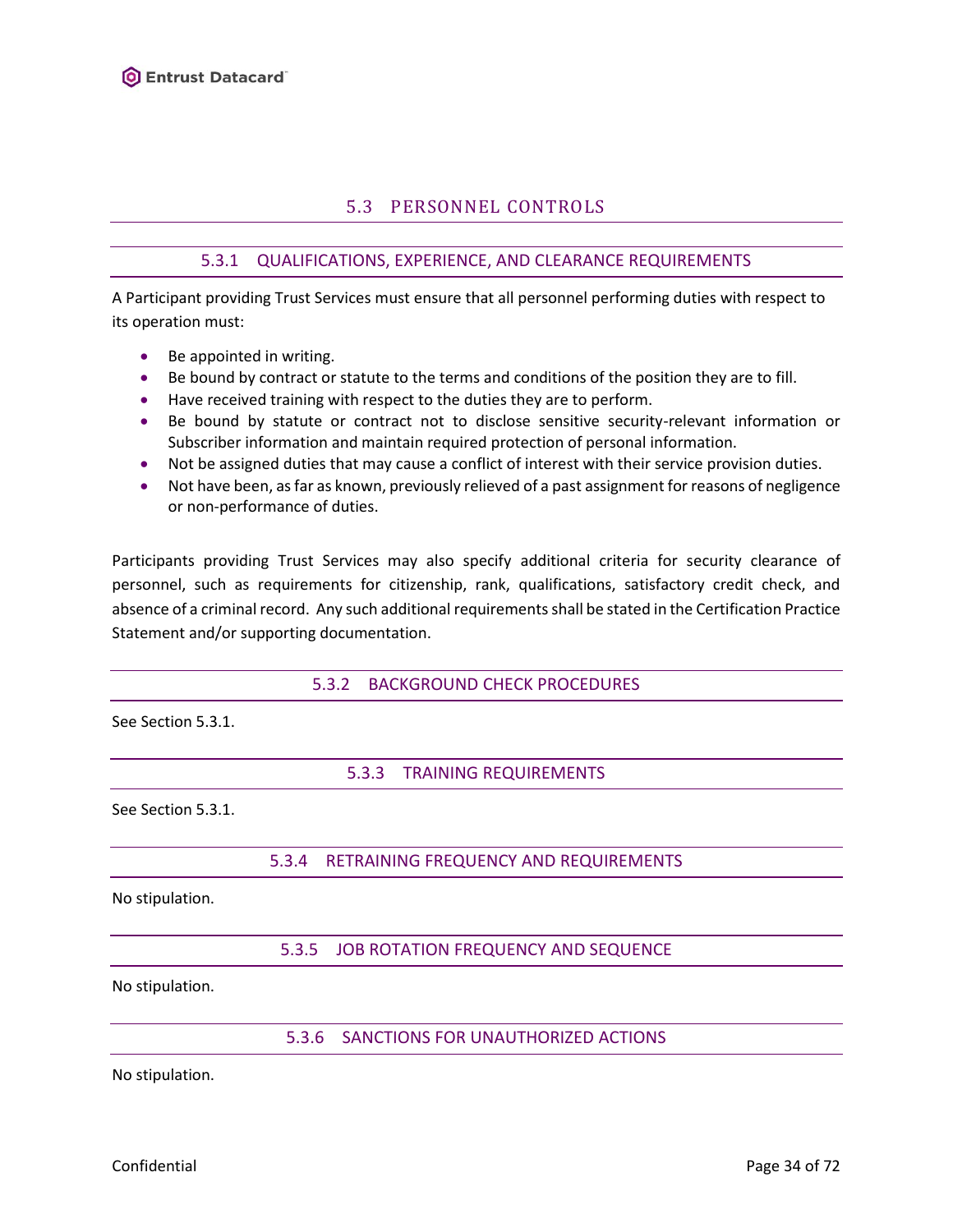# 5.3 PERSONNEL CONTROLS

# 5.3.1 QUALIFICATIONS, EXPERIENCE, AND CLEARANCE REQUIREMENTS

<span id="page-33-1"></span><span id="page-33-0"></span>A Participant providing Trust Services must ensure that all personnel performing duties with respect to its operation must:

- Be appointed in writing.
- Be bound by contract or statute to the terms and conditions of the position they are to fill.
- Have received training with respect to the duties they are to perform.
- Be bound by statute or contract not to disclose sensitive security-relevant information or Subscriber information and maintain required protection of personal information.
- Not be assigned duties that may cause a conflict of interest with their service provision duties.
- Not have been, as far as known, previously relieved of a past assignment for reasons of negligence or non-performance of duties.

Participants providing Trust Services may also specify additional criteria for security clearance of personnel, such as requirements for citizenship, rank, qualifications, satisfactory credit check, and absence of a criminal record. Any such additional requirements shall be stated in the Certification Practice Statement and/or supporting documentation.

5.3.2 BACKGROUND CHECK PROCEDURES

<span id="page-33-3"></span><span id="page-33-2"></span>See Section [5.3.1.](#page-33-1)

5.3.3 TRAINING REQUIREMENTS

<span id="page-33-4"></span>See Section 5.3.1.

### 5.3.4 RETRAINING FREQUENCY AND REQUIREMENTS

<span id="page-33-5"></span>No stipulation.

5.3.5 JOB ROTATION FREQUENCY AND SEQUENCE

<span id="page-33-6"></span>No stipulation.

5.3.6 SANCTIONS FOR UNAUTHORIZED ACTIONS

No stipulation.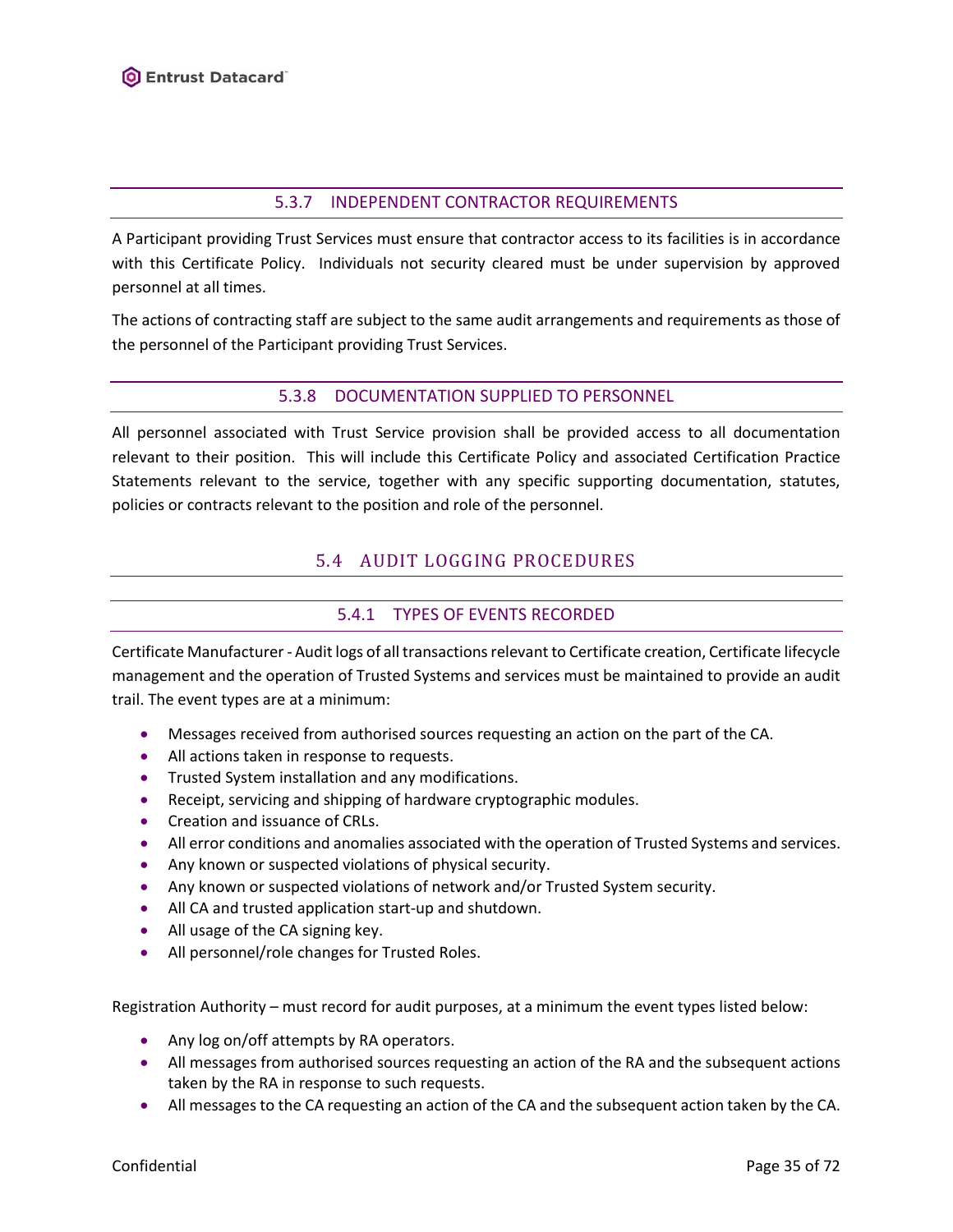### 5.3.7 INDEPENDENT CONTRACTOR REQUIREMENTS

<span id="page-34-0"></span>A Participant providing Trust Services must ensure that contractor access to its facilities is in accordance with this Certificate Policy. Individuals not security cleared must be under supervision by approved personnel at all times.

<span id="page-34-1"></span>The actions of contracting staff are subject to the same audit arrangements and requirements as those of the personnel of the Participant providing Trust Services.

### 5.3.8 DOCUMENTATION SUPPLIED TO PERSONNEL

<span id="page-34-2"></span>All personnel associated with Trust Service provision shall be provided access to all documentation relevant to their position. This will include this Certificate Policy and associated Certification Practice Statements relevant to the service, together with any specific supporting documentation, statutes, policies or contracts relevant to the position and role of the personnel.

# 5.4 AUDIT LOGGING PROCEDURES

# 5.4.1 TYPES OF EVENTS RECORDED

<span id="page-34-3"></span>Certificate Manufacturer - Audit logs of all transactions relevant to Certificate creation, Certificate lifecycle management and the operation of Trusted Systems and services must be maintained to provide an audit trail. The event types are at a minimum:

- Messages received from authorised sources requesting an action on the part of the CA.
- All actions taken in response to requests.
- Trusted System installation and any modifications.
- Receipt, servicing and shipping of hardware cryptographic modules.
- Creation and issuance of CRLs.
- All error conditions and anomalies associated with the operation of Trusted Systems and services.
- Any known or suspected violations of physical security.
- Any known or suspected violations of network and/or Trusted System security.
- All CA and trusted application start-up and shutdown.
- All usage of the CA signing key.
- All personnel/role changes for Trusted Roles.

Registration Authority – must record for audit purposes, at a minimum the event types listed below:

- Any log on/off attempts by RA operators.
- All messages from authorised sources requesting an action of the RA and the subsequent actions taken by the RA in response to such requests.
- All messages to the CA requesting an action of the CA and the subsequent action taken by the CA.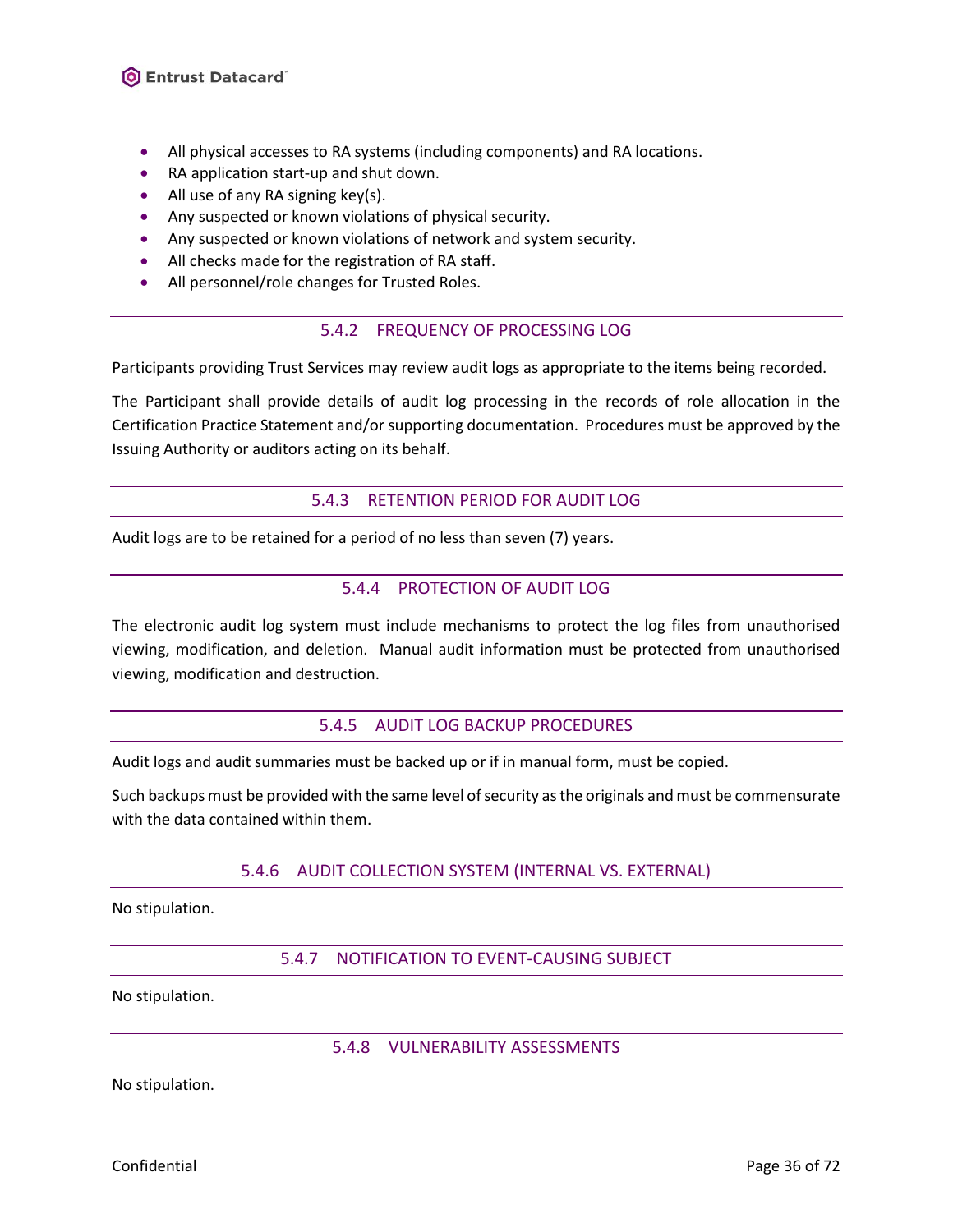- All physical accesses to RA systems (including components) and RA locations.
- RA application start-up and shut down.
- All use of any RA signing key(s).
- Any suspected or known violations of physical security.
- Any suspected or known violations of network and system security.
- All checks made for the registration of RA staff.
- <span id="page-35-0"></span>• All personnel/role changes for Trusted Roles.

### 5.4.2 FREQUENCY OF PROCESSING LOG

Participants providing Trust Services may review audit logs as appropriate to the items being recorded.

The Participant shall provide details of audit log processing in the records of role allocation in the Certification Practice Statement and/or supporting documentation. Procedures must be approved by the Issuing Authority or auditors acting on its behalf.

### 5.4.3 RETENTION PERIOD FOR AUDIT LOG

<span id="page-35-2"></span><span id="page-35-1"></span>Audit logs are to be retained for a period of no less than seven (7) years.

### 5.4.4 PROTECTION OF AUDIT LOG

The electronic audit log system must include mechanisms to protect the log files from unauthorised viewing, modification, and deletion. Manual audit information must be protected from unauthorised viewing, modification and destruction.

#### 5.4.5 AUDIT LOG BACKUP PROCEDURES

<span id="page-35-3"></span>Audit logs and audit summaries must be backed up or if in manual form, must be copied.

<span id="page-35-4"></span>Such backups must be provided with the same level of security as the originals and must be commensurate with the data contained within them.

### 5.4.6 AUDIT COLLECTION SYSTEM (INTERNAL VS. EXTERNAL)

<span id="page-35-5"></span>No stipulation.

### 5.4.7 NOTIFICATION TO EVENT-CAUSING SUBJECT

<span id="page-35-6"></span>No stipulation.

### 5.4.8 VULNERABILITY ASSESSMENTS

No stipulation.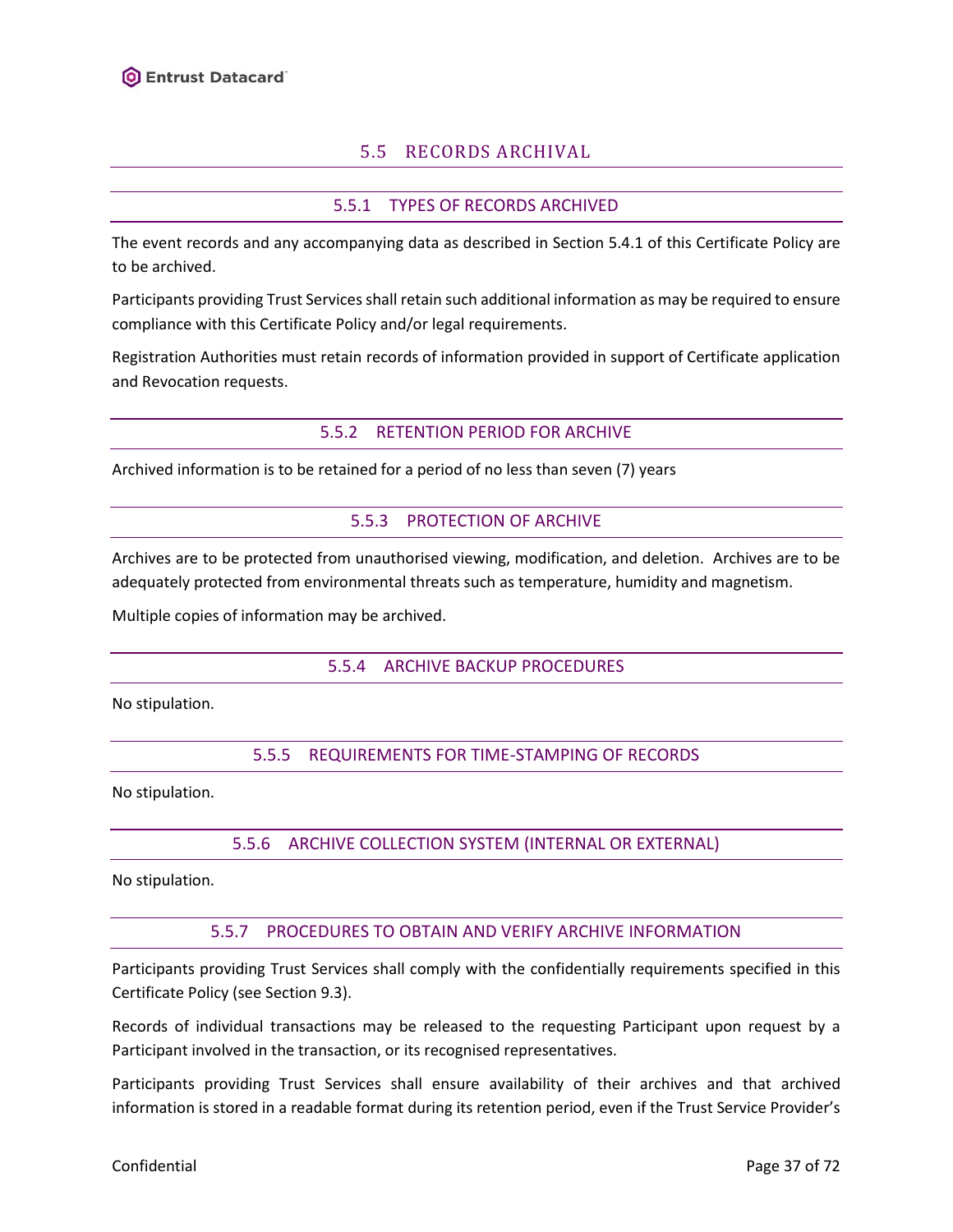# 5.5 RECORDS ARCHIVAL

### 5.5.1 TYPES OF RECORDS ARCHIVED

<span id="page-36-0"></span>The event records and any accompanying data as described in Section [5.4.1](#page-34-0) of this Certificate Policy are to be archived.

Participants providing Trust Services shall retain such additional information as may be required to ensure compliance with this Certificate Policy and/or legal requirements.

Registration Authorities must retain records of information provided in support of Certificate application and Revocation requests.

#### 5.5.2 RETENTION PERIOD FOR ARCHIVE

Archived information is to be retained for a period of no less than seven (7) years

### 5.5.3 PROTECTION OF ARCHIVE

Archives are to be protected from unauthorised viewing, modification, and deletion. Archives are to be adequately protected from environmental threats such as temperature, humidity and magnetism.

Multiple copies of information may be archived.

#### 5.5.4 ARCHIVE BACKUP PROCEDURES

No stipulation.

#### 5.5.5 REQUIREMENTS FOR TIME-STAMPING OF RECORDS

No stipulation.

5.5.6 ARCHIVE COLLECTION SYSTEM (INTERNAL OR EXTERNAL)

No stipulation.

#### 5.5.7 PROCEDURES TO OBTAIN AND VERIFY ARCHIVE INFORMATION

Participants providing Trust Services shall comply with the confidentially requirements specified in this Certificate Policy (see Section [9.3\)](#page-52-0).

Records of individual transactions may be released to the requesting Participant upon request by a Participant involved in the transaction, or its recognised representatives.

Participants providing Trust Services shall ensure availability of their archives and that archived information is stored in a readable format during its retention period, even if the Trust Service Provider's

Confidential **Page 37 of 72**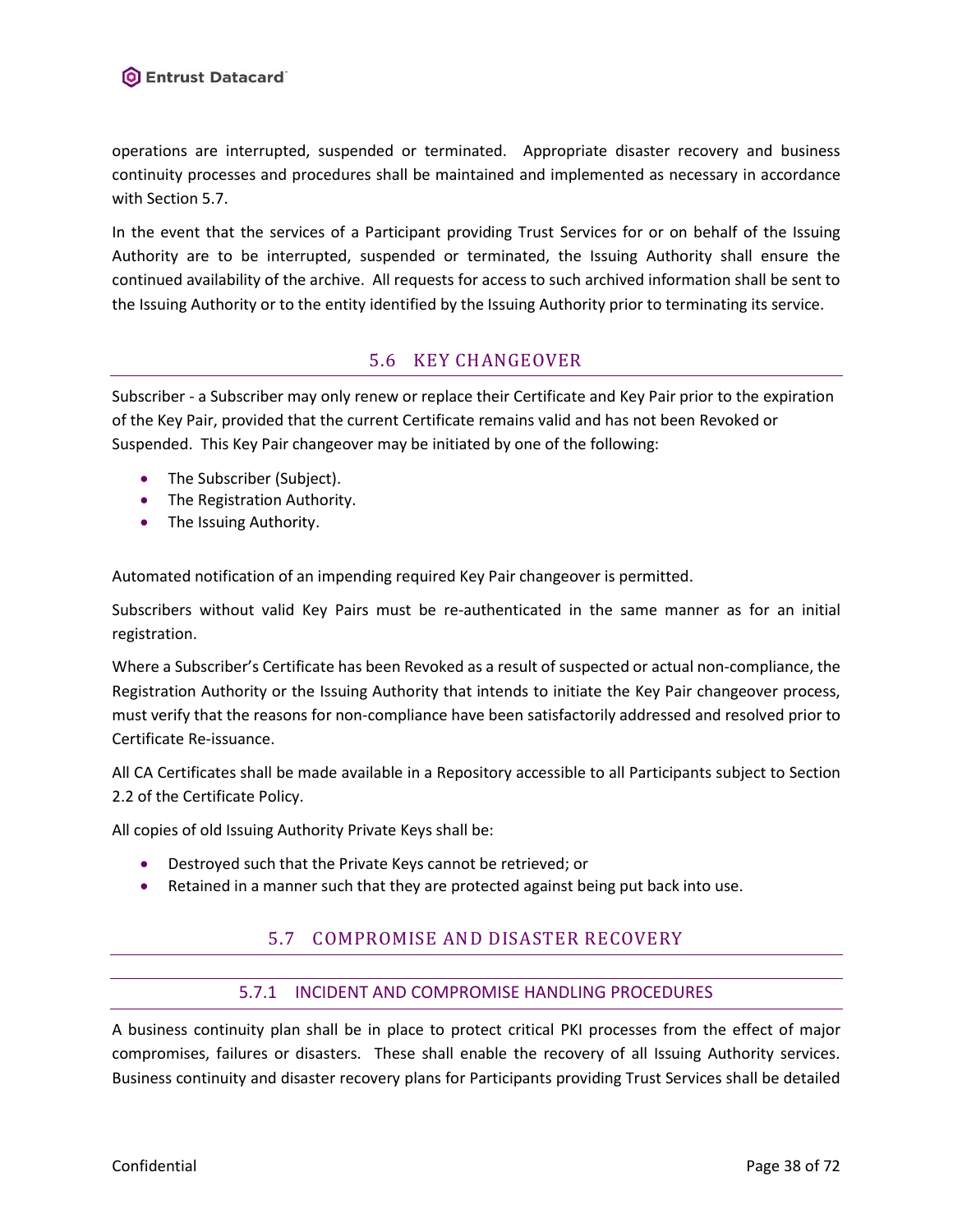operations are interrupted, suspended or terminated. Appropriate disaster recovery and business continuity processes and procedures shall be maintained and implemented as necessary in accordance with Section [5.7.](#page-37-0)

In the event that the services of a Participant providing Trust Services for or on behalf of the Issuing Authority are to be interrupted, suspended or terminated, the Issuing Authority shall ensure the continued availability of the archive. All requests for access to such archived information shall be sent to the Issuing Authority or to the entity identified by the Issuing Authority prior to terminating its service.

# 5.6 KEY CHANGEOVER

Subscriber - a Subscriber may only renew or replace their Certificate and Key Pair prior to the expiration of the Key Pair, provided that the current Certificate remains valid and has not been Revoked or Suspended. This Key Pair changeover may be initiated by one of the following:

- The Subscriber (Subject).
- The Registration Authority.
- The Issuing Authority.

Automated notification of an impending required Key Pair changeover is permitted.

Subscribers without valid Key Pairs must be re-authenticated in the same manner as for an initial registration.

Where a Subscriber's Certificate has been Revoked as a result of suspected or actual non-compliance, the Registration Authority or the Issuing Authority that intends to initiate the Key Pair changeover process, must verify that the reasons for non-compliance have been satisfactorily addressed and resolved prior to Certificate Re-issuance.

All CA Certificates shall be made available in a Repository accessible to all Participants subject to Section 2.2 of the Certificate Policy.

All copies of old Issuing Authority Private Keys shall be:

- Destroyed such that the Private Keys cannot be retrieved; or
- <span id="page-37-0"></span>Retained in a manner such that they are protected against being put back into use.

# 5.7 COMPROMISE AND DISASTER RECOVERY

### 5.7.1 INCIDENT AND COMPROMISE HANDLING PROCEDURES

<span id="page-37-1"></span>A business continuity plan shall be in place to protect critical PKI processes from the effect of major compromises, failures or disasters. These shall enable the recovery of all Issuing Authority services. Business continuity and disaster recovery plans for Participants providing Trust Services shall be detailed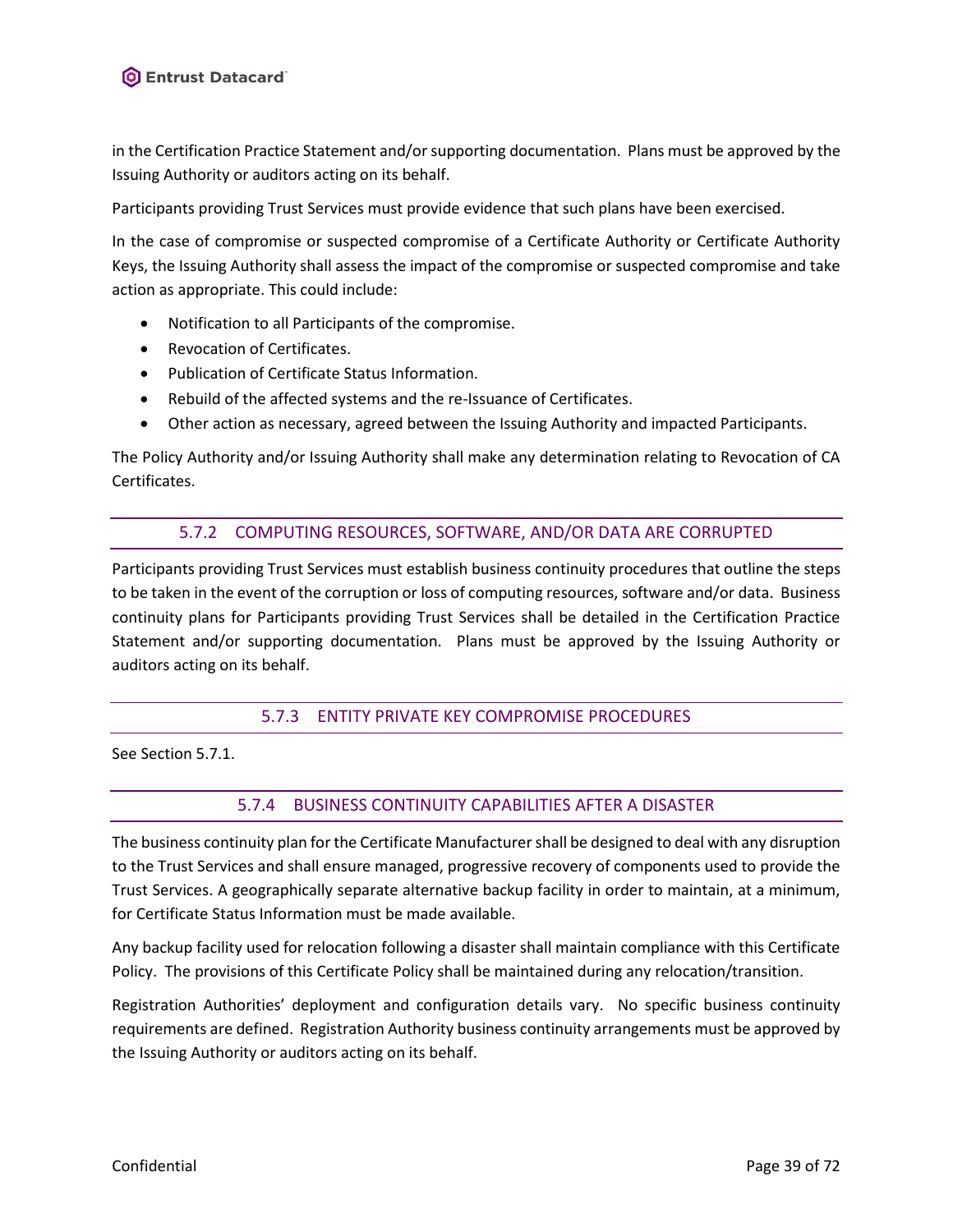in the Certification Practice Statement and/or supporting documentation. Plans must be approved by the Issuing Authority or auditors acting on its behalf.

Participants providing Trust Services must provide evidence that such plans have been exercised.

In the case of compromise or suspected compromise of a Certificate Authority or Certificate Authority Keys, the Issuing Authority shall assess the impact of the compromise or suspected compromise and take action as appropriate. This could include:

- Notification to all Participants of the compromise.
- Revocation of Certificates.
- Publication of Certificate Status Information.
- Rebuild of the affected systems and the re-Issuance of Certificates.
- Other action as necessary, agreed between the Issuing Authority and impacted Participants.

The Policy Authority and/or Issuing Authority shall make any determination relating to Revocation of CA Certificates.

#### 5.7.2 COMPUTING RESOURCES, SOFTWARE, AND/OR DATA ARE CORRUPTED

Participants providing Trust Services must establish business continuity procedures that outline the steps to be taken in the event of the corruption or loss of computing resources, software and/or data. Business continuity plans for Participants providing Trust Services shall be detailed in the Certification Practice Statement and/or supporting documentation. Plans must be approved by the Issuing Authority or auditors acting on its behalf.

### 5.7.3 ENTITY PRIVATE KEY COMPROMISE PROCEDURES

See Section [5.7.1.](#page-37-1)

### 5.7.4 BUSINESS CONTINUITY CAPABILITIES AFTER A DISASTER

The business continuity plan for the Certificate Manufacturershall be designed to deal with any disruption to the Trust Services and shall ensure managed, progressive recovery of components used to provide the Trust Services. A geographically separate alternative backup facility in order to maintain, at a minimum, for Certificate Status Information must be made available.

Any backup facility used for relocation following a disaster shall maintain compliance with this Certificate Policy. The provisions of this Certificate Policy shall be maintained during any relocation/transition.

Registration Authorities' deployment and configuration details vary. No specific business continuity requirements are defined. Registration Authority business continuity arrangements must be approved by the Issuing Authority or auditors acting on its behalf.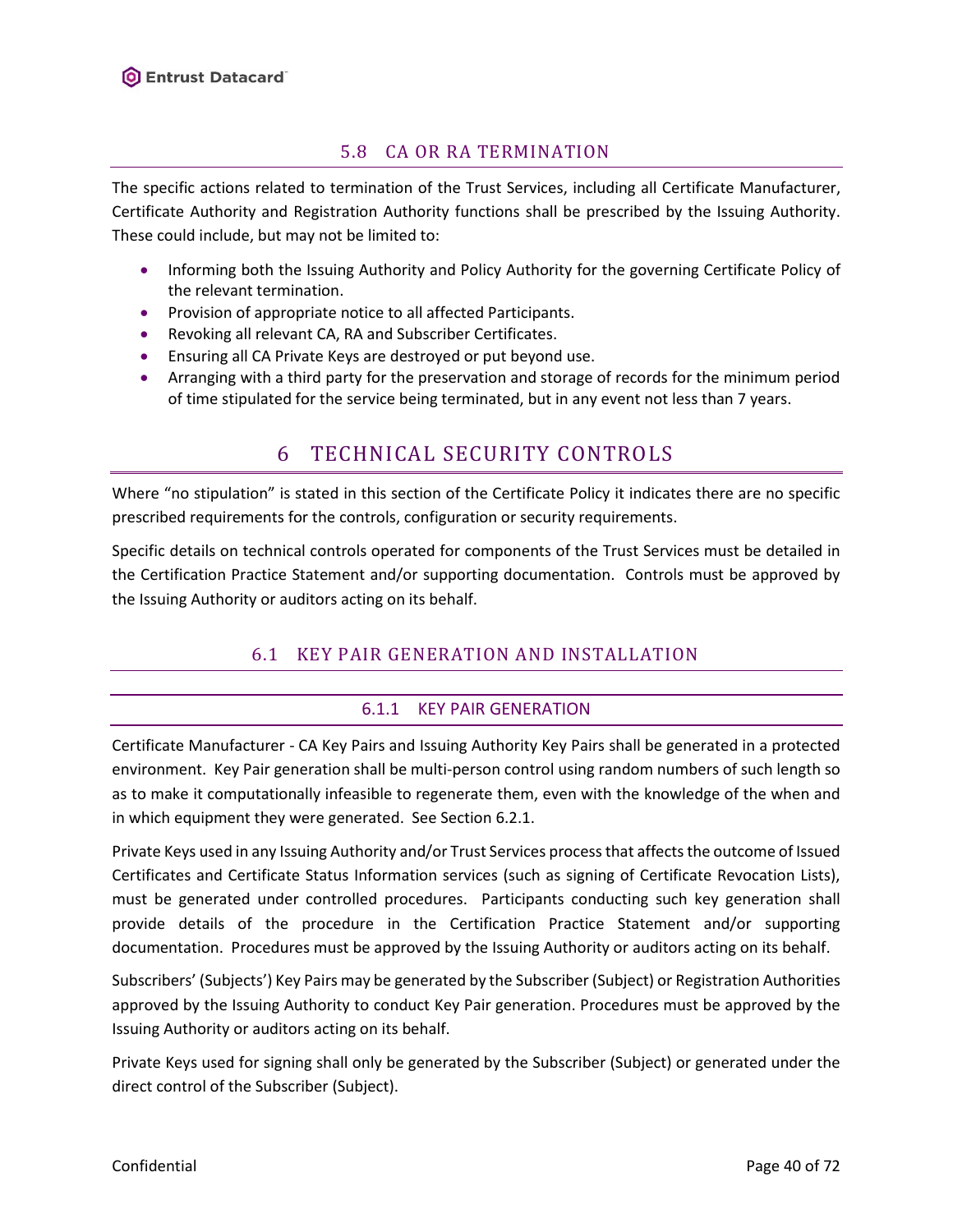# 5.8 CA OR RA TERMINATION

<span id="page-39-1"></span>The specific actions related to termination of the Trust Services, including all Certificate Manufacturer, Certificate Authority and Registration Authority functions shall be prescribed by the Issuing Authority. These could include, but may not be limited to:

- Informing both the Issuing Authority and Policy Authority for the governing Certificate Policy of the relevant termination.
- Provision of appropriate notice to all affected Participants.
- Revoking all relevant CA, RA and Subscriber Certificates.
- Ensuring all CA Private Keys are destroyed or put beyond use.
- Arranging with a third party for the preservation and storage of records for the minimum period of time stipulated for the service being terminated, but in any event not less than 7 years.

# 6 TECHNICAL SECURITY CONTROLS

Where "no stipulation" is stated in this section of the Certificate Policy it indicates there are no specific prescribed requirements for the controls, configuration or security requirements.

Specific details on technical controls operated for components of the Trust Services must be detailed in the Certification Practice Statement and/or supporting documentation. Controls must be approved by the Issuing Authority or auditors acting on its behalf.

# 6.1 KEY PAIR GENERATION AND INSTALLATION

# 6.1.1 KEY PAIR GENERATION

<span id="page-39-0"></span>Certificate Manufacturer - CA Key Pairs and Issuing Authority Key Pairs shall be generated in a protected environment. Key Pair generation shall be multi-person control using random numbers of such length so as to make it computationally infeasible to regenerate them, even with the knowledge of the when and in which equipment they were generated. See Sectio[n 6.2.1.](#page-42-0)

Private Keys used in any Issuing Authority and/or Trust Services process that affects the outcome of Issued Certificates and Certificate Status Information services (such as signing of Certificate Revocation Lists), must be generated under controlled procedures. Participants conducting such key generation shall provide details of the procedure in the Certification Practice Statement and/or supporting documentation. Procedures must be approved by the Issuing Authority or auditors acting on its behalf.

Subscribers' (Subjects') Key Pairs may be generated by the Subscriber (Subject) or Registration Authorities approved by the Issuing Authority to conduct Key Pair generation. Procedures must be approved by the Issuing Authority or auditors acting on its behalf.

Private Keys used for signing shall only be generated by the Subscriber (Subject) or generated under the direct control of the Subscriber (Subject).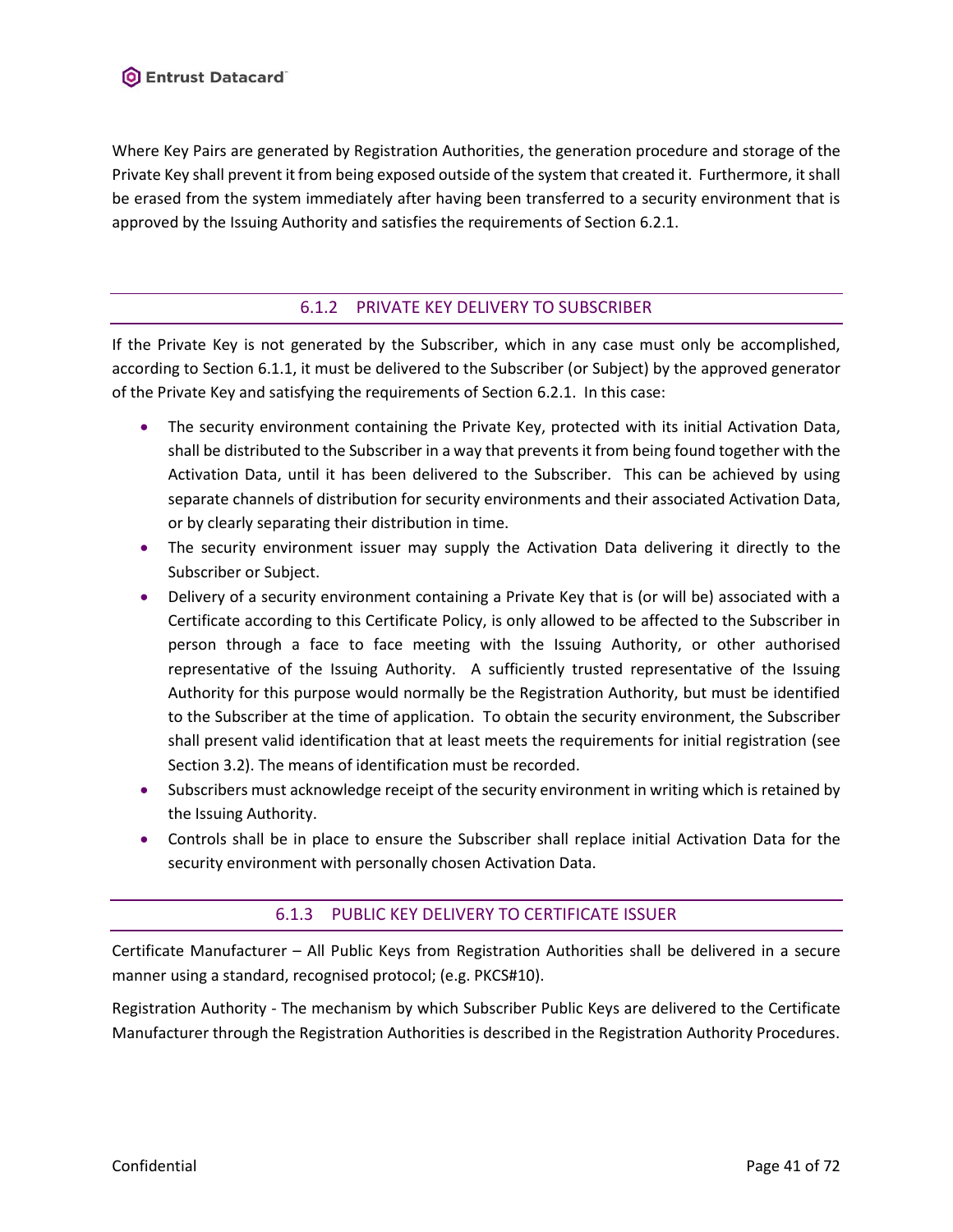Where Key Pairs are generated by Registration Authorities, the generation procedure and storage of the Private Key shall prevent it from being exposed outside of the system that created it. Furthermore, it shall be erased from the system immediately after having been transferred to a security environment that is approved by the Issuing Authority and satisfies the requirements of Section [6.2.1.](#page-42-0)

# 6.1.2 PRIVATE KEY DELIVERY TO SUBSCRIBER

<span id="page-40-0"></span>If the Private Key is not generated by the Subscriber, which in any case must only be accomplished, according to Sectio[n 6.1.1,](#page-39-0) it must be delivered to the Subscriber (or Subject) by the approved generator of the Private Key and satisfying the requirements of Section [6.2.1.](#page-42-0) In this case:

- The security environment containing the Private Key, protected with its initial Activation Data, shall be distributed to the Subscriber in a way that prevents it from being found together with the Activation Data, until it has been delivered to the Subscriber. This can be achieved by using separate channels of distribution for security environments and their associated Activation Data, or by clearly separating their distribution in time.
- The security environment issuer may supply the Activation Data delivering it directly to the Subscriber or Subject.
- Delivery of a security environment containing a Private Key that is (or will be) associated with a Certificate according to this Certificate Policy, is only allowed to be affected to the Subscriber in person through a face to face meeting with the Issuing Authority, or other authorised representative of the Issuing Authority. A sufficiently trusted representative of the Issuing Authority for this purpose would normally be the Registration Authority, but must be identified to the Subscriber at the time of application. To obtain the security environment, the Subscriber shall present valid identification that at least meets the requirements for initial registration (see Sectio[n 3.2\)](#page-16-0). The means of identification must be recorded.
- Subscribers must acknowledge receipt of the security environment in writing which is retained by the Issuing Authority.
- Controls shall be in place to ensure the Subscriber shall replace initial Activation Data for the security environment with personally chosen Activation Data.

# 6.1.3 PUBLIC KEY DELIVERY TO CERTIFICATE ISSUER

Certificate Manufacturer – All Public Keys from Registration Authorities shall be delivered in a secure manner using a standard, recognised protocol; (e.g. PKCS#10).

Registration Authority - The mechanism by which Subscriber Public Keys are delivered to the Certificate Manufacturer through the Registration Authorities is described in the Registration Authority Procedures.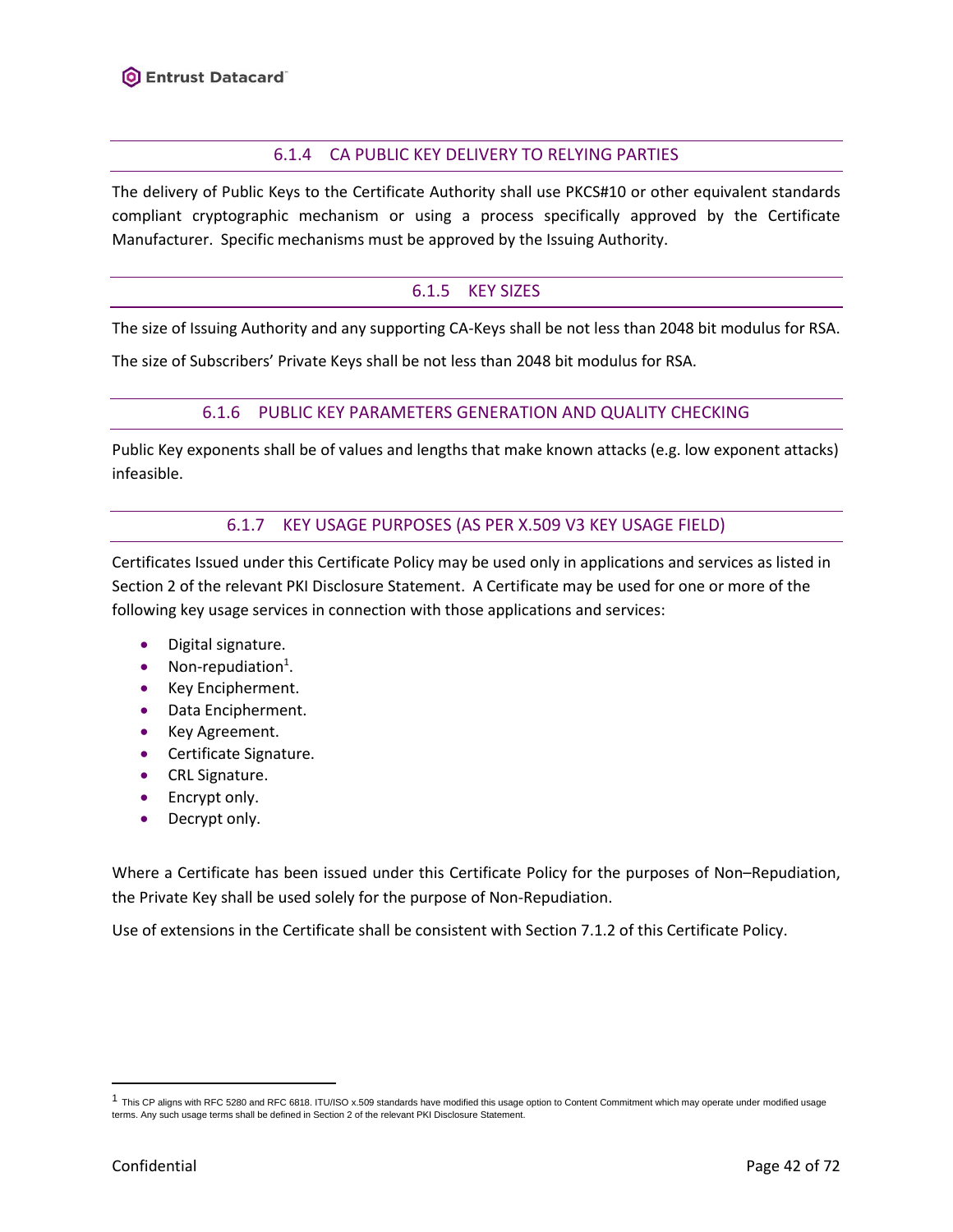## 6.1.4 CA PUBLIC KEY DELIVERY TO RELYING PARTIES

The delivery of Public Keys to the Certificate Authority shall use PKCS#10 or other equivalent standards compliant cryptographic mechanism or using a process specifically approved by the Certificate Manufacturer. Specific mechanisms must be approved by the Issuing Authority.

### 6.1.5 KEY SIZES

The size of Issuing Authority and any supporting CA-Keys shall be not less than 2048 bit modulus for RSA.

The size of Subscribers' Private Keys shall be not less than 2048 bit modulus for RSA.

#### 6.1.6 PUBLIC KEY PARAMETERS GENERATION AND QUALITY CHECKING

Public Key exponents shall be of values and lengths that make known attacks (e.g. low exponent attacks) infeasible.

#### 6.1.7 KEY USAGE PURPOSES (AS PER X.509 V3 KEY USAGE FIELD)

Certificates Issued under this Certificate Policy may be used only in applications and services as listed in Section 2 of the relevant PKI Disclosure Statement. A Certificate may be used for one or more of the following key usage services in connection with those applications and services:

- Digital signature.
- $\bullet$  Non-repudiation<sup>1</sup>.
- Key Encipherment.
- Data Encipherment.
- Key Agreement.
- Certificate Signature.
- CRL Signature.
- Encrypt only.
- Decrypt only.

Where a Certificate has been issued under this Certificate Policy for the purposes of Non–Repudiation, the Private Key shall be used solely for the purpose of Non-Repudiation.

Use of extensions in the Certificate shall be consistent with Section [7.1.2](#page-47-0) of this Certificate Policy.

 $^1$  This CP aligns with RFC 5280 and RFC 6818. ITU/ISO x.509 standards have modified this usage option to Content Commitment which may operate under modified usage terms. Any such usage terms shall be defined in Section 2 of the relevant PKI Disclosure Statement.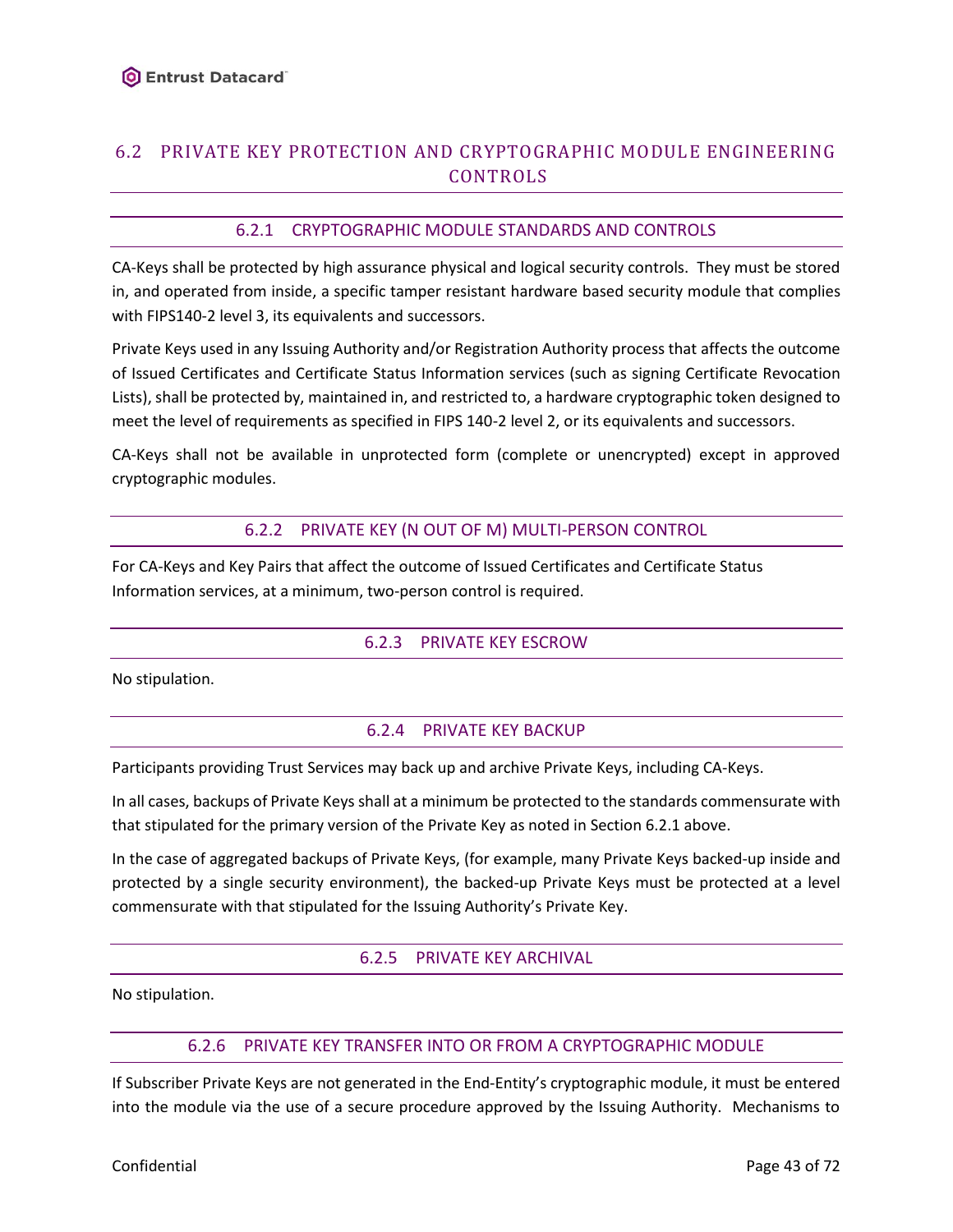# 6.2 PRIVATE KEY PROTECTION AND CRYPTOGRAPHIC MODULE ENGINEERING CONTROLS

## 6.2.1 CRYPTOGRAPHIC MODULE STANDARDS AND CONTROLS

<span id="page-42-0"></span>CA-Keys shall be protected by high assurance physical and logical security controls. They must be stored in, and operated from inside, a specific tamper resistant hardware based security module that complies with FIPS140-2 level 3, its equivalents and successors.

Private Keys used in any Issuing Authority and/or Registration Authority process that affects the outcome of Issued Certificates and Certificate Status Information services (such as signing Certificate Revocation Lists), shall be protected by, maintained in, and restricted to, a hardware cryptographic token designed to meet the level of requirements as specified in FIPS 140-2 level 2, or its equivalents and successors.

CA-Keys shall not be available in unprotected form (complete or unencrypted) except in approved cryptographic modules.

### 6.2.2 PRIVATE KEY (N OUT OF M) MULTI-PERSON CONTROL

For CA-Keys and Key Pairs that affect the outcome of Issued Certificates and Certificate Status Information services, at a minimum, two-person control is required.

### 6.2.3 PRIVATE KEY ESCROW

No stipulation.

### 6.2.4 PRIVATE KEY BACKUP

Participants providing Trust Services may back up and archive Private Keys, including CA-Keys.

In all cases, backups of Private Keys shall at a minimum be protected to the standards commensurate with that stipulated for the primary version of the Private Key as noted in Section 6.2.1 above.

In the case of aggregated backups of Private Keys, (for example, many Private Keys backed-up inside and protected by a single security environment), the backed-up Private Keys must be protected at a level commensurate with that stipulated for the Issuing Authority's Private Key.

#### 6.2.5 PRIVATE KEY ARCHIVAL

No stipulation.

#### 6.2.6 PRIVATE KEY TRANSFER INTO OR FROM A CRYPTOGRAPHIC MODULE

If Subscriber Private Keys are not generated in the End-Entity's cryptographic module, it must be entered into the module via the use of a secure procedure approved by the Issuing Authority. Mechanisms to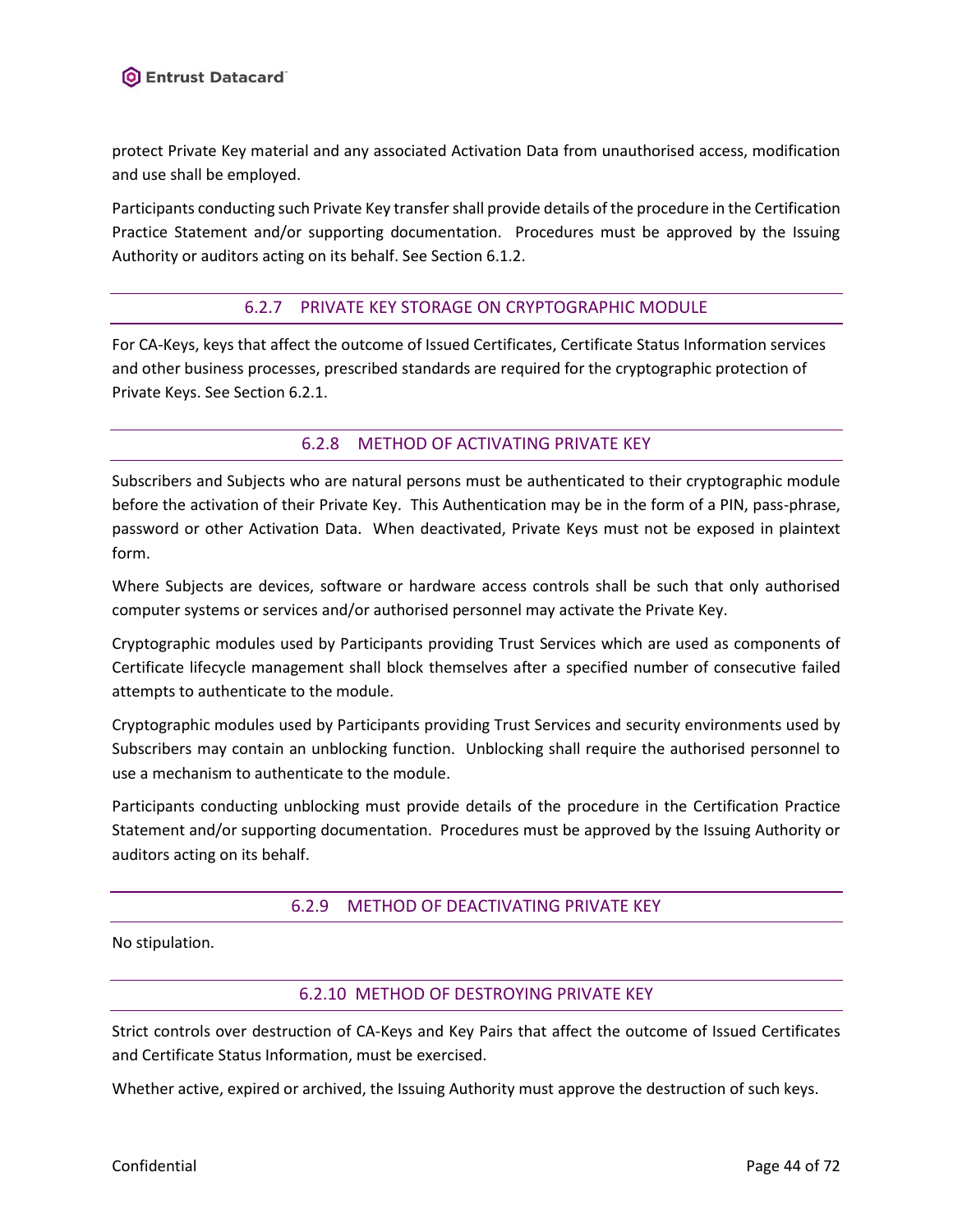protect Private Key material and any associated Activation Data from unauthorised access, modification and use shall be employed.

Participants conducting such Private Key transfer shall provide details of the procedure in the Certification Practice Statement and/or supporting documentation. Procedures must be approved by the Issuing Authority or auditors acting on its behalf. See Sectio[n 6.1.2.](#page-40-0)

# 6.2.7 PRIVATE KEY STORAGE ON CRYPTOGRAPHIC MODULE

For CA-Keys, keys that affect the outcome of Issued Certificates, Certificate Status Information services and other business processes, prescribed standards are required for the cryptographic protection of Private Keys. See Sectio[n 6.2.1.](#page-42-0)

# 6.2.8 METHOD OF ACTIVATING PRIVATE KEY

<span id="page-43-0"></span>Subscribers and Subjects who are natural persons must be authenticated to their cryptographic module before the activation of their Private Key. This Authentication may be in the form of a PIN, pass-phrase, password or other Activation Data. When deactivated, Private Keys must not be exposed in plaintext form.

Where Subjects are devices, software or hardware access controls shall be such that only authorised computer systems or services and/or authorised personnel may activate the Private Key.

Cryptographic modules used by Participants providing Trust Services which are used as components of Certificate lifecycle management shall block themselves after a specified number of consecutive failed attempts to authenticate to the module.

Cryptographic modules used by Participants providing Trust Services and security environments used by Subscribers may contain an unblocking function. Unblocking shall require the authorised personnel to use a mechanism to authenticate to the module.

Participants conducting unblocking must provide details of the procedure in the Certification Practice Statement and/or supporting documentation. Procedures must be approved by the Issuing Authority or auditors acting on its behalf.

# 6.2.9 METHOD OF DEACTIVATING PRIVATE KEY

No stipulation.

### 6.2.10 METHOD OF DESTROYING PRIVATE KEY

Strict controls over destruction of CA-Keys and Key Pairs that affect the outcome of Issued Certificates and Certificate Status Information, must be exercised.

Whether active, expired or archived, the Issuing Authority must approve the destruction of such keys.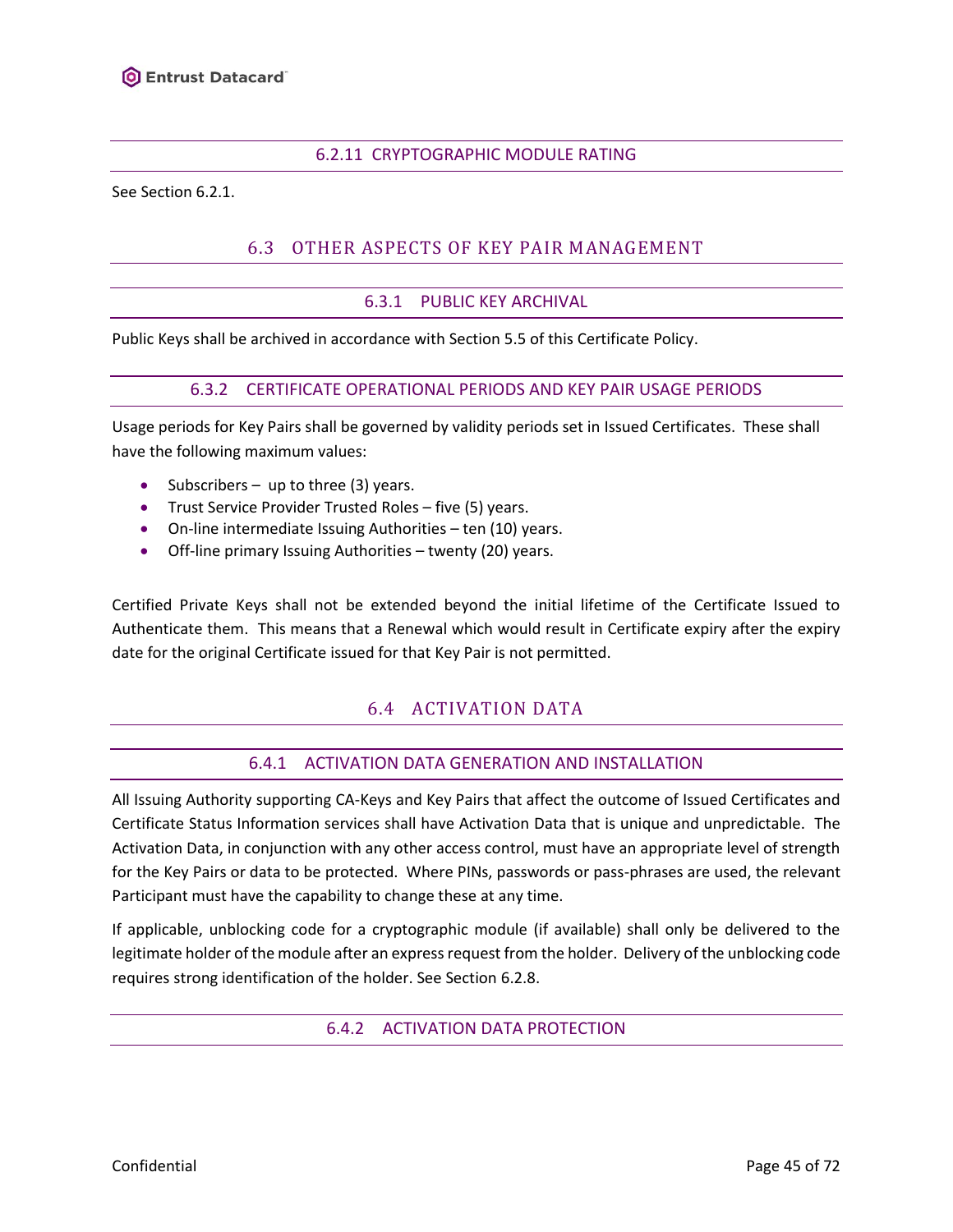#### 6.2.11 CRYPTOGRAPHIC MODULE RATING

See Section [6.2.1.](#page-42-0)

# 6.3 OTHER ASPECTS OF KEY PAIR MANAGEMENT

#### 6.3.1 PUBLIC KEY ARCHIVAL

Public Keys shall be archived in accordance with Section [5.5](#page-36-0) of this Certificate Policy.

#### 6.3.2 CERTIFICATE OPERATIONAL PERIODS AND KEY PAIR USAGE PERIODS

Usage periods for Key Pairs shall be governed by validity periods set in Issued Certificates. These shall have the following maximum values:

- Subscribers up to three (3) years.
- Trust Service Provider Trusted Roles five (5) years.
- On-line intermediate Issuing Authorities ten (10) years.
- Off-line primary Issuing Authorities twenty (20) years.

Certified Private Keys shall not be extended beyond the initial lifetime of the Certificate Issued to Authenticate them. This means that a Renewal which would result in Certificate expiry after the expiry date for the original Certificate issued for that Key Pair is not permitted.

# 6.4 ACTIVATION DATA

#### 6.4.1 ACTIVATION DATA GENERATION AND INSTALLATION

All Issuing Authority supporting CA-Keys and Key Pairs that affect the outcome of Issued Certificates and Certificate Status Information services shall have Activation Data that is unique and unpredictable. The Activation Data, in conjunction with any other access control, must have an appropriate level of strength for the Key Pairs or data to be protected. Where PINs, passwords or pass-phrases are used, the relevant Participant must have the capability to change these at any time.

If applicable, unblocking code for a cryptographic module (if available) shall only be delivered to the legitimate holder of the module after an express request from the holder. Delivery of the unblocking code requires strong identification of the holder. See Section [6.2.8.](#page-43-0)

#### 6.4.2 ACTIVATION DATA PROTECTION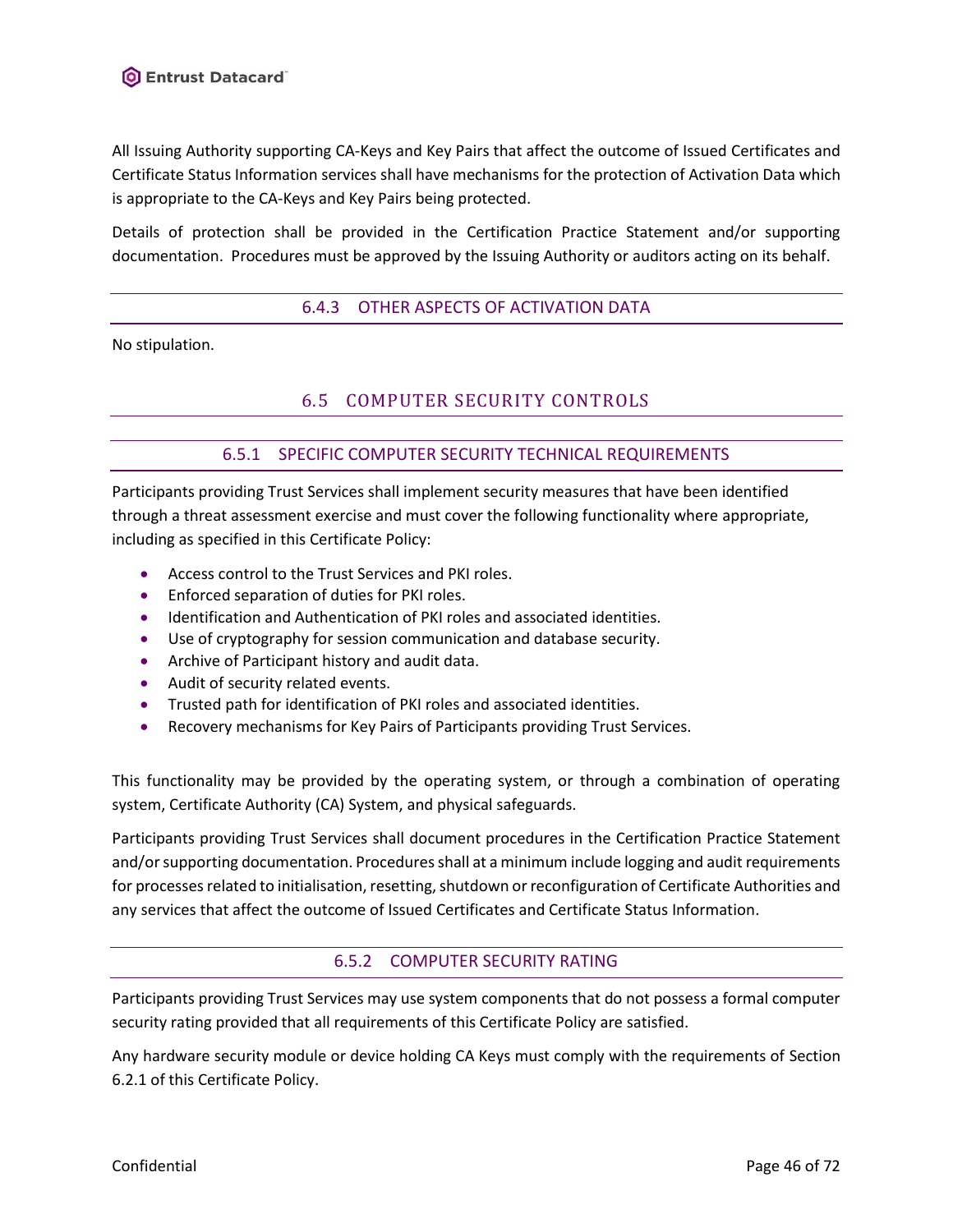All Issuing Authority supporting CA-Keys and Key Pairs that affect the outcome of Issued Certificates and Certificate Status Information services shall have mechanisms for the protection of Activation Data which is appropriate to the CA-Keys and Key Pairs being protected.

Details of protection shall be provided in the Certification Practice Statement and/or supporting documentation. Procedures must be approved by the Issuing Authority or auditors acting on its behalf.

### 6.4.3 OTHER ASPECTS OF ACTIVATION DATA

No stipulation.

# 6.5 COMPUTER SECURITY CONTROLS

#### 6.5.1 SPECIFIC COMPUTER SECURITY TECHNICAL REQUIREMENTS

Participants providing Trust Services shall implement security measures that have been identified through a threat assessment exercise and must cover the following functionality where appropriate, including as specified in this Certificate Policy:

- Access control to the Trust Services and PKI roles.
- Enforced separation of duties for PKI roles.
- Identification and Authentication of PKI roles and associated identities.
- Use of cryptography for session communication and database security.
- Archive of Participant history and audit data.
- Audit of security related events.
- Trusted path for identification of PKI roles and associated identities.
- Recovery mechanisms for Key Pairs of Participants providing Trust Services.

This functionality may be provided by the operating system, or through a combination of operating system, Certificate Authority (CA) System, and physical safeguards.

Participants providing Trust Services shall document procedures in the Certification Practice Statement and/or supporting documentation. Procedures shall at a minimum include logging and audit requirements for processes related to initialisation, resetting, shutdown or reconfiguration of Certificate Authorities and any services that affect the outcome of Issued Certificates and Certificate Status Information.

### 6.5.2 COMPUTER SECURITY RATING

Participants providing Trust Services may use system components that do not possess a formal computer security rating provided that all requirements of this Certificate Policy are satisfied.

Any hardware security module or device holding CA Keys must comply with the requirements of Section [6.2.1](#page-42-0) of this Certificate Policy.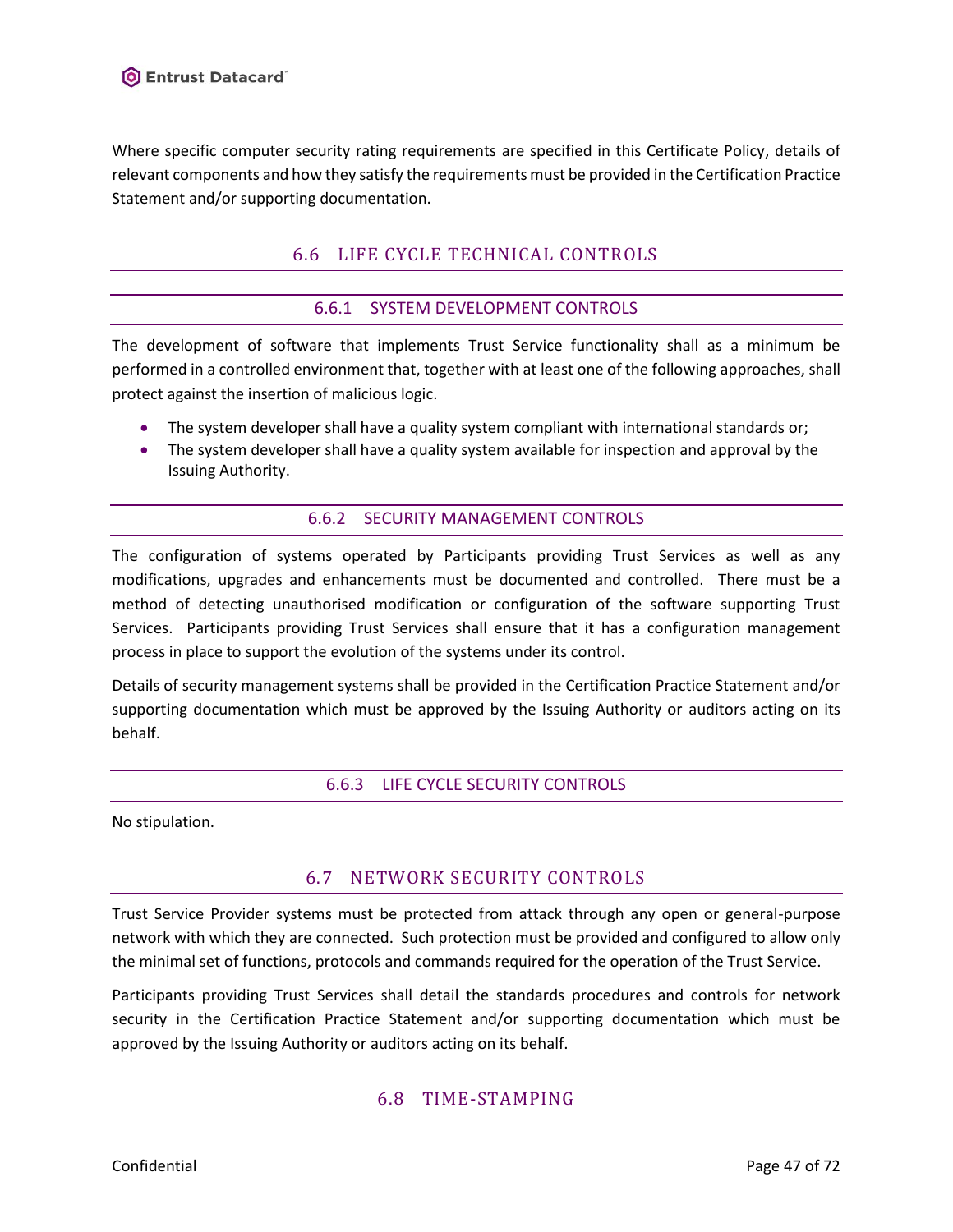

Where specific computer security rating requirements are specified in this Certificate Policy, details of relevant components and how they satisfy the requirements must be provided in the Certification Practice Statement and/or supporting documentation.

# 6.6 LIFE CYCLE TECHNICAL CONTROLS

### 6.6.1 SYSTEM DEVELOPMENT CONTROLS

The development of software that implements Trust Service functionality shall as a minimum be performed in a controlled environment that, together with at least one of the following approaches, shall protect against the insertion of malicious logic.

- The system developer shall have a quality system compliant with international standards or;
- The system developer shall have a quality system available for inspection and approval by the Issuing Authority.

#### 6.6.2 SECURITY MANAGEMENT CONTROLS

The configuration of systems operated by Participants providing Trust Services as well as any modifications, upgrades and enhancements must be documented and controlled. There must be a method of detecting unauthorised modification or configuration of the software supporting Trust Services. Participants providing Trust Services shall ensure that it has a configuration management process in place to support the evolution of the systems under its control.

Details of security management systems shall be provided in the Certification Practice Statement and/or supporting documentation which must be approved by the Issuing Authority or auditors acting on its behalf.

#### 6.6.3 LIFE CYCLE SECURITY CONTROLS

No stipulation.

# 6.7 NETWORK SECURITY CONTROLS

Trust Service Provider systems must be protected from attack through any open or general-purpose network with which they are connected. Such protection must be provided and configured to allow only the minimal set of functions, protocols and commands required for the operation of the Trust Service.

Participants providing Trust Services shall detail the standards procedures and controls for network security in the Certification Practice Statement and/or supporting documentation which must be approved by the Issuing Authority or auditors acting on its behalf.

# 6.8 TIME-STAMPING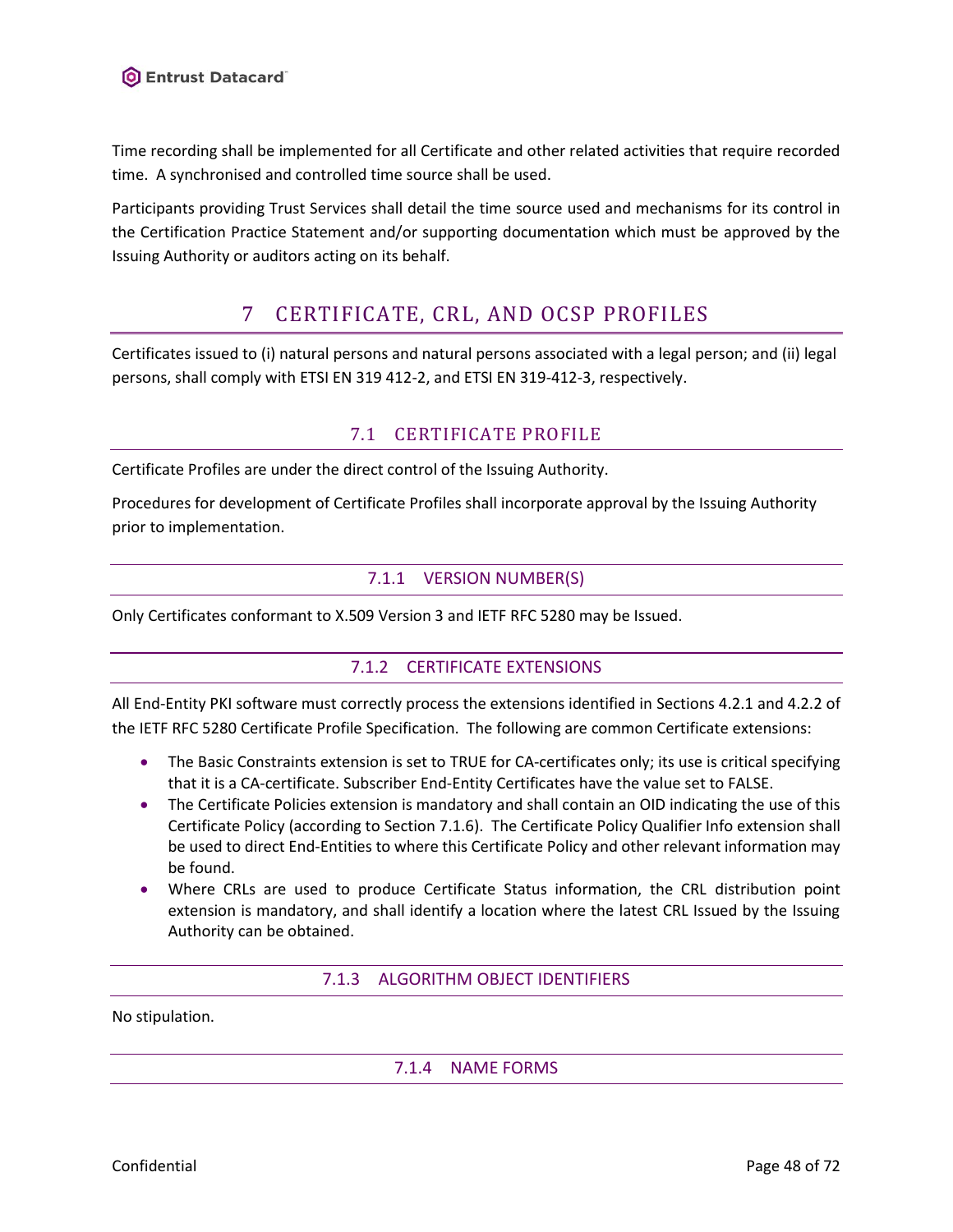Time recording shall be implemented for all Certificate and other related activities that require recorded time. A synchronised and controlled time source shall be used.

Participants providing Trust Services shall detail the time source used and mechanisms for its control in the Certification Practice Statement and/or supporting documentation which must be approved by the Issuing Authority or auditors acting on its behalf.

# 7 CERTIFICATE, CRL, AND OCSP PROFILES

Certificates issued to (i) natural persons and natural persons associated with a legal person; and (ii) legal persons, shall comply with ETSI EN 319 412-2, and ETSI EN 319-412-3, respectively.

# 7.1 CERTIFICATE PROFILE

Certificate Profiles are under the direct control of the Issuing Authority.

Procedures for development of Certificate Profiles shall incorporate approval by the Issuing Authority prior to implementation.

# 7.1.1 VERSION NUMBER(S)

<span id="page-47-0"></span>Only Certificates conformant to X.509 Version 3 and IETF RFC 5280 may be Issued.

# 7.1.2 CERTIFICATE EXTENSIONS

All End-Entity PKI software must correctly process the extensions identified in Sections 4.2.1 and 4.2.2 of the IETF RFC 5280 Certificate Profile Specification. The following are common Certificate extensions:

- The Basic Constraints extension is set to TRUE for CA-certificates only; its use is critical specifying that it is a CA-certificate. Subscriber End-Entity Certificates have the value set to FALSE.
- The Certificate Policies extension is mandatory and shall contain an OID indicating the use of this Certificate Policy (according to Section [7.1.6\)](#page-48-0). The Certificate Policy Qualifier Info extension shall be used to direct End-Entities to where this Certificate Policy and other relevant information may be found.
- Where CRLs are used to produce Certificate Status information, the CRL distribution point extension is mandatory, and shall identify a location where the latest CRL Issued by the Issuing Authority can be obtained.

7.1.3 ALGORITHM OBJECT IDENTIFIERS

No stipulation.

7.1.4 NAME FORMS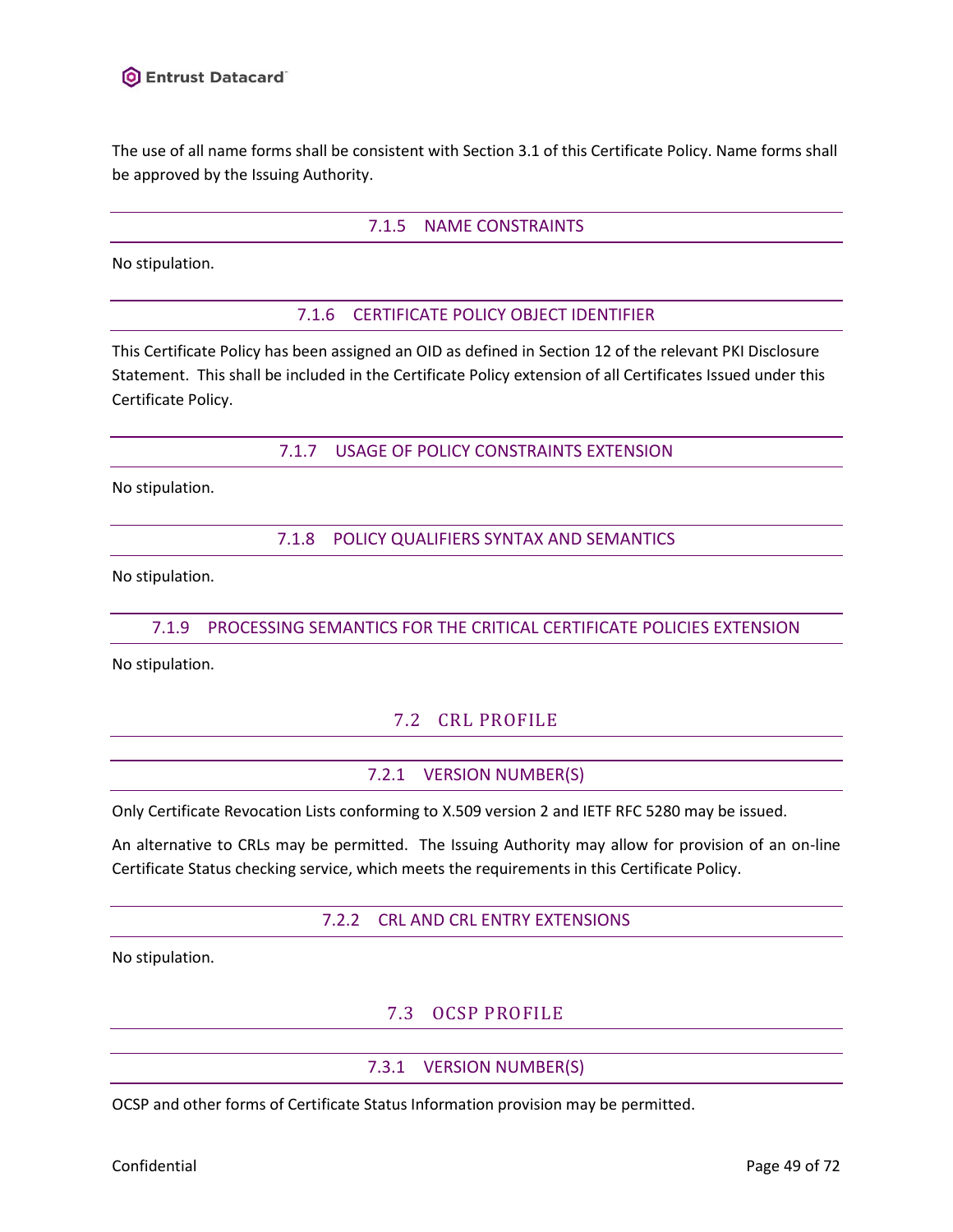The use of all name forms shall be consistent with Section [3.1](#page-15-0) of this Certificate Policy. Name forms shall be approved by the Issuing Authority.

#### 7.1.5 NAME CONSTRAINTS

<span id="page-48-0"></span>No stipulation.

#### 7.1.6 CERTIFICATE POLICY OBJECT IDENTIFIER

This Certificate Policy has been assigned an OID as defined in Section 12 of the relevant PKI Disclosure Statement. This shall be included in the Certificate Policy extension of all Certificates Issued under this Certificate Policy.

#### 7.1.7 USAGE OF POLICY CONSTRAINTS EXTENSION

No stipulation.

7.1.8 POLICY QUALIFIERS SYNTAX AND SEMANTICS

No stipulation.

### 7.1.9 PROCESSING SEMANTICS FOR THE CRITICAL CERTIFICATE POLICIES EXTENSION

No stipulation.

# 7.2 CRL PROFILE

### 7.2.1 VERSION NUMBER(S)

Only Certificate Revocation Lists conforming to X.509 version 2 and IETF RFC 5280 may be issued.

An alternative to CRLs may be permitted. The Issuing Authority may allow for provision of an on-line Certificate Status checking service, which meets the requirements in this Certificate Policy.

#### 7.2.2 CRL AND CRL ENTRY EXTENSIONS

No stipulation.

# 7.3 OCSP PROFILE

### 7.3.1 VERSION NUMBER(S)

OCSP and other forms of Certificate Status Information provision may be permitted.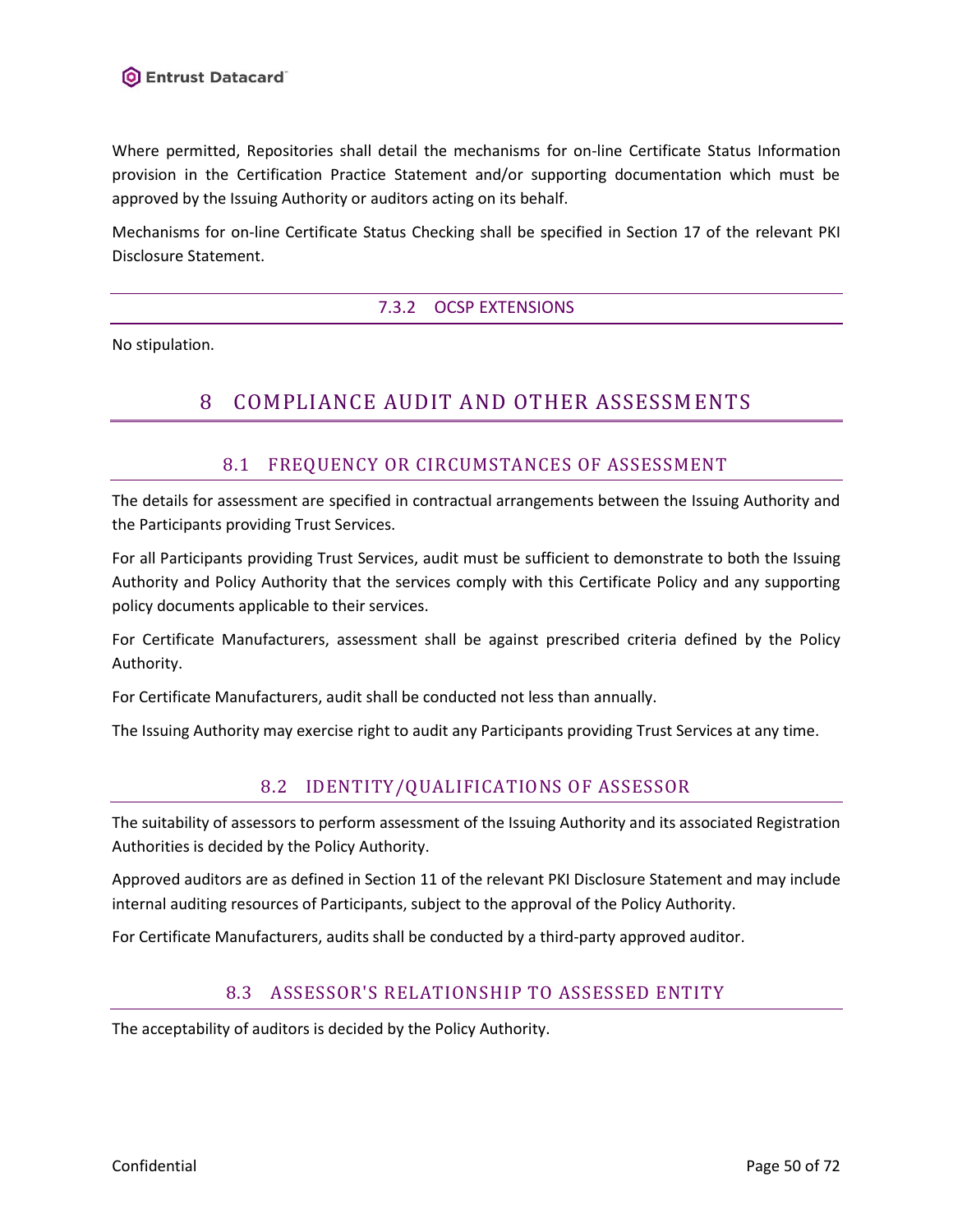Where permitted, Repositories shall detail the mechanisms for on-line Certificate Status Information provision in the Certification Practice Statement and/or supporting documentation which must be approved by the Issuing Authority or auditors acting on its behalf.

Mechanisms for on-line Certificate Status Checking shall be specified in Section 17 of the relevant PKI Disclosure Statement.

# 7.3.2 OCSP EXTENSIONS

No stipulation.

# 8 COMPLIANCE AUDIT AND OTHER ASSESSMENTS

# 8.1 FREQUENCY OR CIRCUMSTANCES OF ASSESSMENT

The details for assessment are specified in contractual arrangements between the Issuing Authority and the Participants providing Trust Services.

For all Participants providing Trust Services, audit must be sufficient to demonstrate to both the Issuing Authority and Policy Authority that the services comply with this Certificate Policy and any supporting policy documents applicable to their services.

For Certificate Manufacturers, assessment shall be against prescribed criteria defined by the Policy Authority.

For Certificate Manufacturers, audit shall be conducted not less than annually.

The Issuing Authority may exercise right to audit any Participants providing Trust Services at any time.

# 8.2 IDENTITY/QUALIFICATIONS OF ASSESSOR

The suitability of assessors to perform assessment of the Issuing Authority and its associated Registration Authorities is decided by the Policy Authority.

Approved auditors are as defined in Section 11 of the relevant PKI Disclosure Statement and may include internal auditing resources of Participants, subject to the approval of the Policy Authority.

For Certificate Manufacturers, audits shall be conducted by a third-party approved auditor.

# 8.3 ASSESSOR'S RELATIONSHIP TO ASSESSED ENTITY

The acceptability of auditors is decided by the Policy Authority.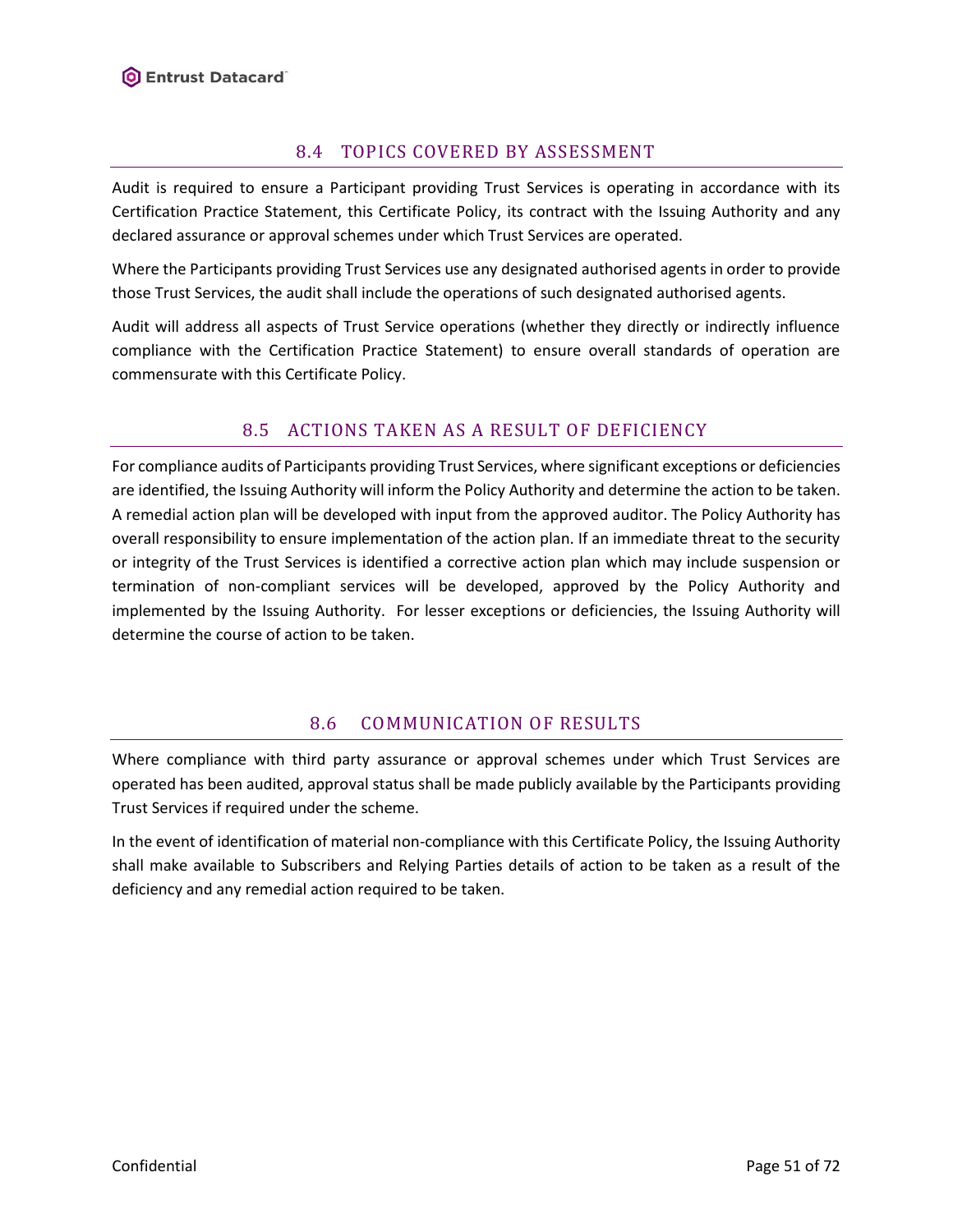# 8.4 TOPICS COVERED BY ASSESSMENT

Audit is required to ensure a Participant providing Trust Services is operating in accordance with its Certification Practice Statement, this Certificate Policy, its contract with the Issuing Authority and any declared assurance or approval schemes under which Trust Services are operated.

Where the Participants providing Trust Services use any designated authorised agents in order to provide those Trust Services, the audit shall include the operations of such designated authorised agents.

Audit will address all aspects of Trust Service operations (whether they directly or indirectly influence compliance with the Certification Practice Statement) to ensure overall standards of operation are commensurate with this Certificate Policy.

# 8.5 ACTIONS TAKEN AS A RESULT OF DEFICIENCY

For compliance audits of Participants providing Trust Services, where significant exceptions or deficiencies are identified, the Issuing Authority will inform the Policy Authority and determine the action to be taken. A remedial action plan will be developed with input from the approved auditor. The Policy Authority has overall responsibility to ensure implementation of the action plan. If an immediate threat to the security or integrity of the Trust Services is identified a corrective action plan which may include suspension or termination of non-compliant services will be developed, approved by the Policy Authority and implemented by the Issuing Authority. For lesser exceptions or deficiencies, the Issuing Authority will determine the course of action to be taken.

# 8.6 COMMUNICATION OF RESULTS

Where compliance with third party assurance or approval schemes under which Trust Services are operated has been audited, approval status shall be made publicly available by the Participants providing Trust Services if required under the scheme.

In the event of identification of material non-compliance with this Certificate Policy, the Issuing Authority shall make available to Subscribers and Relying Parties details of action to be taken as a result of the deficiency and any remedial action required to be taken.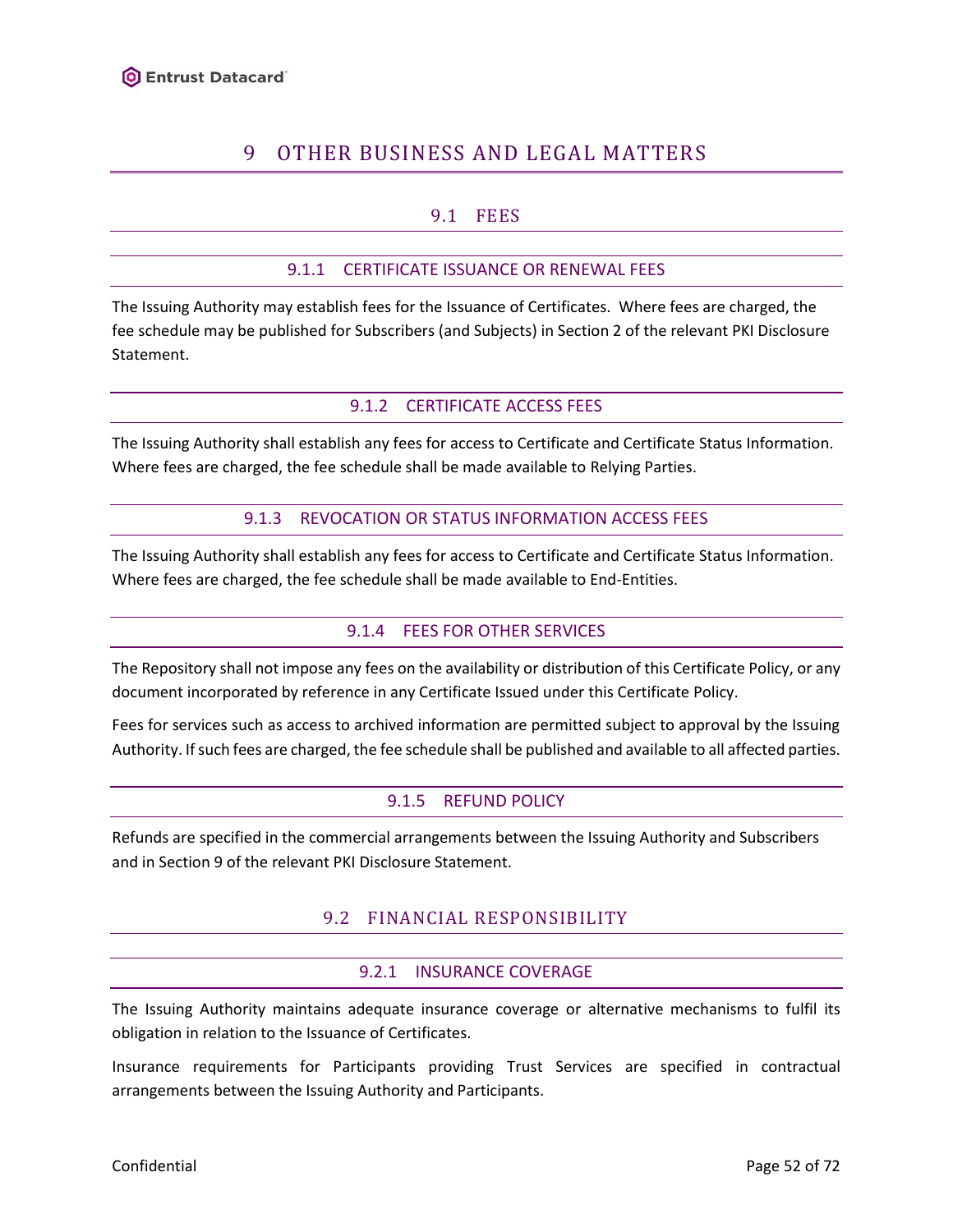# 9 OTHER BUSINESS AND LEGAL MATTERS

# 9.1 FEES

### 9.1.1 CERTIFICATE ISSUANCE OR RENEWAL FEES

The Issuing Authority may establish fees for the Issuance of Certificates. Where fees are charged, the fee schedule may be published for Subscribers (and Subjects) in Section 2 of the relevant PKI Disclosure Statement.

#### 9.1.2 CERTIFICATE ACCESS FEES

The Issuing Authority shall establish any fees for access to Certificate and Certificate Status Information. Where fees are charged, the fee schedule shall be made available to Relying Parties.

#### 9.1.3 REVOCATION OR STATUS INFORMATION ACCESS FEES

The Issuing Authority shall establish any fees for access to Certificate and Certificate Status Information. Where fees are charged, the fee schedule shall be made available to End-Entities.

#### 9.1.4 FEES FOR OTHER SERVICES

The Repository shall not impose any fees on the availability or distribution of this Certificate Policy, or any document incorporated by reference in any Certificate Issued under this Certificate Policy.

Fees for services such as access to archived information are permitted subject to approval by the Issuing Authority. If such fees are charged, the fee schedule shall be published and available to all affected parties.

### 9.1.5 REFUND POLICY

Refunds are specified in the commercial arrangements between the Issuing Authority and Subscribers and in Section 9 of the relevant PKI Disclosure Statement.

### 9.2 FINANCIAL RESPONSIBILITY

#### 9.2.1 INSURANCE COVERAGE

The Issuing Authority maintains adequate insurance coverage or alternative mechanisms to fulfil its obligation in relation to the Issuance of Certificates.

Insurance requirements for Participants providing Trust Services are specified in contractual arrangements between the Issuing Authority and Participants.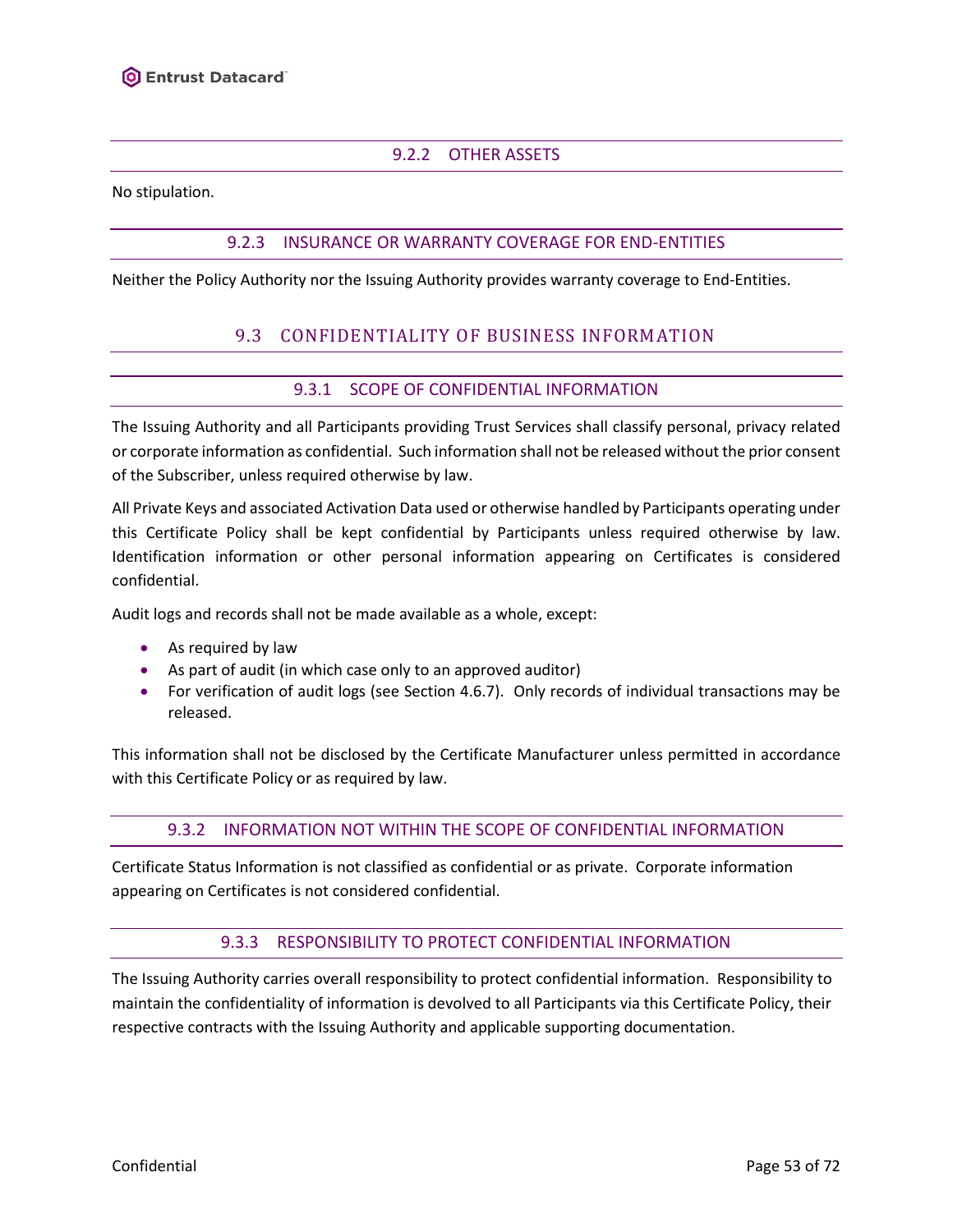# 9.2.2 OTHER ASSETS

No stipulation.

### 9.2.3 INSURANCE OR WARRANTY COVERAGE FOR END-ENTITIES

<span id="page-52-0"></span>Neither the Policy Authority nor the Issuing Authority provides warranty coverage to End-Entities.

# 9.3 CONFIDENTIALITY OF BUSINESS INFORMATION

# 9.3.1 SCOPE OF CONFIDENTIAL INFORMATION

<span id="page-52-1"></span>The Issuing Authority and all Participants providing Trust Services shall classify personal, privacy related or corporate information as confidential. Such information shall not be released without the prior consent of the Subscriber, unless required otherwise by law.

All Private Keys and associated Activation Data used or otherwise handled by Participants operating under this Certificate Policy shall be kept confidential by Participants unless required otherwise by law. Identification information or other personal information appearing on Certificates is considered confidential.

Audit logs and records shall not be made available as a whole, except:

- As required by law
- As part of audit (in which case only to an approved auditor)
- For verification of audit logs (see Section [4.6.7\)](#page-23-0). Only records of individual transactions may be released.

<span id="page-52-2"></span>This information shall not be disclosed by the Certificate Manufacturer unless permitted in accordance with this Certificate Policy or as required by law.

#### 9.3.2 INFORMATION NOT WITHIN THE SCOPE OF CONFIDENTIAL INFORMATION

Certificate Status Information is not classified as confidential or as private. Corporate information appearing on Certificates is not considered confidential.

#### 9.3.3 RESPONSIBILITY TO PROTECT CONFIDENTIAL INFORMATION

The Issuing Authority carries overall responsibility to protect confidential information. Responsibility to maintain the confidentiality of information is devolved to all Participants via this Certificate Policy, their respective contracts with the Issuing Authority and applicable supporting documentation.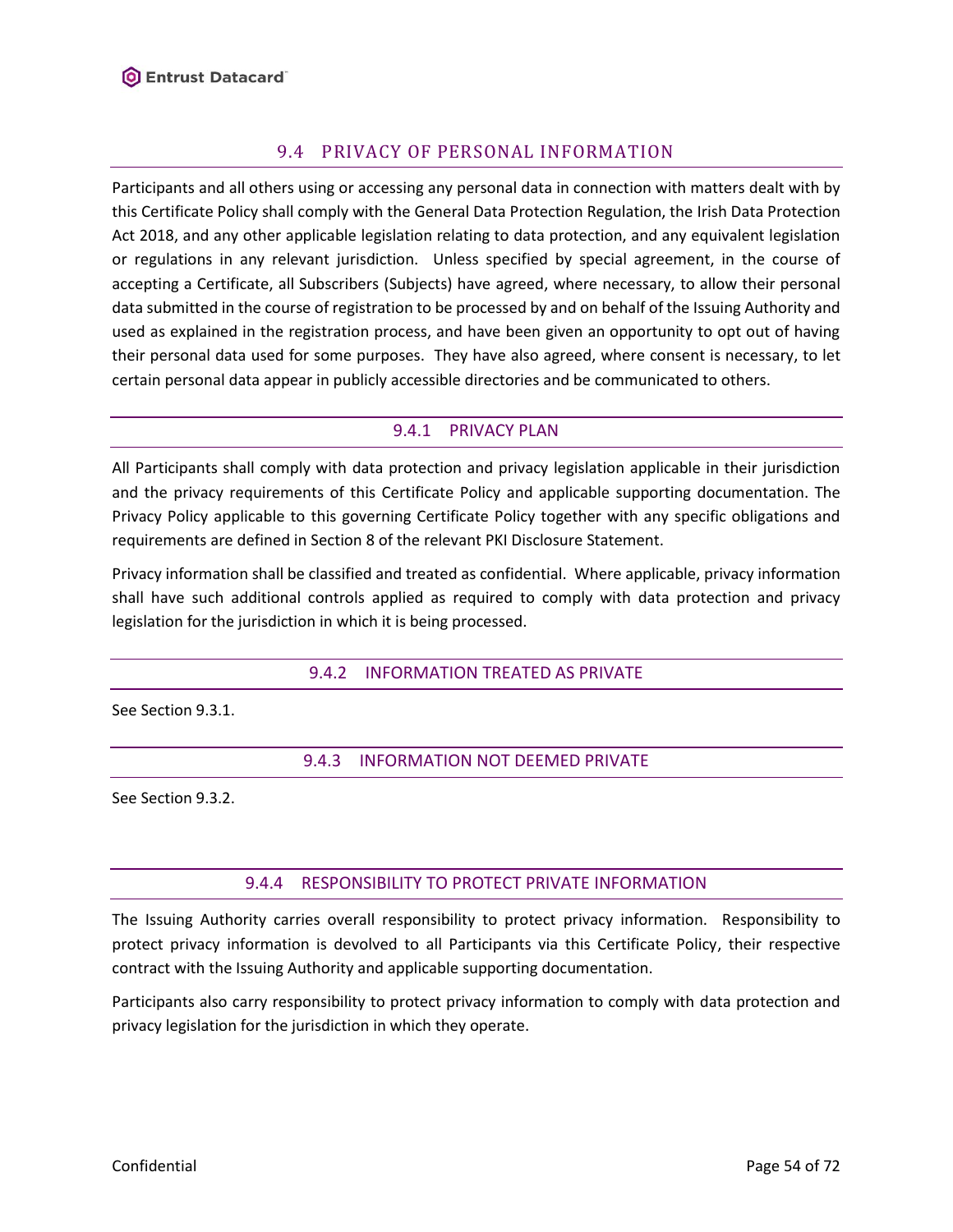# 9.4 PRIVACY OF PERSONAL INFORMATION

<span id="page-53-0"></span>Participants and all others using or accessing any personal data in connection with matters dealt with by this Certificate Policy shall comply with the General Data Protection Regulation, the Irish Data Protection Act 2018, and any other applicable legislation relating to data protection, and any equivalent legislation or regulations in any relevant jurisdiction. Unless specified by special agreement, in the course of accepting a Certificate, all Subscribers (Subjects) have agreed, where necessary, to allow their personal data submitted in the course of registration to be processed by and on behalf of the Issuing Authority and used as explained in the registration process, and have been given an opportunity to opt out of having their personal data used for some purposes. They have also agreed, where consent is necessary, to let certain personal data appear in publicly accessible directories and be communicated to others.

### 9.4.1 PRIVACY PLAN

All Participants shall comply with data protection and privacy legislation applicable in their jurisdiction and the privacy requirements of this Certificate Policy and applicable supporting documentation. The Privacy Policy applicable to this governing Certificate Policy together with any specific obligations and requirements are defined in Section 8 of the relevant PKI Disclosure Statement.

Privacy information shall be classified and treated as confidential. Where applicable, privacy information shall have such additional controls applied as required to comply with data protection and privacy legislation for the jurisdiction in which it is being processed.

### 9.4.2 INFORMATION TREATED AS PRIVATE

See Section [9.3.1.](#page-52-1)

### 9.4.3 INFORMATION NOT DEEMED PRIVATE

See Section [9.3.2.](#page-52-2)

### 9.4.4 RESPONSIBILITY TO PROTECT PRIVATE INFORMATION

The Issuing Authority carries overall responsibility to protect privacy information. Responsibility to protect privacy information is devolved to all Participants via this Certificate Policy, their respective contract with the Issuing Authority and applicable supporting documentation.

Participants also carry responsibility to protect privacy information to comply with data protection and privacy legislation for the jurisdiction in which they operate.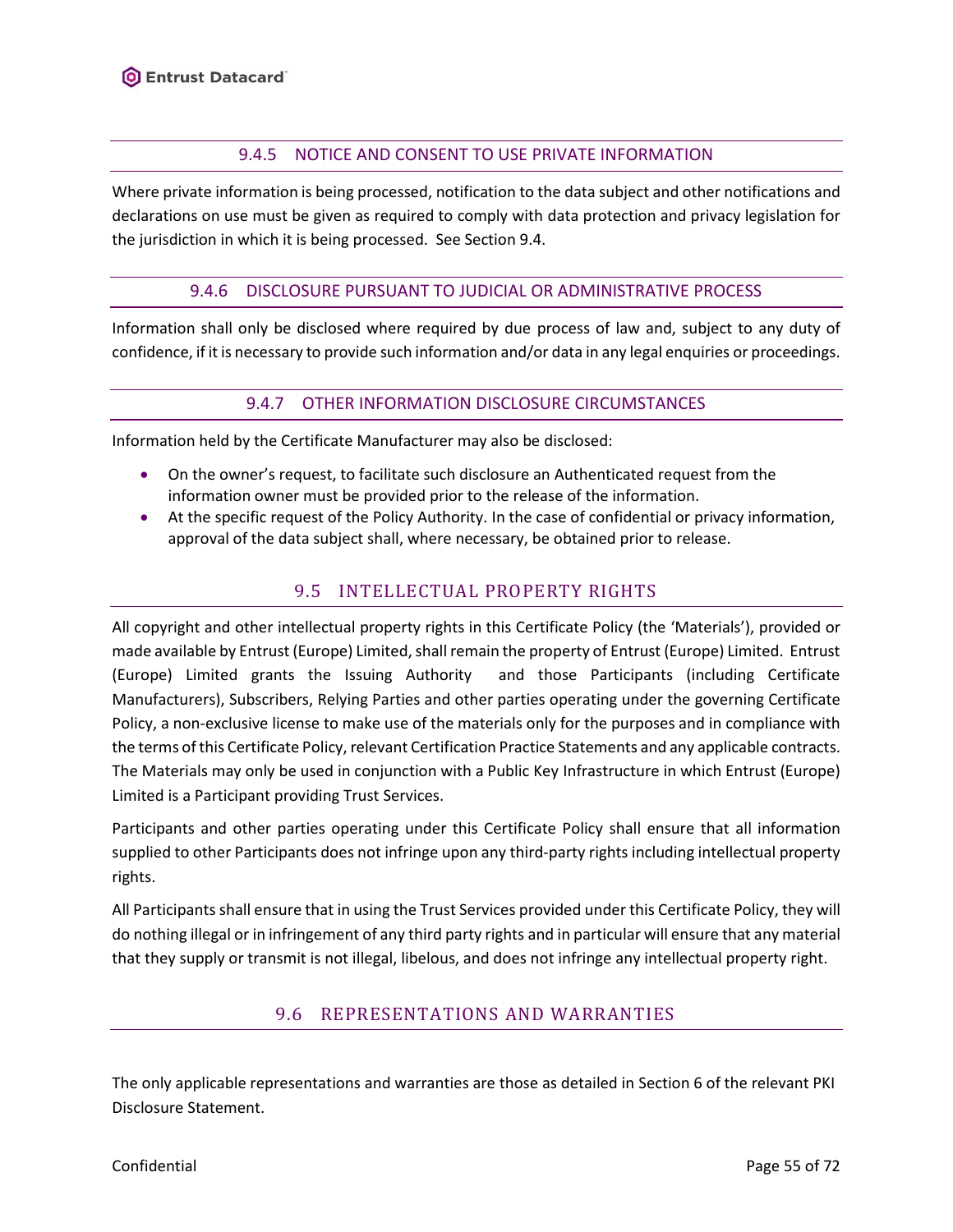### 9.4.5 NOTICE AND CONSENT TO USE PRIVATE INFORMATION

Where private information is being processed, notification to the data subject and other notifications and declarations on use must be given as required to comply with data protection and privacy legislation for the jurisdiction in which it is being processed. See Section [9.4.](#page-53-0)

#### 9.4.6 DISCLOSURE PURSUANT TO JUDICIAL OR ADMINISTRATIVE PROCESS

Information shall only be disclosed where required by due process of law and, subject to any duty of confidence, if it is necessary to provide such information and/or data in any legal enquiries or proceedings.

#### 9.4.7 OTHER INFORMATION DISCLOSURE CIRCUMSTANCES

Information held by the Certificate Manufacturer may also be disclosed:

- On the owner's request, to facilitate such disclosure an Authenticated request from the information owner must be provided prior to the release of the information.
- At the specific request of the Policy Authority. In the case of confidential or privacy information, approval of the data subject shall, where necessary, be obtained prior to release.

# 9.5 INTELLECTUAL PROPERTY RIGHTS

All copyright and other intellectual property rights in this Certificate Policy (the 'Materials'), provided or made available by Entrust (Europe) Limited, shall remain the property of Entrust (Europe) Limited. Entrust (Europe) Limited grants the Issuing Authority and those Participants (including Certificate Manufacturers), Subscribers, Relying Parties and other parties operating under the governing Certificate Policy, a non-exclusive license to make use of the materials only for the purposes and in compliance with the terms of this Certificate Policy, relevant Certification Practice Statements and any applicable contracts. The Materials may only be used in conjunction with a Public Key Infrastructure in which Entrust (Europe) Limited is a Participant providing Trust Services.

Participants and other parties operating under this Certificate Policy shall ensure that all information supplied to other Participants does not infringe upon any third-party rights including intellectual property rights.

All Participants shall ensure that in using the Trust Services provided under this Certificate Policy, they will do nothing illegal or in infringement of any third party rights and in particular will ensure that any material that they supply or transmit is not illegal, libelous, and does not infringe any intellectual property right.

# 9.6 REPRESENTATIONS AND WARRANTIES

The only applicable representations and warranties are those as detailed in Section 6 of the relevant PKI Disclosure Statement.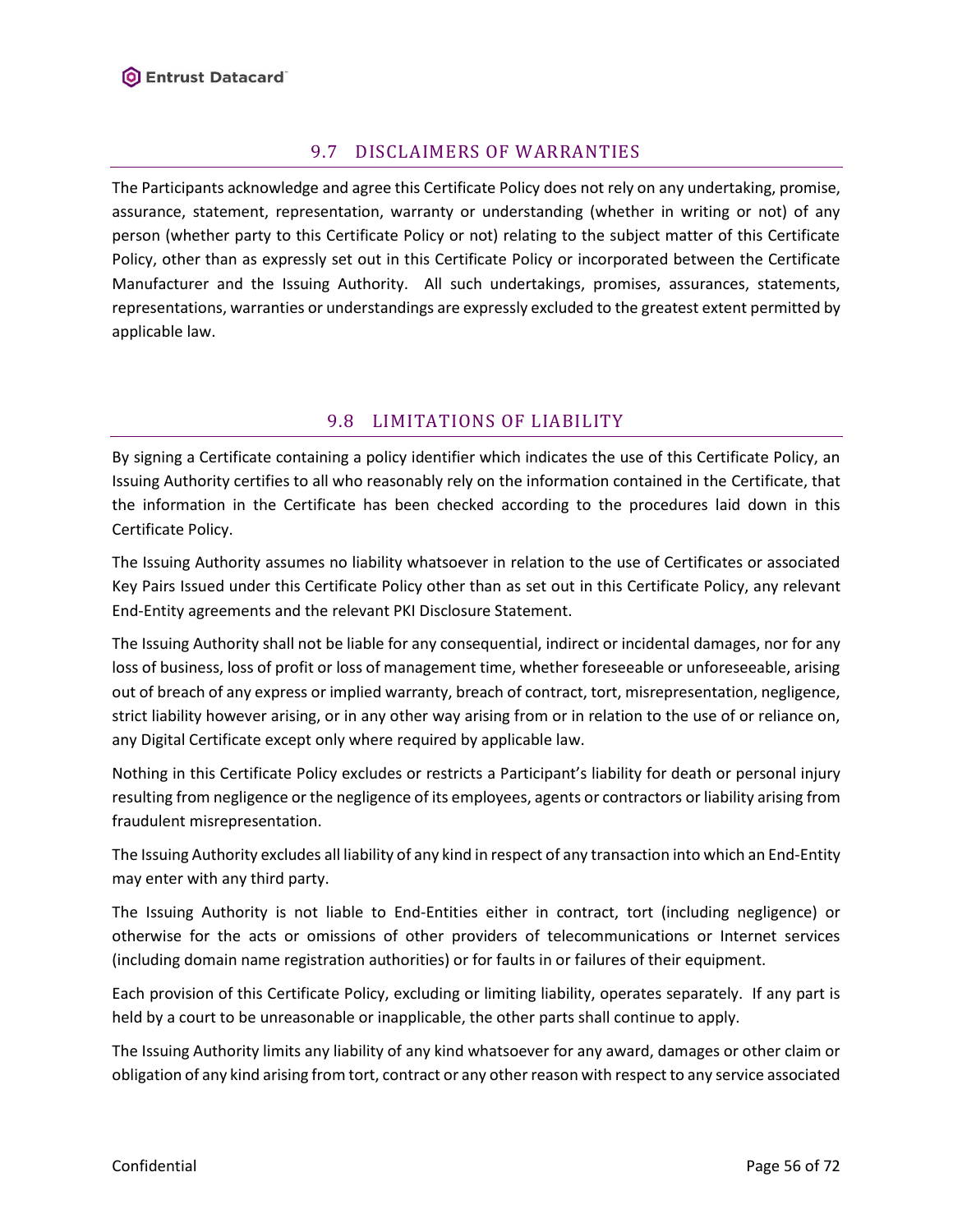# 9.7 DISCLAIMERS OF WARRANTIES

The Participants acknowledge and agree this Certificate Policy does not rely on any undertaking, promise, assurance, statement, representation, warranty or understanding (whether in writing or not) of any person (whether party to this Certificate Policy or not) relating to the subject matter of this Certificate Policy, other than as expressly set out in this Certificate Policy or incorporated between the Certificate Manufacturer and the Issuing Authority. All such undertakings, promises, assurances, statements, representations, warranties or understandings are expressly excluded to the greatest extent permitted by applicable law.

# 9.8 LIMITATIONS OF LIABILITY

By signing a Certificate containing a policy identifier which indicates the use of this Certificate Policy, an Issuing Authority certifies to all who reasonably rely on the information contained in the Certificate, that the information in the Certificate has been checked according to the procedures laid down in this Certificate Policy.

The Issuing Authority assumes no liability whatsoever in relation to the use of Certificates or associated Key Pairs Issued under this Certificate Policy other than as set out in this Certificate Policy, any relevant End-Entity agreements and the relevant PKI Disclosure Statement.

The Issuing Authority shall not be liable for any consequential, indirect or incidental damages, nor for any loss of business, loss of profit or loss of management time, whether foreseeable or unforeseeable, arising out of breach of any express or implied warranty, breach of contract, tort, misrepresentation, negligence, strict liability however arising, or in any other way arising from or in relation to the use of or reliance on, any Digital Certificate except only where required by applicable law.

Nothing in this Certificate Policy excludes or restricts a Participant's liability for death or personal injury resulting from negligence or the negligence of its employees, agents or contractors or liability arising from fraudulent misrepresentation.

The Issuing Authority excludes all liability of any kind in respect of any transaction into which an End-Entity may enter with any third party.

The Issuing Authority is not liable to End-Entities either in contract, tort (including negligence) or otherwise for the acts or omissions of other providers of telecommunications or Internet services (including domain name registration authorities) or for faults in or failures of their equipment.

Each provision of this Certificate Policy, excluding or limiting liability, operates separately. If any part is held by a court to be unreasonable or inapplicable, the other parts shall continue to apply.

The Issuing Authority limits any liability of any kind whatsoever for any award, damages or other claim or obligation of any kind arising from tort, contract or any other reason with respect to any service associated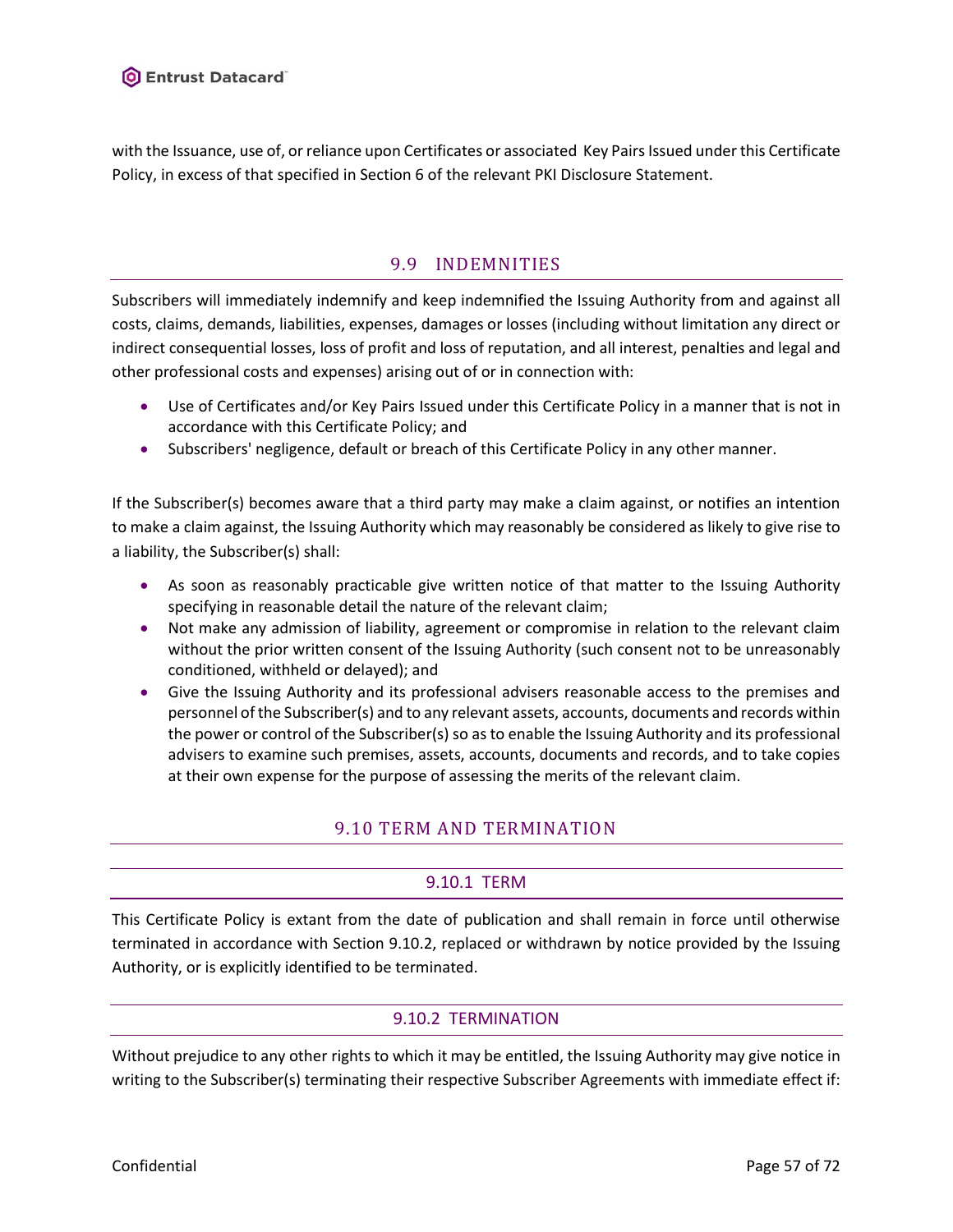with the Issuance, use of, or reliance upon Certificates or associated Key Pairs Issued under this Certificate Policy, in excess of that specified in Section 6 of the relevant PKI Disclosure Statement.

## 9.9 INDEMNITIES

Subscribers will immediately indemnify and keep indemnified the Issuing Authority from and against all costs, claims, demands, liabilities, expenses, damages or losses (including without limitation any direct or indirect consequential losses, loss of profit and loss of reputation, and all interest, penalties and legal and other professional costs and expenses) arising out of or in connection with:

- Use of Certificates and/or Key Pairs Issued under this Certificate Policy in a manner that is not in accordance with this Certificate Policy; and
- Subscribers' negligence, default or breach of this Certificate Policy in any other manner.

If the Subscriber(s) becomes aware that a third party may make a claim against, or notifies an intention to make a claim against, the Issuing Authority which may reasonably be considered as likely to give rise to a liability, the Subscriber(s) shall:

- As soon as reasonably practicable give written notice of that matter to the Issuing Authority specifying in reasonable detail the nature of the relevant claim;
- Not make any admission of liability, agreement or compromise in relation to the relevant claim without the prior written consent of the Issuing Authority (such consent not to be unreasonably conditioned, withheld or delayed); and
- Give the Issuing Authority and its professional advisers reasonable access to the premises and personnel of the Subscriber(s) and to any relevant assets, accounts, documents and records within the power or control of the Subscriber(s) so as to enable the Issuing Authority and its professional advisers to examine such premises, assets, accounts, documents and records, and to take copies at their own expense for the purpose of assessing the merits of the relevant claim.

# 9.10 TERM AND TERMINATION

# 9.10.1 TERM

This Certificate Policy is extant from the date of publication and shall remain in force until otherwise terminated in accordance with Section 9.10.2, replaced or withdrawn by notice provided by the Issuing Authority, or is explicitly identified to be terminated.

### 9.10.2 TERMINATION

Without prejudice to any other rights to which it may be entitled, the Issuing Authority may give notice in writing to the Subscriber(s) terminating their respective Subscriber Agreements with immediate effect if: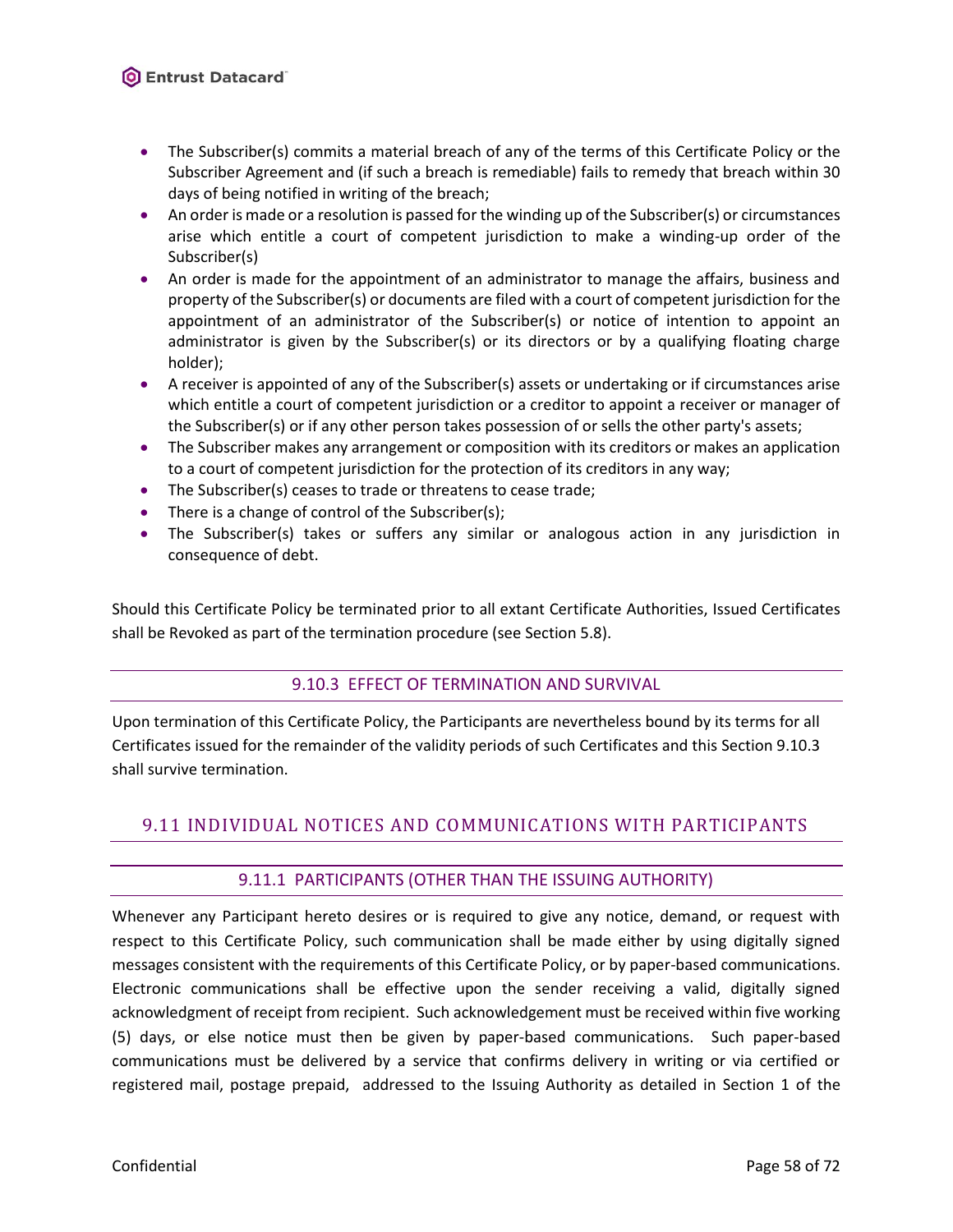- The Subscriber(s) commits a material breach of any of the terms of this Certificate Policy or the Subscriber Agreement and (if such a breach is remediable) fails to remedy that breach within 30 days of being notified in writing of the breach;
- An order is made or a resolution is passed for the winding up of the Subscriber(s) or circumstances arise which entitle a court of competent jurisdiction to make a winding-up order of the Subscriber(s)
- An order is made for the appointment of an administrator to manage the affairs, business and property of the Subscriber(s) or documents are filed with a court of competent jurisdiction for the appointment of an administrator of the Subscriber(s) or notice of intention to appoint an administrator is given by the Subscriber(s) or its directors or by a qualifying floating charge holder);
- A receiver is appointed of any of the Subscriber(s) assets or undertaking or if circumstances arise which entitle a court of competent jurisdiction or a creditor to appoint a receiver or manager of the Subscriber(s) or if any other person takes possession of or sells the other party's assets;
- The Subscriber makes any arrangement or composition with its creditors or makes an application to a court of competent jurisdiction for the protection of its creditors in any way;
- The Subscriber(s) ceases to trade or threatens to cease trade;
- There is a change of control of the Subscriber(s);
- The Subscriber(s) takes or suffers any similar or analogous action in any jurisdiction in consequence of debt.

<span id="page-57-0"></span>Should this Certificate Policy be terminated prior to all extant Certificate Authorities, Issued Certificates shall be Revoked as part of the termination procedure (see Section [5.8\)](#page-39-1).

### 9.10.3 EFFECT OF TERMINATION AND SURVIVAL

Upon termination of this Certificate Policy, the Participants are nevertheless bound by its terms for all Certificates issued for the remainder of the validity periods of such Certificates and this Section [9.10.3](#page-57-0) shall survive termination.

# <span id="page-57-1"></span>9.11 INDIVIDUAL NOTICES AND COMMUNICATIONS WITH PARTICIPANTS

### 9.11.1 PARTICIPANTS (OTHER THAN THE ISSUING AUTHORITY)

Whenever any Participant hereto desires or is required to give any notice, demand, or request with respect to this Certificate Policy, such communication shall be made either by using digitally signed messages consistent with the requirements of this Certificate Policy, or by paper-based communications. Electronic communications shall be effective upon the sender receiving a valid, digitally signed acknowledgment of receipt from recipient. Such acknowledgement must be received within five working (5) days, or else notice must then be given by paper-based communications. Such paper-based communications must be delivered by a service that confirms delivery in writing or via certified or registered mail, postage prepaid, addressed to the Issuing Authority as detailed in Section 1 of the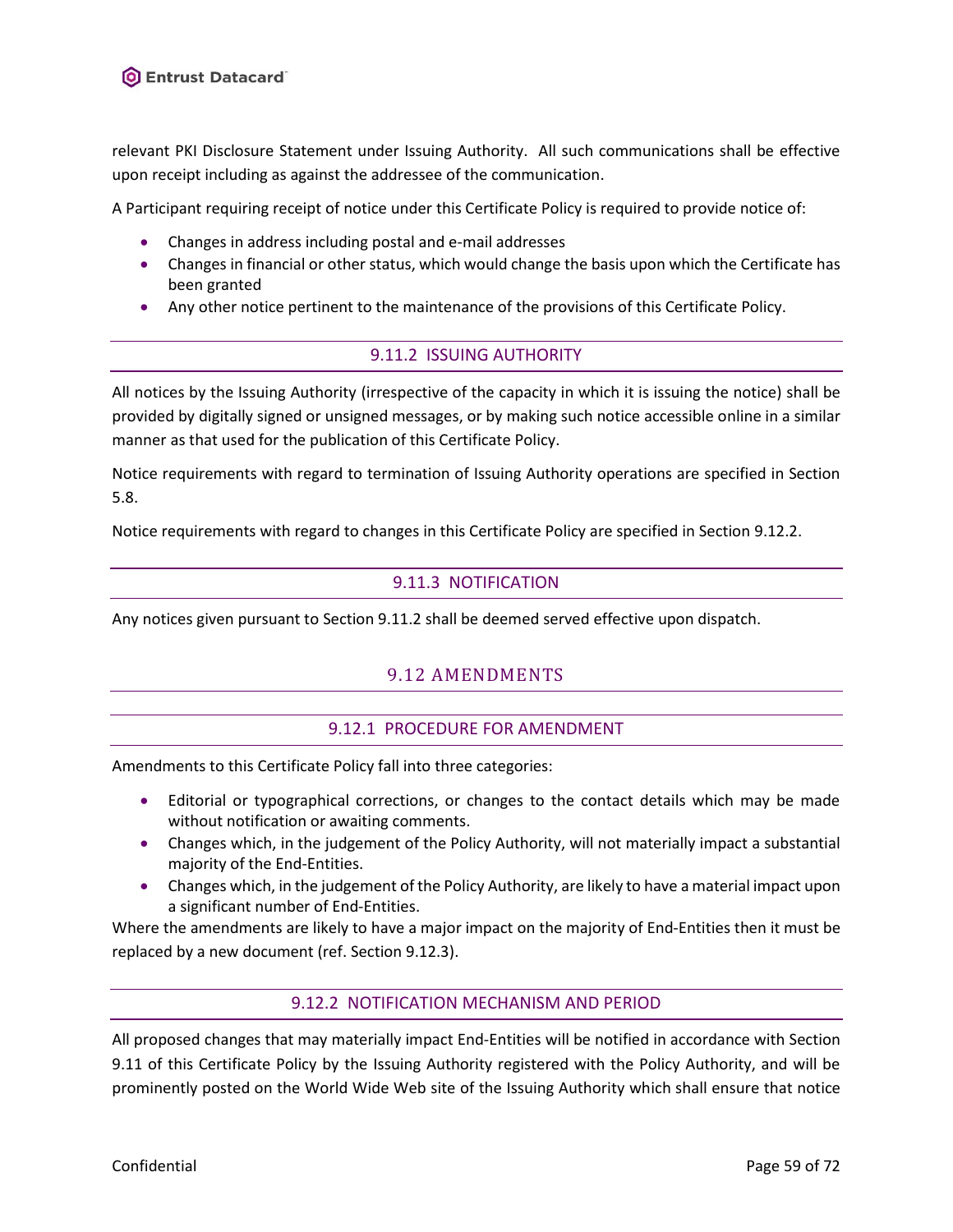relevant PKI Disclosure Statement under Issuing Authority. All such communications shall be effective upon receipt including as against the addressee of the communication.

A Participant requiring receipt of notice under this Certificate Policy is required to provide notice of:

- Changes in address including postal and e-mail addresses
- Changes in financial or other status, which would change the basis upon which the Certificate has been granted
- <span id="page-58-1"></span>• Any other notice pertinent to the maintenance of the provisions of this Certificate Policy.

#### 9.11.2 ISSUING AUTHORITY

All notices by the Issuing Authority (irrespective of the capacity in which it is issuing the notice) shall be provided by digitally signed or unsigned messages, or by making such notice accessible online in a similar manner as that used for the publication of this Certificate Policy.

Notice requirements with regard to termination of Issuing Authority operations are specified in Section [5.8.](#page-39-1)

Notice requirements with regard to changes in this Certificate Policy are specified in Sectio[n 9.12.2.](#page-58-0)

### 9.11.3 NOTIFICATION

Any notices given pursuant to Section [9.11.2](#page-58-1) shall be deemed served effective upon dispatch.

### 9.12 AMENDMENTS

#### 9.12.1 PROCEDURE FOR AMENDMENT

Amendments to this Certificate Policy fall into three categories:

- Editorial or typographical corrections, or changes to the contact details which may be made without notification or awaiting comments.
- Changes which, in the judgement of the Policy Authority, will not materially impact a substantial majority of the End-Entities.
- Changes which, in the judgement of the Policy Authority, are likely to have a material impact upon a significant number of End-Entities.

<span id="page-58-0"></span>Where the amendments are likely to have a major impact on the majority of End-Entities then it must be replaced by a new document (ref. Section [9.12.3\)](#page-59-0).

#### 9.12.2 NOTIFICATION MECHANISM AND PERIOD

All proposed changes that may materially impact End-Entities will be notified in accordance with Section [9.11](#page-57-1) of this Certificate Policy by the Issuing Authority registered with the Policy Authority, and will be prominently posted on the World Wide Web site of the Issuing Authority which shall ensure that notice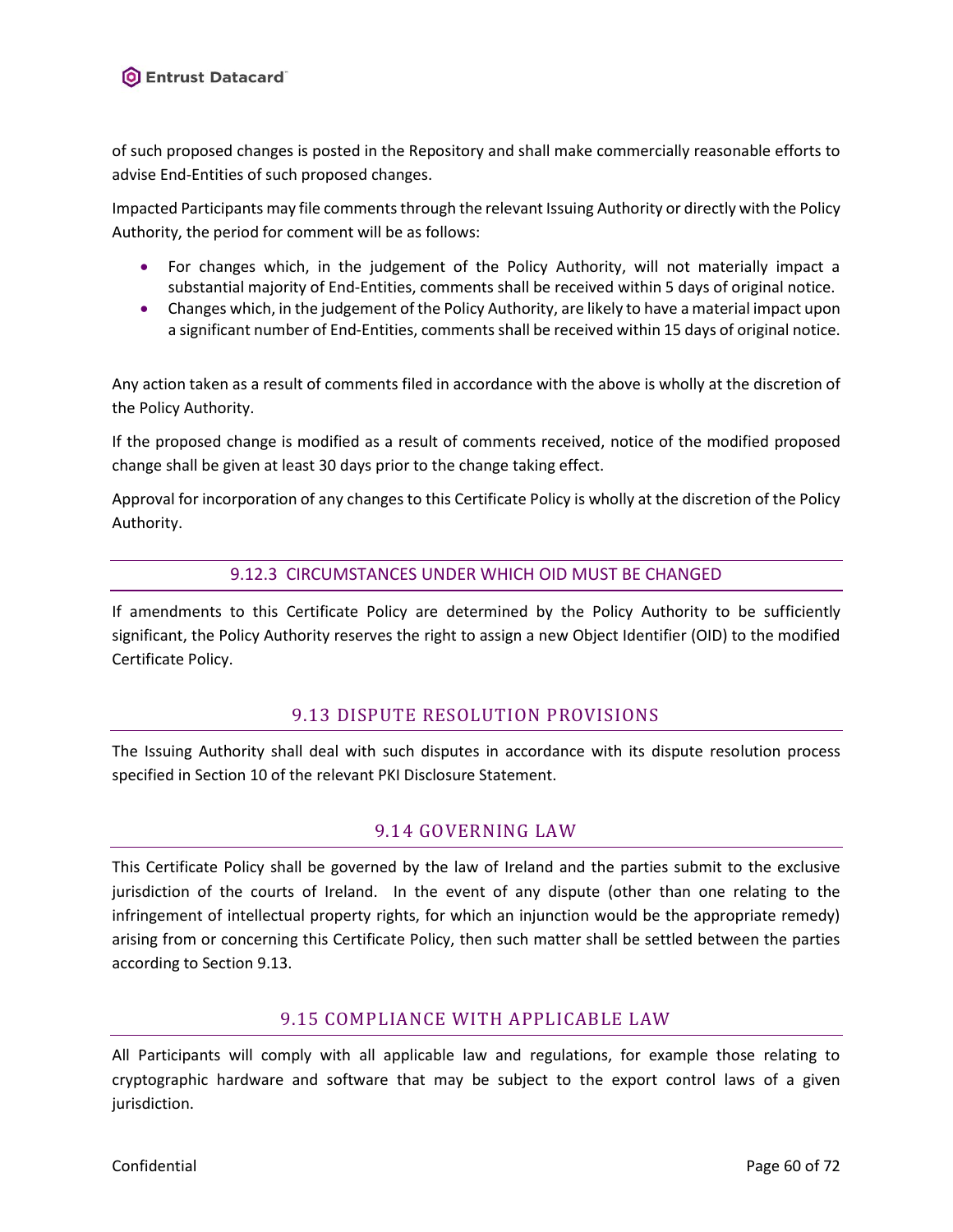of such proposed changes is posted in the Repository and shall make commercially reasonable efforts to advise End-Entities of such proposed changes.

Impacted Participants may file comments through the relevant Issuing Authority or directly with the Policy Authority, the period for comment will be as follows:

- For changes which, in the judgement of the Policy Authority, will not materially impact a substantial majority of End-Entities, comments shall be received within 5 days of original notice.
- Changes which, in the judgement of the Policy Authority, are likely to have a material impact upon a significant number of End-Entities, comments shall be received within 15 days of original notice.

Any action taken as a result of comments filed in accordance with the above is wholly at the discretion of the Policy Authority.

If the proposed change is modified as a result of comments received, notice of the modified proposed change shall be given at least 30 days prior to the change taking effect.

<span id="page-59-0"></span>Approval for incorporation of any changes to this Certificate Policy is wholly at the discretion of the Policy Authority.

#### 9.12.3 CIRCUMSTANCES UNDER WHICH OID MUST BE CHANGED

If amendments to this Certificate Policy are determined by the Policy Authority to be sufficiently significant, the Policy Authority reserves the right to assign a new Object Identifier (OID) to the modified Certificate Policy.

### 9.13 DISPUTE RESOLUTION PROVISIONS

<span id="page-59-1"></span>The Issuing Authority shall deal with such disputes in accordance with its dispute resolution process specified in Section 10 of the relevant PKI Disclosure Statement.

### 9.14 GOVERNING LAW

This Certificate Policy shall be governed by the law of Ireland and the parties submit to the exclusive jurisdiction of the courts of Ireland. In the event of any dispute (other than one relating to the infringement of intellectual property rights, for which an injunction would be the appropriate remedy) arising from or concerning this Certificate Policy, then such matter shall be settled between the parties according to Section [9.13.](#page-59-1)

### 9.15 COMPLIANCE WITH APPLICABLE LAW

All Participants will comply with all applicable law and regulations, for example those relating to cryptographic hardware and software that may be subject to the export control laws of a given jurisdiction.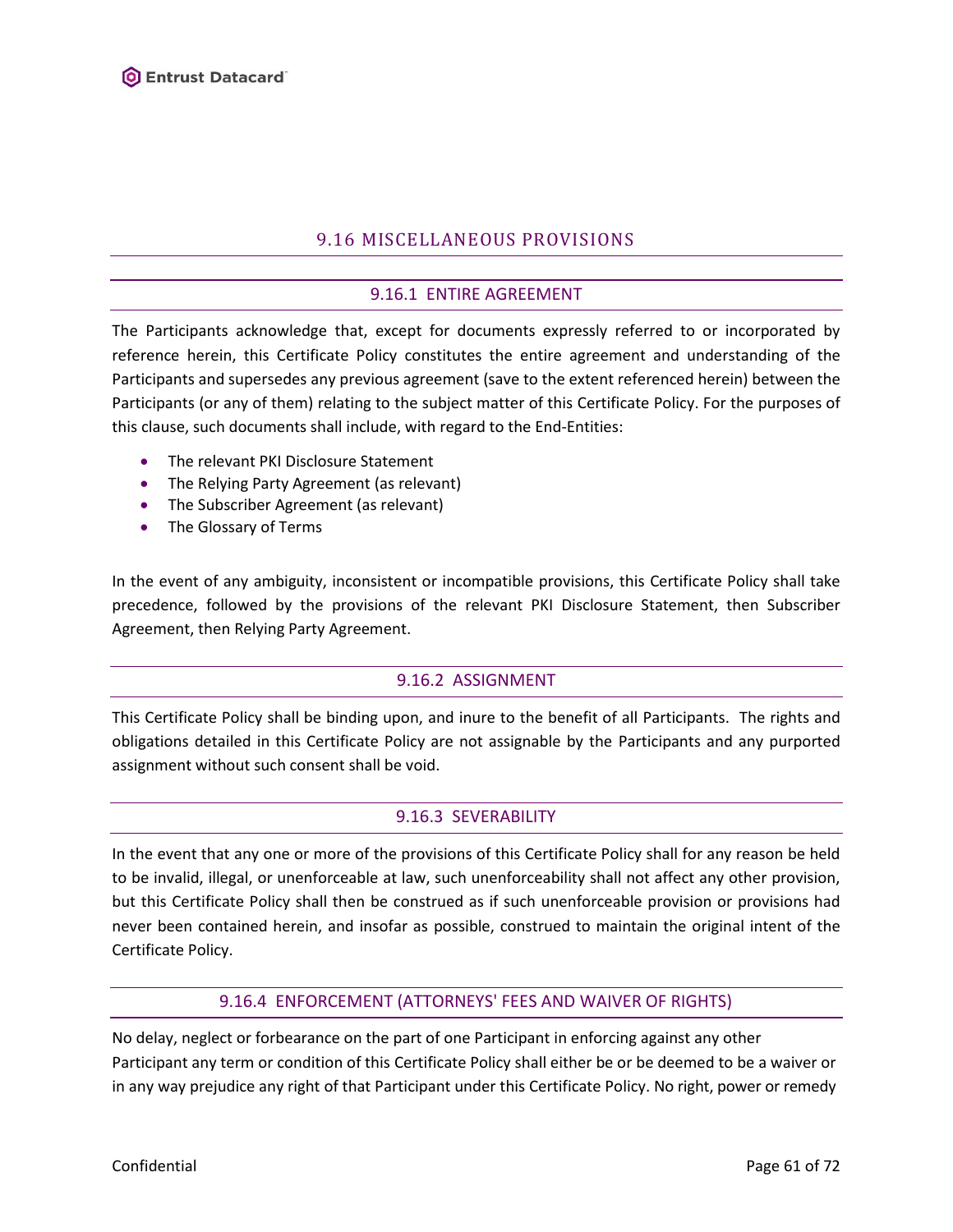# 9.16 MISCELLANEOUS PROVISIONS

### 9.16.1 ENTIRE AGREEMENT

The Participants acknowledge that, except for documents expressly referred to or incorporated by reference herein, this Certificate Policy constitutes the entire agreement and understanding of the Participants and supersedes any previous agreement (save to the extent referenced herein) between the Participants (or any of them) relating to the subject matter of this Certificate Policy. For the purposes of this clause, such documents shall include, with regard to the End-Entities:

- The relevant PKI Disclosure Statement
- The Relying Party Agreement (as relevant)
- The Subscriber Agreement (as relevant)
- The Glossary of Terms

In the event of any ambiguity, inconsistent or incompatible provisions, this Certificate Policy shall take precedence, followed by the provisions of the relevant PKI Disclosure Statement, then Subscriber Agreement, then Relying Party Agreement.

# 9.16.2 ASSIGNMENT

This Certificate Policy shall be binding upon, and inure to the benefit of all Participants. The rights and obligations detailed in this Certificate Policy are not assignable by the Participants and any purported assignment without such consent shall be void.

#### 9.16.3 SEVERABILITY

In the event that any one or more of the provisions of this Certificate Policy shall for any reason be held to be invalid, illegal, or unenforceable at law, such unenforceability shall not affect any other provision, but this Certificate Policy shall then be construed as if such unenforceable provision or provisions had never been contained herein, and insofar as possible, construed to maintain the original intent of the Certificate Policy.

### 9.16.4 ENFORCEMENT (ATTORNEYS' FEES AND WAIVER OF RIGHTS)

No delay, neglect or forbearance on the part of one Participant in enforcing against any other Participant any term or condition of this Certificate Policy shall either be or be deemed to be a waiver or in any way prejudice any right of that Participant under this Certificate Policy. No right, power or remedy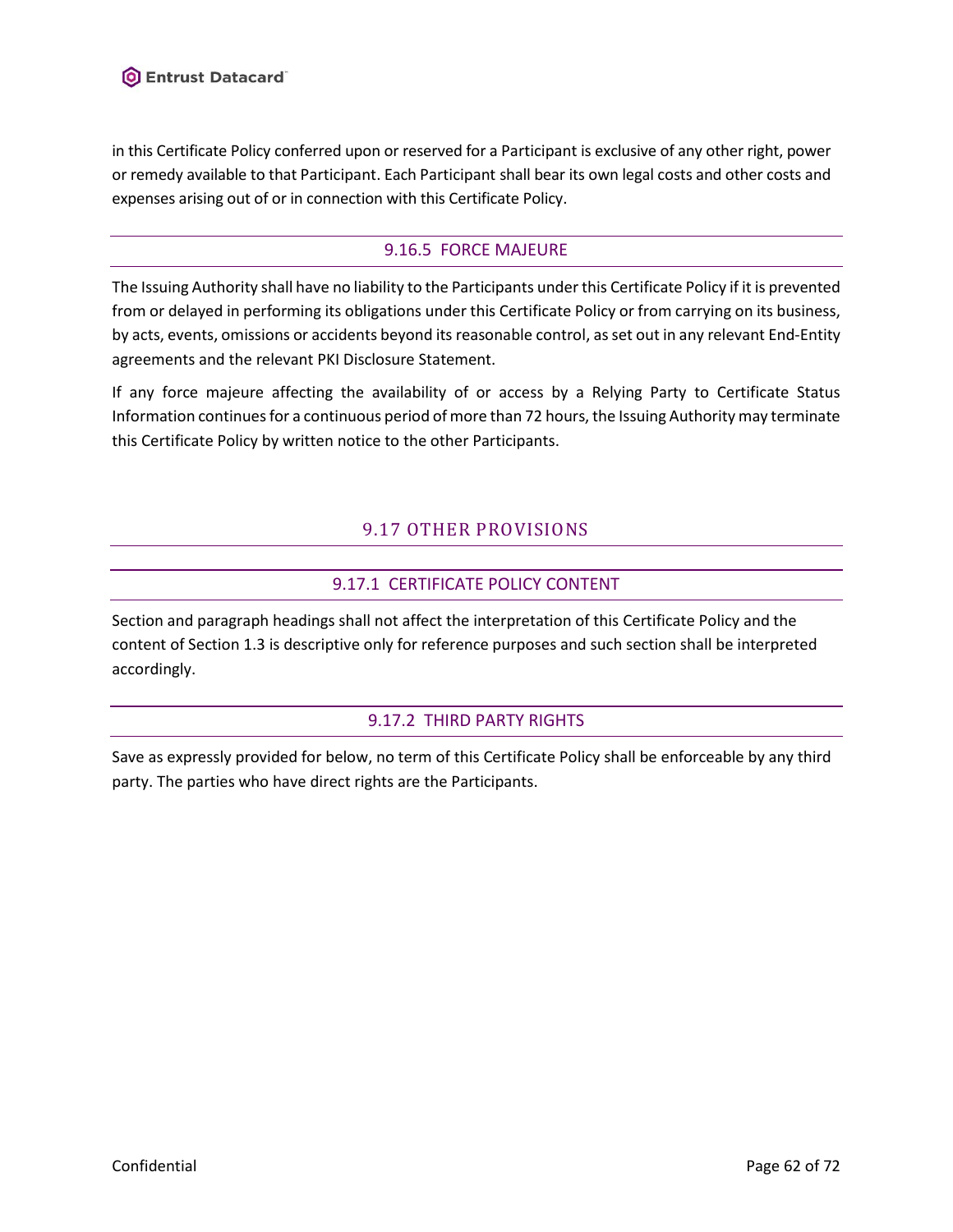in this Certificate Policy conferred upon or reserved for a Participant is exclusive of any other right, power or remedy available to that Participant. Each Participant shall bear its own legal costs and other costs and expenses arising out of or in connection with this Certificate Policy.

# 9.16.5 FORCE MAJEURE

The Issuing Authority shall have no liability to the Participants under this Certificate Policy if it is prevented from or delayed in performing its obligations under this Certificate Policy or from carrying on its business, by acts, events, omissions or accidents beyond its reasonable control, as set out in any relevant End-Entity agreements and the relevant PKI Disclosure Statement.

If any force majeure affecting the availability of or access by a Relying Party to Certificate Status Information continuesfor a continuous period of more than 72 hours, the Issuing Authority may terminate this Certificate Policy by written notice to the other Participants.

# 9.17 OTHER PROVISIONS

# 9.17.1 CERTIFICATE POLICY CONTENT

Section and paragraph headings shall not affect the interpretation of this Certificate Policy and the content of Sectio[n 1.3](#page-9-0) is descriptive only for reference purposes and such section shall be interpreted accordingly.

### 9.17.2 THIRD PARTY RIGHTS

Save as expressly provided for below, no term of this Certificate Policy shall be enforceable by any third party. The parties who have direct rights are the Participants.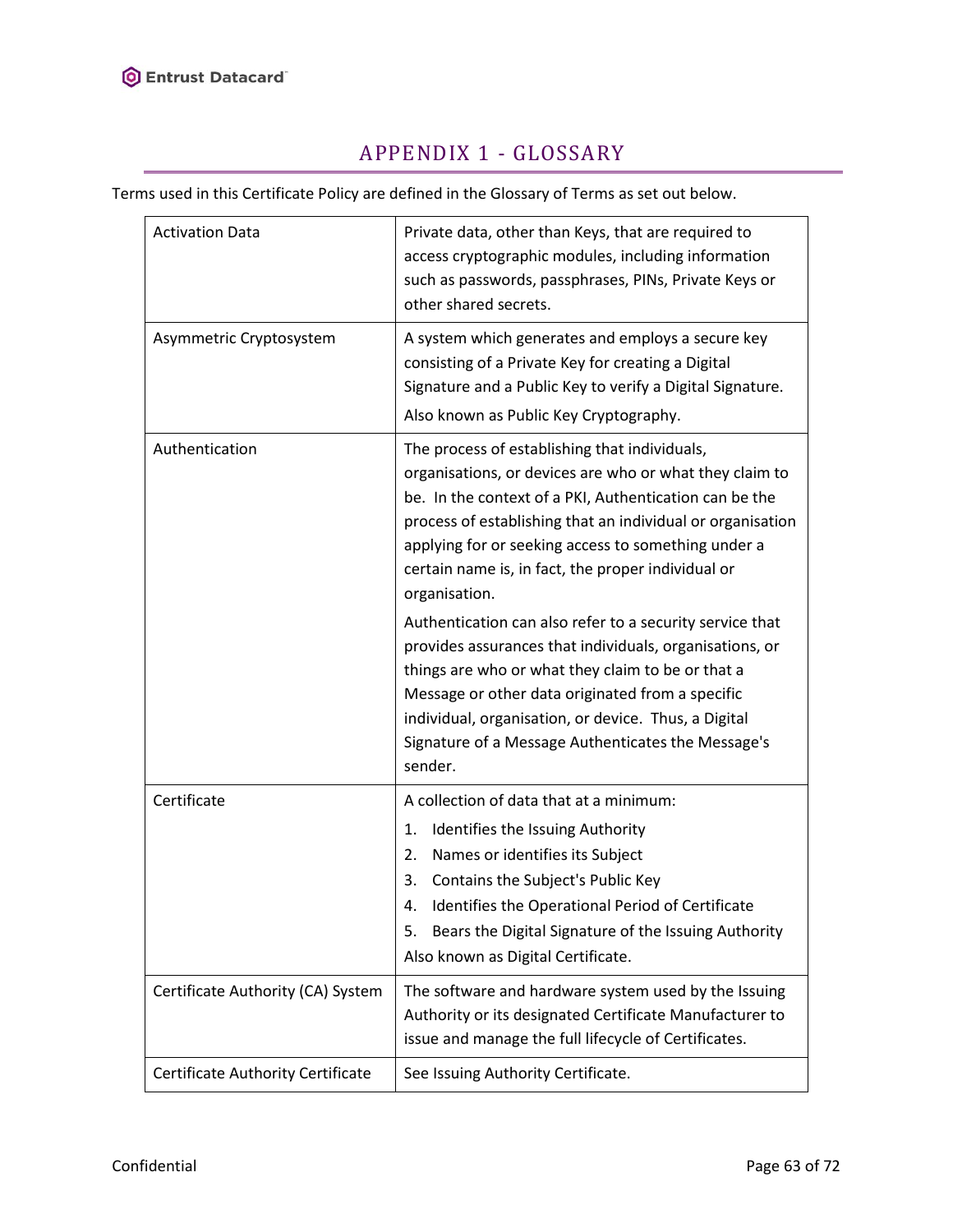

# APPENDIX 1 - GLOSSARY

Terms used in this Certificate Policy are defined in the Glossary of Terms as set out below.

| <b>Activation Data</b>            | Private data, other than Keys, that are required to<br>access cryptographic modules, including information<br>such as passwords, passphrases, PINs, Private Keys or<br>other shared secrets.                                                                                                                                                                   |
|-----------------------------------|----------------------------------------------------------------------------------------------------------------------------------------------------------------------------------------------------------------------------------------------------------------------------------------------------------------------------------------------------------------|
| Asymmetric Cryptosystem           | A system which generates and employs a secure key<br>consisting of a Private Key for creating a Digital<br>Signature and a Public Key to verify a Digital Signature.<br>Also known as Public Key Cryptography.                                                                                                                                                 |
| Authentication                    | The process of establishing that individuals,<br>organisations, or devices are who or what they claim to<br>be. In the context of a PKI, Authentication can be the<br>process of establishing that an individual or organisation<br>applying for or seeking access to something under a<br>certain name is, in fact, the proper individual or<br>organisation. |
|                                   | Authentication can also refer to a security service that<br>provides assurances that individuals, organisations, or<br>things are who or what they claim to be or that a<br>Message or other data originated from a specific<br>individual, organisation, or device. Thus, a Digital<br>Signature of a Message Authenticates the Message's<br>sender.          |
| Certificate                       | A collection of data that at a minimum:<br>Identifies the Issuing Authority<br>1.<br>Names or identifies its Subject<br>2.<br>Contains the Subject's Public Key<br>3.<br>Identifies the Operational Period of Certificate<br>4.<br>Bears the Digital Signature of the Issuing Authority<br>5.<br>Also known as Digital Certificate.                            |
| Certificate Authority (CA) System | The software and hardware system used by the Issuing<br>Authority or its designated Certificate Manufacturer to<br>issue and manage the full lifecycle of Certificates.                                                                                                                                                                                        |
| Certificate Authority Certificate | See Issuing Authority Certificate.                                                                                                                                                                                                                                                                                                                             |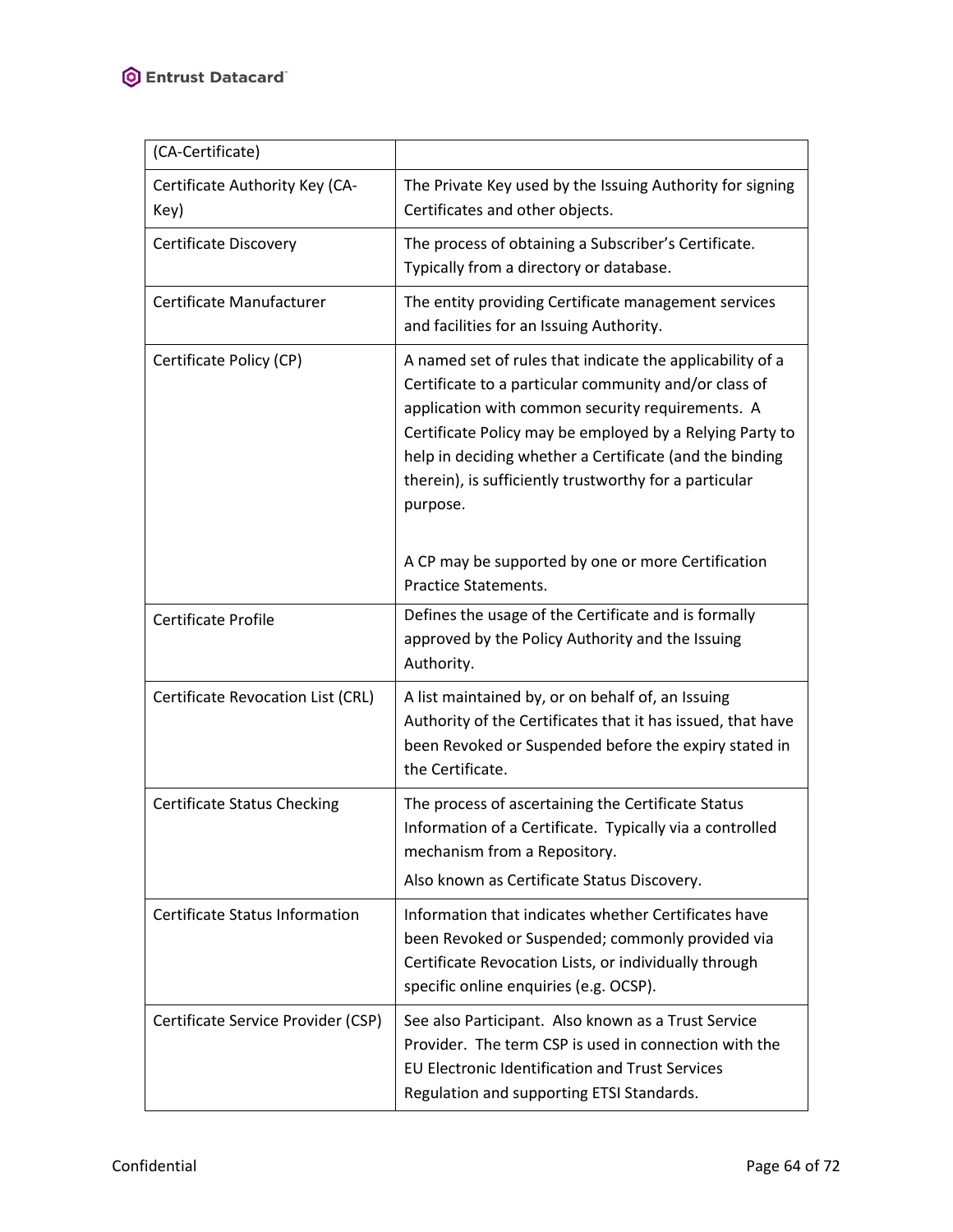| (CA-Certificate)                       |                                                                                                                                                                                                                                                                                                                                                                     |
|----------------------------------------|---------------------------------------------------------------------------------------------------------------------------------------------------------------------------------------------------------------------------------------------------------------------------------------------------------------------------------------------------------------------|
| Certificate Authority Key (CA-<br>Key) | The Private Key used by the Issuing Authority for signing<br>Certificates and other objects.                                                                                                                                                                                                                                                                        |
| Certificate Discovery                  | The process of obtaining a Subscriber's Certificate.<br>Typically from a directory or database.                                                                                                                                                                                                                                                                     |
| Certificate Manufacturer               | The entity providing Certificate management services<br>and facilities for an Issuing Authority.                                                                                                                                                                                                                                                                    |
| Certificate Policy (CP)                | A named set of rules that indicate the applicability of a<br>Certificate to a particular community and/or class of<br>application with common security requirements. A<br>Certificate Policy may be employed by a Relying Party to<br>help in deciding whether a Certificate (and the binding<br>therein), is sufficiently trustworthy for a particular<br>purpose. |
|                                        | A CP may be supported by one or more Certification<br><b>Practice Statements.</b>                                                                                                                                                                                                                                                                                   |
| Certificate Profile                    | Defines the usage of the Certificate and is formally<br>approved by the Policy Authority and the Issuing<br>Authority.                                                                                                                                                                                                                                              |
| Certificate Revocation List (CRL)      | A list maintained by, or on behalf of, an Issuing<br>Authority of the Certificates that it has issued, that have<br>been Revoked or Suspended before the expiry stated in<br>the Certificate.                                                                                                                                                                       |
| Certificate Status Checking            | The process of ascertaining the Certificate Status<br>Information of a Certificate. Typically via a controlled<br>mechanism from a Repository.<br>Also known as Certificate Status Discovery.                                                                                                                                                                       |
| <b>Certificate Status Information</b>  | Information that indicates whether Certificates have<br>been Revoked or Suspended; commonly provided via<br>Certificate Revocation Lists, or individually through<br>specific online enquiries (e.g. OCSP).                                                                                                                                                         |
| Certificate Service Provider (CSP)     | See also Participant. Also known as a Trust Service<br>Provider. The term CSP is used in connection with the<br><b>EU Electronic Identification and Trust Services</b><br>Regulation and supporting ETSI Standards.                                                                                                                                                 |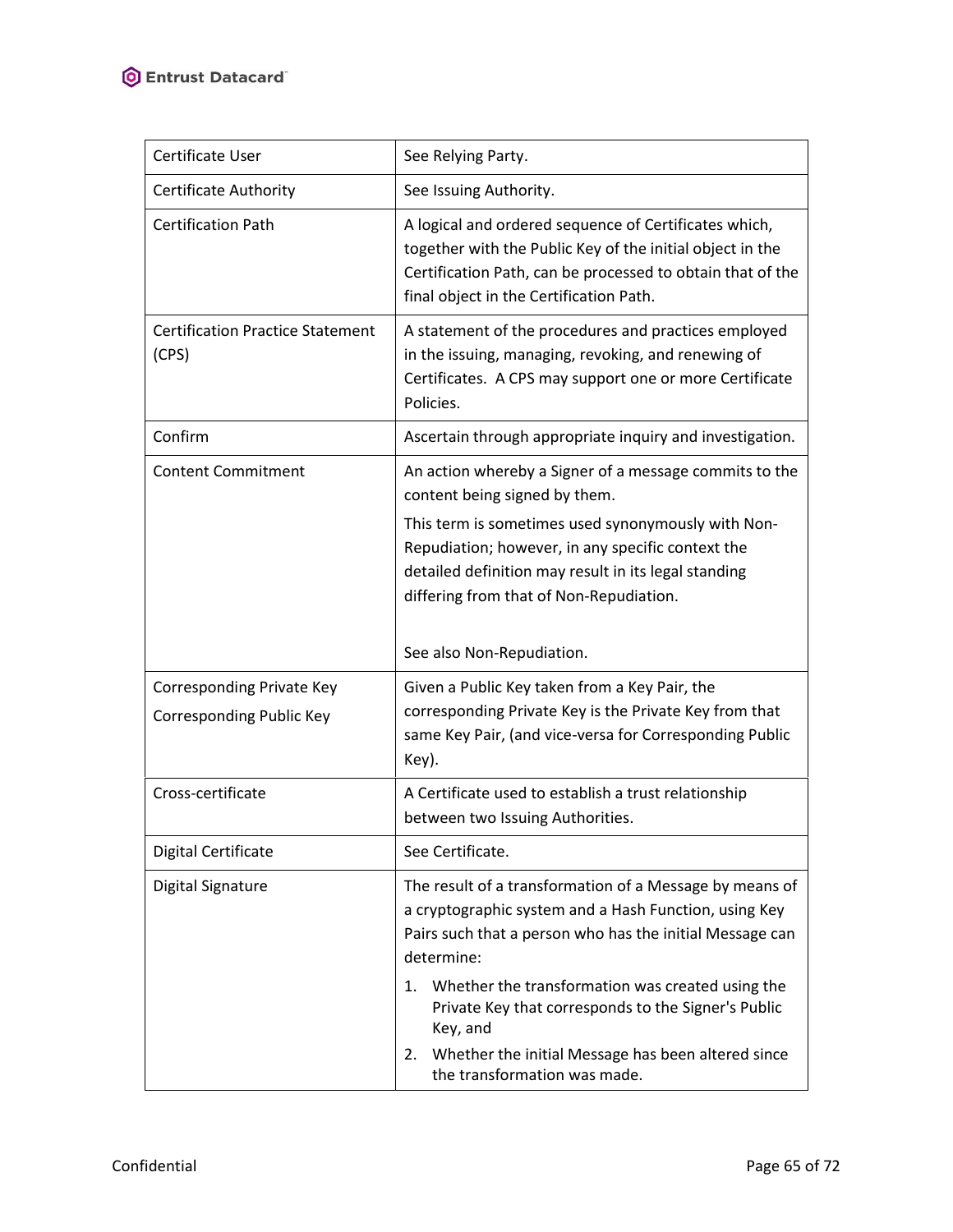| Certificate User                                 | See Relying Party.                                                                                                                                                                                                                                                                                                                                                               |
|--------------------------------------------------|----------------------------------------------------------------------------------------------------------------------------------------------------------------------------------------------------------------------------------------------------------------------------------------------------------------------------------------------------------------------------------|
| Certificate Authority                            | See Issuing Authority.                                                                                                                                                                                                                                                                                                                                                           |
| <b>Certification Path</b>                        | A logical and ordered sequence of Certificates which,<br>together with the Public Key of the initial object in the<br>Certification Path, can be processed to obtain that of the<br>final object in the Certification Path.                                                                                                                                                      |
| <b>Certification Practice Statement</b><br>(CPS) | A statement of the procedures and practices employed<br>in the issuing, managing, revoking, and renewing of<br>Certificates. A CPS may support one or more Certificate<br>Policies.                                                                                                                                                                                              |
| Confirm                                          | Ascertain through appropriate inquiry and investigation.                                                                                                                                                                                                                                                                                                                         |
| <b>Content Commitment</b>                        | An action whereby a Signer of a message commits to the<br>content being signed by them.<br>This term is sometimes used synonymously with Non-<br>Repudiation; however, in any specific context the<br>detailed definition may result in its legal standing<br>differing from that of Non-Repudiation.<br>See also Non-Repudiation.                                               |
| Corresponding Private Key                        | Given a Public Key taken from a Key Pair, the                                                                                                                                                                                                                                                                                                                                    |
| Corresponding Public Key                         | corresponding Private Key is the Private Key from that<br>same Key Pair, (and vice-versa for Corresponding Public<br>Key).                                                                                                                                                                                                                                                       |
| Cross-certificate                                | A Certificate used to establish a trust relationship<br>between two Issuing Authorities.                                                                                                                                                                                                                                                                                         |
| Digital Certificate                              |                                                                                                                                                                                                                                                                                                                                                                                  |
|                                                  | See Certificate.                                                                                                                                                                                                                                                                                                                                                                 |
| Digital Signature                                | The result of a transformation of a Message by means of<br>a cryptographic system and a Hash Function, using Key<br>Pairs such that a person who has the initial Message can<br>determine:<br>1. Whether the transformation was created using the<br>Private Key that corresponds to the Signer's Public<br>Key, and<br>Whether the initial Message has been altered since<br>2. |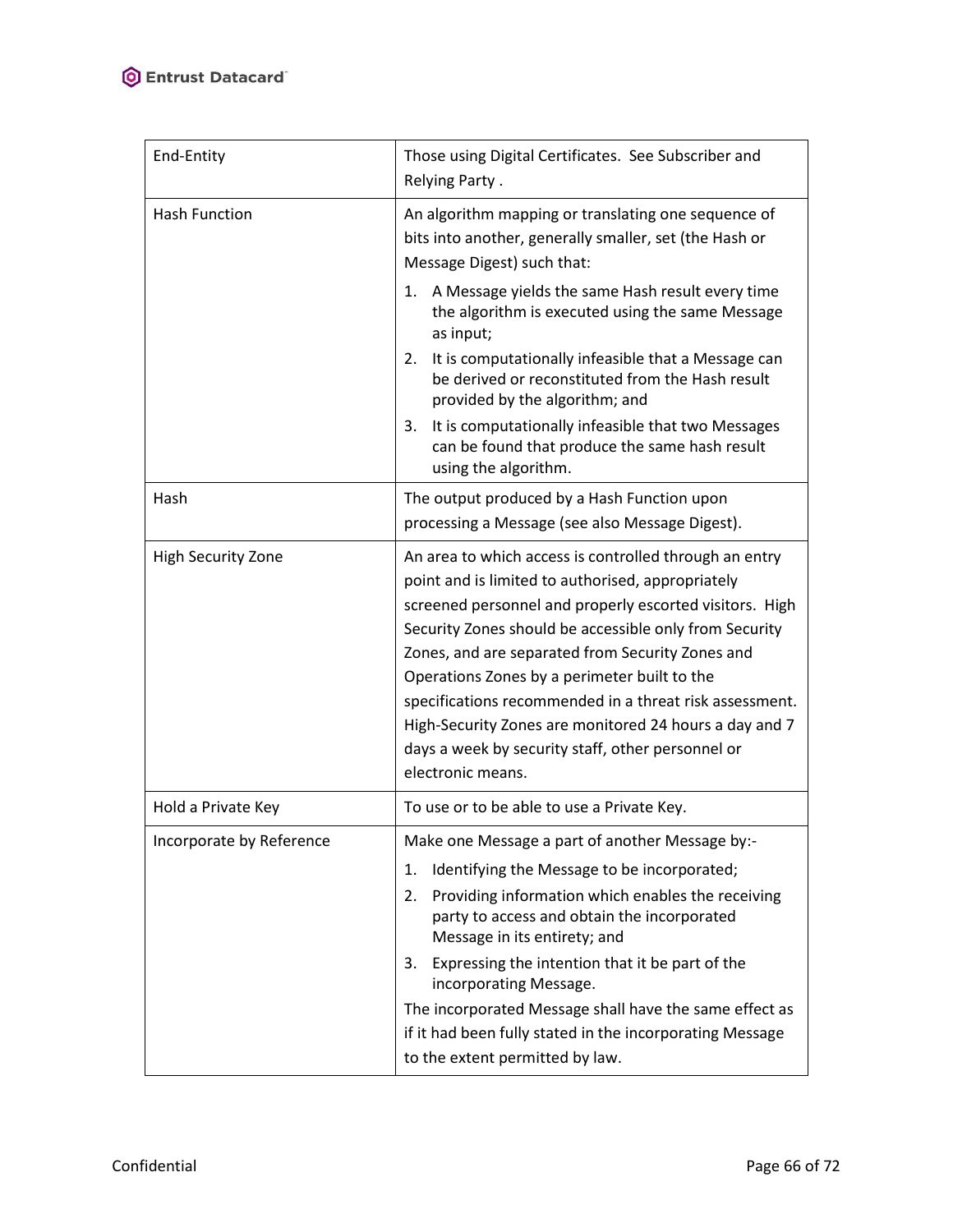| End-Entity                | Those using Digital Certificates. See Subscriber and<br>Relying Party.                                                                                                                                                                                                                                                                                                                                                                                                                                                              |
|---------------------------|-------------------------------------------------------------------------------------------------------------------------------------------------------------------------------------------------------------------------------------------------------------------------------------------------------------------------------------------------------------------------------------------------------------------------------------------------------------------------------------------------------------------------------------|
| Hash Function             | An algorithm mapping or translating one sequence of<br>bits into another, generally smaller, set (the Hash or<br>Message Digest) such that:                                                                                                                                                                                                                                                                                                                                                                                         |
|                           | 1. A Message yields the same Hash result every time<br>the algorithm is executed using the same Message<br>as input;                                                                                                                                                                                                                                                                                                                                                                                                                |
|                           | It is computationally infeasible that a Message can<br>2.<br>be derived or reconstituted from the Hash result<br>provided by the algorithm; and                                                                                                                                                                                                                                                                                                                                                                                     |
|                           | It is computationally infeasible that two Messages<br>3.<br>can be found that produce the same hash result<br>using the algorithm.                                                                                                                                                                                                                                                                                                                                                                                                  |
| Hash                      | The output produced by a Hash Function upon<br>processing a Message (see also Message Digest).                                                                                                                                                                                                                                                                                                                                                                                                                                      |
| <b>High Security Zone</b> | An area to which access is controlled through an entry<br>point and is limited to authorised, appropriately<br>screened personnel and properly escorted visitors. High<br>Security Zones should be accessible only from Security<br>Zones, and are separated from Security Zones and<br>Operations Zones by a perimeter built to the<br>specifications recommended in a threat risk assessment.<br>High-Security Zones are monitored 24 hours a day and 7<br>days a week by security staff, other personnel or<br>electronic means. |
| Hold a Private Key        | To use or to be able to use a Private Key.                                                                                                                                                                                                                                                                                                                                                                                                                                                                                          |
| Incorporate by Reference  | Make one Message a part of another Message by:-<br>Identifying the Message to be incorporated;<br>1.<br>2.<br>Providing information which enables the receiving<br>party to access and obtain the incorporated<br>Message in its entirety; and<br>Expressing the intention that it be part of the<br>3.<br>incorporating Message.<br>The incorporated Message shall have the same effect as<br>if it had been fully stated in the incorporating Message<br>to the extent permitted by law.                                          |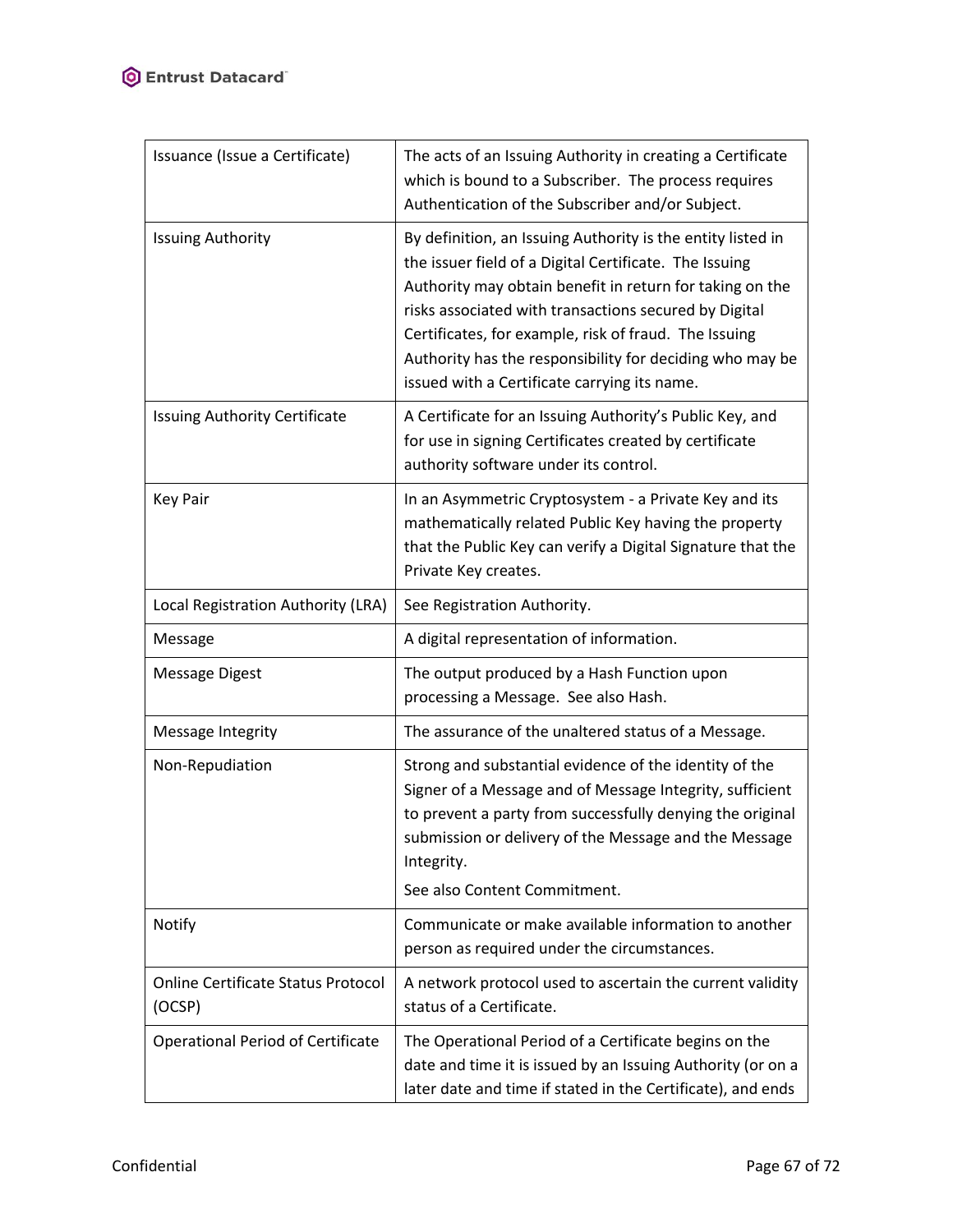| Issuance (Issue a Certificate)                      | The acts of an Issuing Authority in creating a Certificate<br>which is bound to a Subscriber. The process requires<br>Authentication of the Subscriber and/or Subject.                                                                                                                                                                                                                                          |
|-----------------------------------------------------|-----------------------------------------------------------------------------------------------------------------------------------------------------------------------------------------------------------------------------------------------------------------------------------------------------------------------------------------------------------------------------------------------------------------|
| <b>Issuing Authority</b>                            | By definition, an Issuing Authority is the entity listed in<br>the issuer field of a Digital Certificate. The Issuing<br>Authority may obtain benefit in return for taking on the<br>risks associated with transactions secured by Digital<br>Certificates, for example, risk of fraud. The Issuing<br>Authority has the responsibility for deciding who may be<br>issued with a Certificate carrying its name. |
| Issuing Authority Certificate                       | A Certificate for an Issuing Authority's Public Key, and<br>for use in signing Certificates created by certificate<br>authority software under its control.                                                                                                                                                                                                                                                     |
| <b>Key Pair</b>                                     | In an Asymmetric Cryptosystem - a Private Key and its<br>mathematically related Public Key having the property<br>that the Public Key can verify a Digital Signature that the<br>Private Key creates.                                                                                                                                                                                                           |
| Local Registration Authority (LRA)                  | See Registration Authority.                                                                                                                                                                                                                                                                                                                                                                                     |
| Message                                             | A digital representation of information.                                                                                                                                                                                                                                                                                                                                                                        |
| <b>Message Digest</b>                               | The output produced by a Hash Function upon<br>processing a Message. See also Hash.                                                                                                                                                                                                                                                                                                                             |
| Message Integrity                                   | The assurance of the unaltered status of a Message.                                                                                                                                                                                                                                                                                                                                                             |
| Non-Repudiation                                     | Strong and substantial evidence of the identity of the<br>Signer of a Message and of Message Integrity, sufficient<br>to prevent a party from successfully denying the original<br>submission or delivery of the Message and the Message<br>Integrity.<br>See also Content Commitment.                                                                                                                          |
| Notify                                              | Communicate or make available information to another<br>person as required under the circumstances.                                                                                                                                                                                                                                                                                                             |
| <b>Online Certificate Status Protocol</b><br>(OCSP) | A network protocol used to ascertain the current validity<br>status of a Certificate.                                                                                                                                                                                                                                                                                                                           |
| <b>Operational Period of Certificate</b>            | The Operational Period of a Certificate begins on the<br>date and time it is issued by an Issuing Authority (or on a<br>later date and time if stated in the Certificate), and ends                                                                                                                                                                                                                             |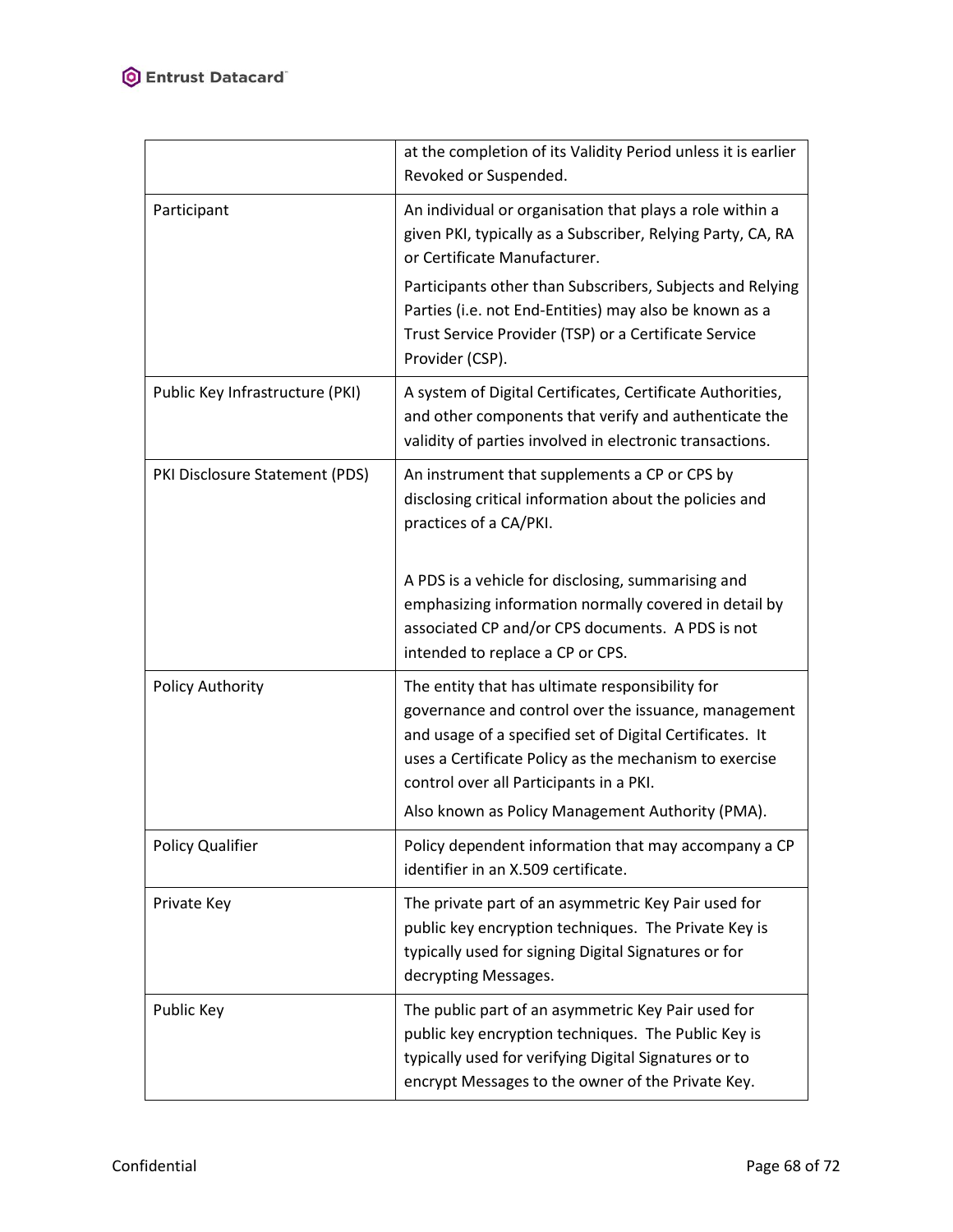|                                 | at the completion of its Validity Period unless it is earlier<br>Revoked or Suspended.                                                                                                                                                                                                                                       |
|---------------------------------|------------------------------------------------------------------------------------------------------------------------------------------------------------------------------------------------------------------------------------------------------------------------------------------------------------------------------|
| Participant                     | An individual or organisation that plays a role within a<br>given PKI, typically as a Subscriber, Relying Party, CA, RA<br>or Certificate Manufacturer.                                                                                                                                                                      |
|                                 | Participants other than Subscribers, Subjects and Relying<br>Parties (i.e. not End-Entities) may also be known as a<br>Trust Service Provider (TSP) or a Certificate Service<br>Provider (CSP).                                                                                                                              |
| Public Key Infrastructure (PKI) | A system of Digital Certificates, Certificate Authorities,<br>and other components that verify and authenticate the<br>validity of parties involved in electronic transactions.                                                                                                                                              |
| PKI Disclosure Statement (PDS)  | An instrument that supplements a CP or CPS by<br>disclosing critical information about the policies and<br>practices of a CA/PKI.                                                                                                                                                                                            |
|                                 | A PDS is a vehicle for disclosing, summarising and<br>emphasizing information normally covered in detail by<br>associated CP and/or CPS documents. A PDS is not<br>intended to replace a CP or CPS.                                                                                                                          |
| <b>Policy Authority</b>         | The entity that has ultimate responsibility for<br>governance and control over the issuance, management<br>and usage of a specified set of Digital Certificates. It<br>uses a Certificate Policy as the mechanism to exercise<br>control over all Participants in a PKI.<br>Also known as Policy Management Authority (PMA). |
| <b>Policy Qualifier</b>         | Policy dependent information that may accompany a CP<br>identifier in an X.509 certificate.                                                                                                                                                                                                                                  |
| Private Key                     | The private part of an asymmetric Key Pair used for<br>public key encryption techniques. The Private Key is<br>typically used for signing Digital Signatures or for<br>decrypting Messages.                                                                                                                                  |
| Public Key                      | The public part of an asymmetric Key Pair used for<br>public key encryption techniques. The Public Key is<br>typically used for verifying Digital Signatures or to<br>encrypt Messages to the owner of the Private Key.                                                                                                      |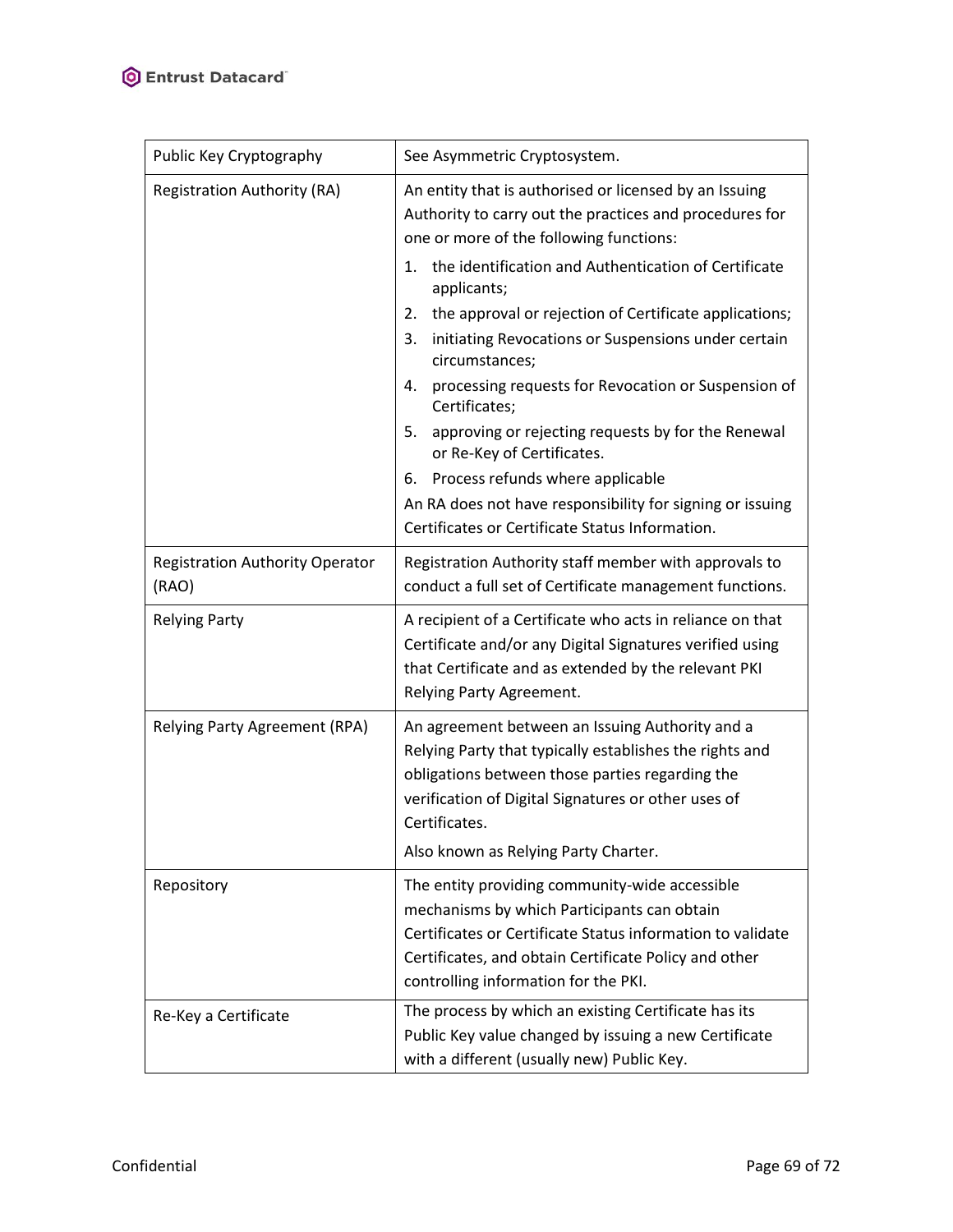| Public Key Cryptography                         | See Asymmetric Cryptosystem.                                                                                                                                                                                                                                                                                                                                                                                                                                                                                                                                                                                                                                                                                               |
|-------------------------------------------------|----------------------------------------------------------------------------------------------------------------------------------------------------------------------------------------------------------------------------------------------------------------------------------------------------------------------------------------------------------------------------------------------------------------------------------------------------------------------------------------------------------------------------------------------------------------------------------------------------------------------------------------------------------------------------------------------------------------------------|
| <b>Registration Authority (RA)</b>              | An entity that is authorised or licensed by an Issuing<br>Authority to carry out the practices and procedures for<br>one or more of the following functions:<br>the identification and Authentication of Certificate<br>1.<br>applicants;<br>2.<br>the approval or rejection of Certificate applications;<br>initiating Revocations or Suspensions under certain<br>3.<br>circumstances;<br>processing requests for Revocation or Suspension of<br>4.<br>Certificates;<br>approving or rejecting requests by for the Renewal<br>5.<br>or Re-Key of Certificates.<br>Process refunds where applicable<br>6.<br>An RA does not have responsibility for signing or issuing<br>Certificates or Certificate Status Information. |
| <b>Registration Authority Operator</b><br>(RAO) | Registration Authority staff member with approvals to<br>conduct a full set of Certificate management functions.                                                                                                                                                                                                                                                                                                                                                                                                                                                                                                                                                                                                           |
| <b>Relying Party</b>                            | A recipient of a Certificate who acts in reliance on that<br>Certificate and/or any Digital Signatures verified using<br>that Certificate and as extended by the relevant PKI<br>Relying Party Agreement.                                                                                                                                                                                                                                                                                                                                                                                                                                                                                                                  |
| Relying Party Agreement (RPA)                   | An agreement between an Issuing Authority and a<br>Relying Party that typically establishes the rights and<br>obligations between those parties regarding the<br>verification of Digital Signatures or other uses of<br>Certificates.<br>Also known as Relying Party Charter.                                                                                                                                                                                                                                                                                                                                                                                                                                              |
| Repository                                      | The entity providing community-wide accessible<br>mechanisms by which Participants can obtain<br>Certificates or Certificate Status information to validate<br>Certificates, and obtain Certificate Policy and other<br>controlling information for the PKI.                                                                                                                                                                                                                                                                                                                                                                                                                                                               |
| Re-Key a Certificate                            | The process by which an existing Certificate has its<br>Public Key value changed by issuing a new Certificate<br>with a different (usually new) Public Key.                                                                                                                                                                                                                                                                                                                                                                                                                                                                                                                                                                |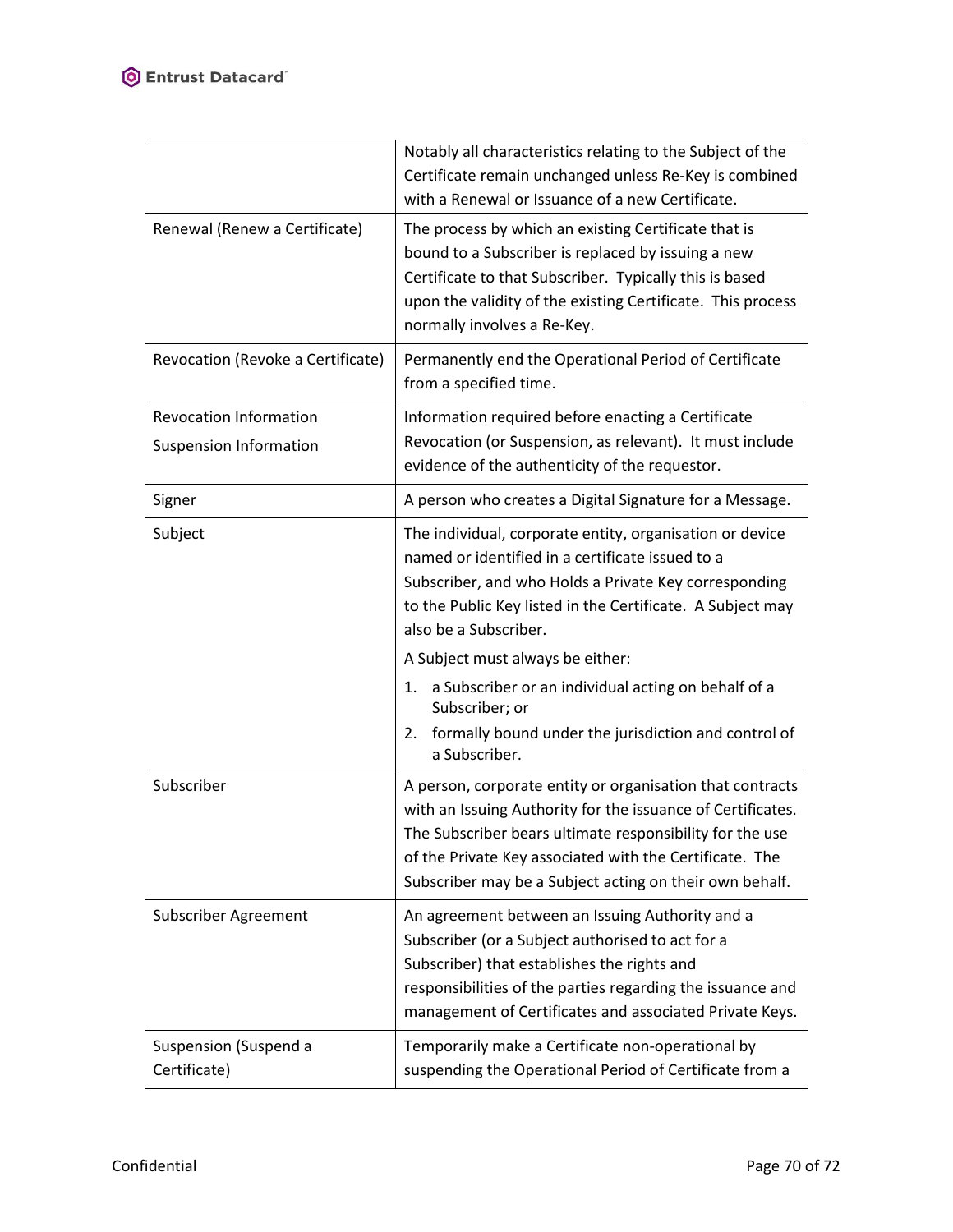|                                                                | Notably all characteristics relating to the Subject of the<br>Certificate remain unchanged unless Re-Key is combined<br>with a Renewal or Issuance of a new Certificate.                                                                                                                                                                                                                                                                                    |
|----------------------------------------------------------------|-------------------------------------------------------------------------------------------------------------------------------------------------------------------------------------------------------------------------------------------------------------------------------------------------------------------------------------------------------------------------------------------------------------------------------------------------------------|
| Renewal (Renew a Certificate)                                  | The process by which an existing Certificate that is<br>bound to a Subscriber is replaced by issuing a new<br>Certificate to that Subscriber. Typically this is based<br>upon the validity of the existing Certificate. This process<br>normally involves a Re-Key.                                                                                                                                                                                         |
| Revocation (Revoke a Certificate)                              | Permanently end the Operational Period of Certificate<br>from a specified time.                                                                                                                                                                                                                                                                                                                                                                             |
| <b>Revocation Information</b><br><b>Suspension Information</b> | Information required before enacting a Certificate<br>Revocation (or Suspension, as relevant). It must include<br>evidence of the authenticity of the requestor.                                                                                                                                                                                                                                                                                            |
| Signer                                                         | A person who creates a Digital Signature for a Message.                                                                                                                                                                                                                                                                                                                                                                                                     |
| Subject                                                        | The individual, corporate entity, organisation or device<br>named or identified in a certificate issued to a<br>Subscriber, and who Holds a Private Key corresponding<br>to the Public Key listed in the Certificate. A Subject may<br>also be a Subscriber.<br>A Subject must always be either:<br>a Subscriber or an individual acting on behalf of a<br>1.<br>Subscriber; or<br>2. formally bound under the jurisdiction and control of<br>a Subscriber. |
| Subscriber                                                     | A person, corporate entity or organisation that contracts<br>with an Issuing Authority for the issuance of Certificates.<br>The Subscriber bears ultimate responsibility for the use<br>of the Private Key associated with the Certificate. The<br>Subscriber may be a Subject acting on their own behalf.                                                                                                                                                  |
| Subscriber Agreement                                           | An agreement between an Issuing Authority and a<br>Subscriber (or a Subject authorised to act for a<br>Subscriber) that establishes the rights and<br>responsibilities of the parties regarding the issuance and<br>management of Certificates and associated Private Keys.                                                                                                                                                                                 |
| Suspension (Suspend a<br>Certificate)                          | Temporarily make a Certificate non-operational by<br>suspending the Operational Period of Certificate from a                                                                                                                                                                                                                                                                                                                                                |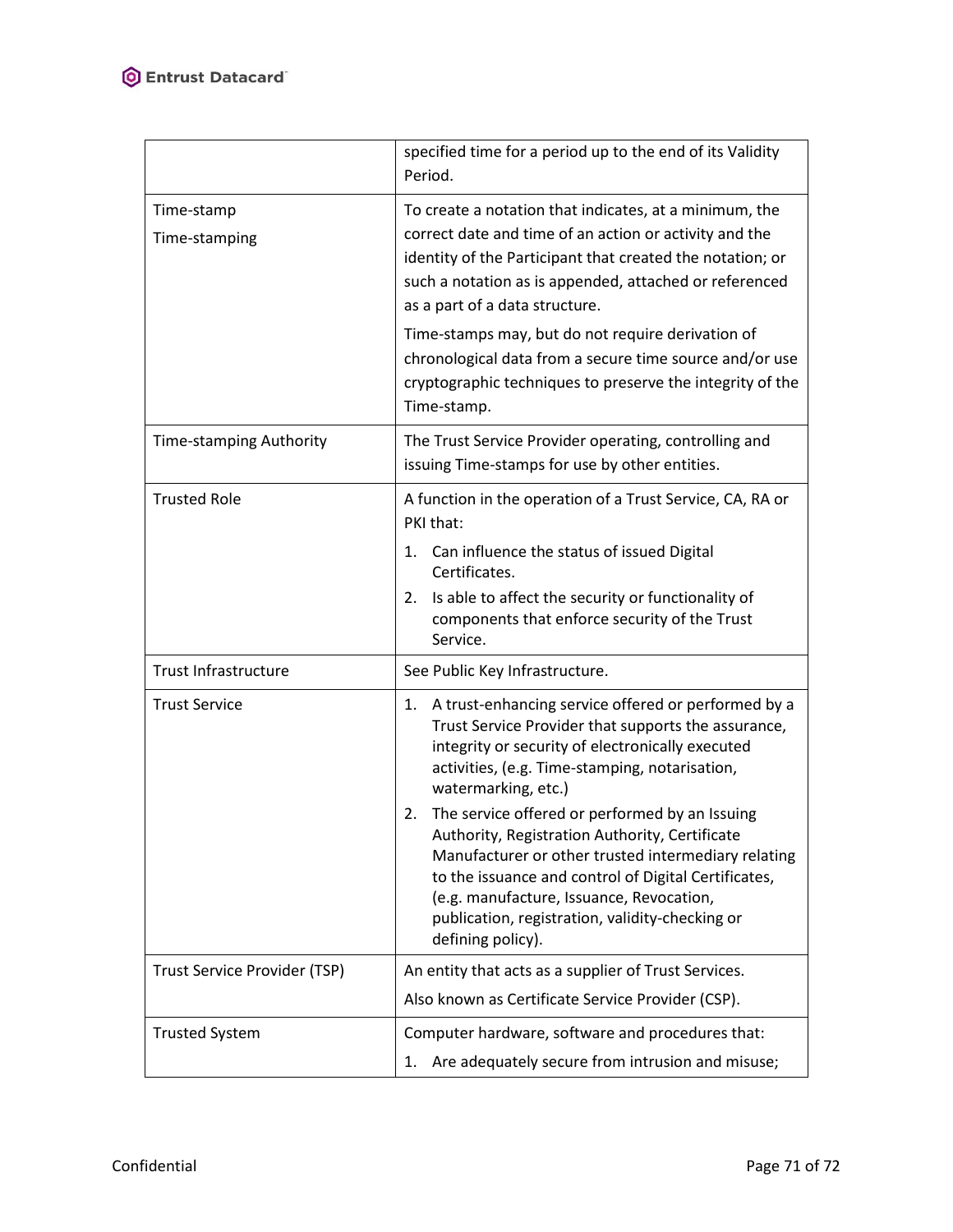|                                | specified time for a period up to the end of its Validity<br>Period.                                                                                                                                                                                                                                                                      |
|--------------------------------|-------------------------------------------------------------------------------------------------------------------------------------------------------------------------------------------------------------------------------------------------------------------------------------------------------------------------------------------|
| Time-stamp<br>Time-stamping    | To create a notation that indicates, at a minimum, the<br>correct date and time of an action or activity and the<br>identity of the Participant that created the notation; or<br>such a notation as is appended, attached or referenced<br>as a part of a data structure.                                                                 |
|                                | Time-stamps may, but do not require derivation of<br>chronological data from a secure time source and/or use<br>cryptographic techniques to preserve the integrity of the<br>Time-stamp.                                                                                                                                                  |
| <b>Time-stamping Authority</b> | The Trust Service Provider operating, controlling and<br>issuing Time-stamps for use by other entities.                                                                                                                                                                                                                                   |
| <b>Trusted Role</b>            | A function in the operation of a Trust Service, CA, RA or<br>PKI that:<br>Can influence the status of issued Digital<br>1.<br>Certificates.<br>Is able to affect the security or functionality of<br>2.<br>components that enforce security of the Trust<br>Service.                                                                      |
| <b>Trust Infrastructure</b>    | See Public Key Infrastructure.                                                                                                                                                                                                                                                                                                            |
| <b>Trust Service</b>           | A trust-enhancing service offered or performed by a<br>1.<br>Trust Service Provider that supports the assurance,<br>integrity or security of electronically executed<br>activities, (e.g. Time-stamping, notarisation,<br>watermarking, etc.)                                                                                             |
|                                | The service offered or performed by an Issuing<br>2.<br>Authority, Registration Authority, Certificate<br>Manufacturer or other trusted intermediary relating<br>to the issuance and control of Digital Certificates,<br>(e.g. manufacture, Issuance, Revocation,<br>publication, registration, validity-checking or<br>defining policy). |
| Trust Service Provider (TSP)   | An entity that acts as a supplier of Trust Services.                                                                                                                                                                                                                                                                                      |
|                                | Also known as Certificate Service Provider (CSP).                                                                                                                                                                                                                                                                                         |
| <b>Trusted System</b>          | Computer hardware, software and procedures that:<br>Are adequately secure from intrusion and misuse;<br>1.                                                                                                                                                                                                                                |